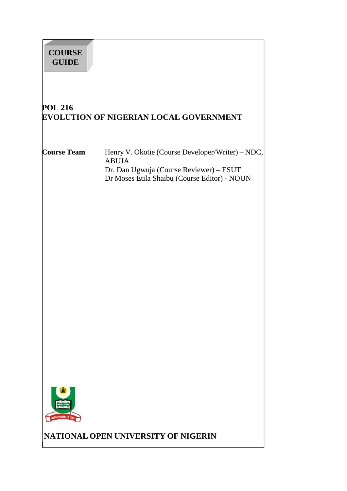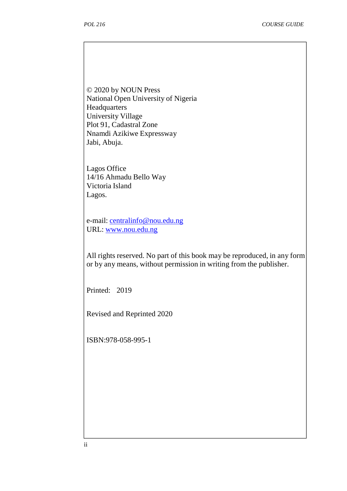© 2020 by NOUN Press National Open University of Nigeria Headquarters University Village Plot 91, Cadastral Zone Nnamdi Azikiwe Expressway Jabi, Abuja.

Lagos Office 14/16 Ahmadu Bello Way Victoria Island Lagos.

e-mail: centralinfo@nou.edu.ng URL: www.nou.edu.ng

All rights reserved. No part of this book may be reproduced, in any form or by any means, without permission in writing from the publisher.

Printed: 2019

Revised and Reprinted 2020

ISBN:978-058-995-1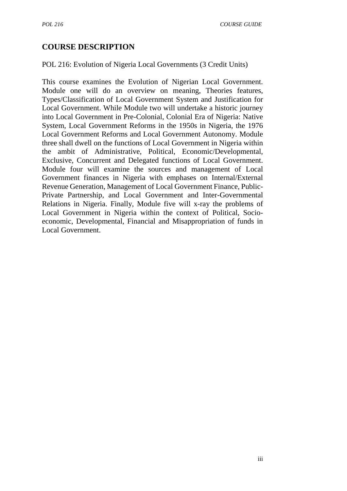# **COURSE DESCRIPTION**

#### POL 216: Evolution of Nigeria Local Governments (3 Credit Units)

This course examines the Evolution of Nigerian Local Government. Module one will do an overview on meaning, Theories features, Types/Classification of Local Government System and Justification for Local Government. While Module two will undertake a historic journey into Local Government in Pre-Colonial, Colonial Era of Nigeria: Native System, Local Government Reforms in the 1950s in Nigeria, the 1976 Local Government Reforms and Local Government Autonomy. Module three shall dwell on the functions of Local Government in Nigeria within the ambit of Administrative, Political, Economic/Developmental, Exclusive, Concurrent and Delegated functions of Local Government. Module four will examine the sources and management of Local Government finances in Nigeria with emphases on Internal/External Revenue Generation, Management of Local Government Finance, Public- Private Partnership, and Local Government and Inter-Governmental Relations in Nigeria. Finally, Module five will x-ray the problems of Local Government in Nigeria within the context of Political, Socio economic, Developmental, Financial and Misappropriation of funds in Local Government.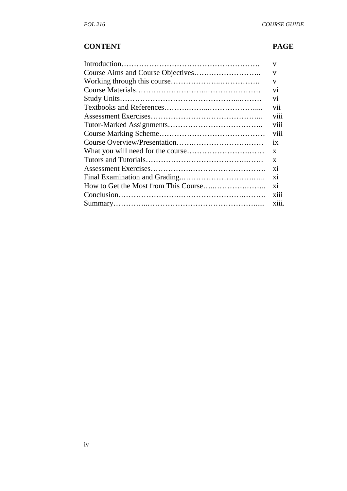# **CONTENT PAGE**

| V              |
|----------------|
| V              |
| V              |
| V <sub>1</sub> |
| V <sub>1</sub> |
| vii            |
| V111           |
| viii           |
| <b>V111</b>    |
| 1X             |
| $\mathbf{x}$   |
| $\mathbf{x}$   |
| $\overline{X}$ |
| X1             |
| X1             |
| X111           |
| X111.          |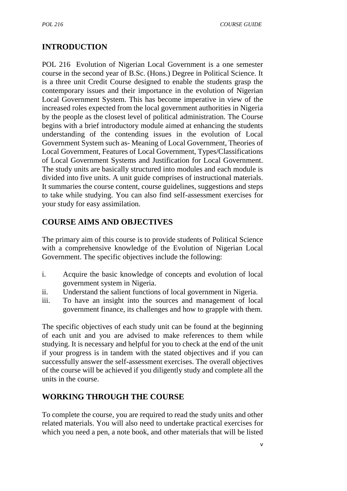# **INTRODUCTION**

POL 216 Evolution of Nigerian Local Government is a one semester course in the second year of B.Sc. (Hons.) Degree in Political Science. It is a three unit Credit Course designed to enable the students grasp the contemporary issues and their importance in the evolution of Nigerian Local Government System. This has become imperative in view of the increased roles expected from the local government authorities in Nigeria by the people as the closest level of political administration. The Course begins with a brief introductory module aimed at enhancing the students understanding of the contending issues in the evolution of Local Government System such as- Meaning of Local Government, Theories of Local Government, Features of Local Government, Types/Classifications of Local Government Systems and Justification for Local Government. The study units are basically structured into modules and each module is divided into five units. A unit guide comprises of instructional materials. It summaries the course content, course guidelines, suggestions and steps to take while studying. You can also find self-assessment exercises for your study for easy assimilation.

# **COURSE AIMS AND OBJECTIVES**

The primary aim of this course is to provide students of Political Science with a comprehensive knowledge of the Evolution of Nigerian Local Government. The specific objectives include the following:

- i. Acquire the basic knowledge of concepts and evolution of local government system in Nigeria.
- ii. Understand the salient functions of local government in Nigeria.
- iii. To have an insight into the sources and management of local government finance, its challenges and how to grapple with them.

The specific objectives of each study unit can be found at the beginning of each unit and you are advised to make references to them while studying. It is necessary and helpful for you to check at the end of the unit if your progress is in tandem with the stated objectives and if you can successfully answer the self-assessment exercises. The overall objectives of the course will be achieved if you diligently study and complete all the units in the course.

# **WORKING THROUGH THE COURSE**

To complete the course, you are required to read the study units and other related materials. You will also need to undertake practical exercises for which you need a pen, a note book, and other materials that will be listed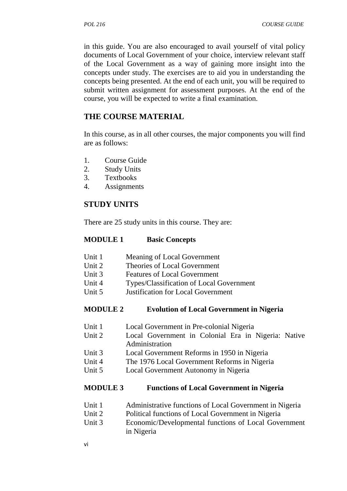in this guide. You are also encouraged to avail yourself of vital policy documents of Local Government of your choice, interview relevant staff of the Local Government as a way of gaining more insight into the concepts under study. The exercises are to aid you in understanding the concepts being presented. At the end of each unit, you will be required to submit written assignment for assessment purposes. At the end of the course, you will be expected to write a final examination.

## **THE COURSE MATERIAL**

In this course, as in all other courses, the major components you will find are as follows:

- 1. Course Guide
- 2. Study Units
- 3. Textbooks
- 4. Assignments

## **STUDY UNITS**

There are 25 study units in this course. They are:

#### **MODULE 1 Basic Concepts**

- Unit 1 Meaning of Local Government
- Unit 2 Theories of Local Government
- Unit 3 Features of Local Government
- Unit 4 Types/Classification of Local Government<br>
Unit 5 Institution for Local Government
- Justification for Local Government

#### **MODULE 2 Evolution of Local Government in Nigeria**

- Unit 1 Local Government in Pre-colonial Nigeria
- Unit 2 Local Government in Colonial Era in Nigeria: Native Administration
- Unit 3 Local Government Reforms in 1950 in Nigeria
- Unit 4 The 1976 Local Government Reforms in Nigeria
- Unit 5 Local Government Autonomy in Nigeria

#### **MODULE 3 Functions of Local Government in Nigeria**

- Unit 1 Administrative functions of Local Government in Nigeria
- Unit 2 Political functions of Local Government in Nigeria
- Unit 3 Economic/Developmental functions of Local Government in Nigeria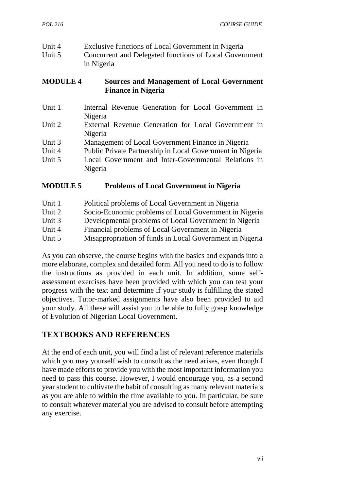| Unit 4 | Exclusive functions of Local Government in Nigeria     |
|--------|--------------------------------------------------------|
| Unit 5 | Concurrent and Delegated functions of Local Government |
|        | in Nigeria                                             |

#### **MODULE 4 Sources and Management of Local Government Finance in Nigeria**

| Unit 1 | Internal Revenue Generation for Local Government in       |
|--------|-----------------------------------------------------------|
|        | Nigeria                                                   |
| Unit 2 | External Revenue Generation for Local Government in       |
|        | Nigeria                                                   |
| Unit 3 | Management of Local Government Finance in Nigeria         |
| Unit 4 | Public Private Partnership in Local Government in Nigeria |
| Unit 5 | Local Government and Inter-Governmental Relations in      |
|        | Nigeria                                                   |

## **MODULE 5 Problems of Local Government in Nigeria**

| Unit 1 | Political problems of Local Government in Nigeria        |
|--------|----------------------------------------------------------|
| Unit 2 | Socio-Economic problems of Local Government in Nigeria   |
| Unit 3 | Developmental problems of Local Government in Nigeria    |
| Unit 4 | Financial problems of Local Government in Nigeria        |
| Unit 5 | Misappropriation of funds in Local Government in Nigeria |

As you can observe, the course begins with the basics and expands into a more elaborate, complex and detailed form. All you need to do is to follow the instructions as provided in each unit. In addition, some self assessment exercises have been provided with which you can test your progress with the text and determine if your study is fulfilling the stated objectives. Tutor-marked assignments have also been provided to aid your study. All these will assist you to be able to fully grasp knowledge of Evolution of Nigerian Local Government.

# **TEXTBOOKS AND REFERENCES**

At the end of each unit, you will find a list of relevant reference materials which you may yourself wish to consult as the need arises, even though I have made efforts to provide you with the most important information you need to pass this course. However, I would encourage you, as a second year student to cultivate the habit of consulting as many relevant materials as you are able to within the time available to you. In particular, be sure to consult whatever material you are advised to consult before attempting any exercise.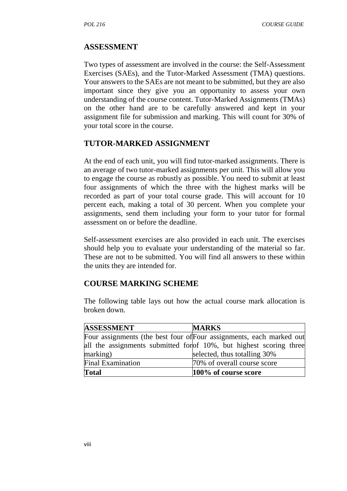## **ASSESSMENT**

Two types of assessment are involved in the course: the Self-Assessment Exercises (SAEs), and the Tutor-Marked Assessment (TMA) questions. Your answers to the SAEs are not meant to be submitted, but they are also important since they give you an opportunity to assess your own understanding of the course content. Tutor-Marked Assignments (TMAs) on the other hand are to be carefully answered and kept in your assignment file for submission and marking. This will count for 30% of your total score in the course.

## **TUTOR-MARKED ASSIGNMENT**

At the end of each unit, you will find tutor-marked assignments. There is an average of two tutor-marked assignments per unit. This will allow you to engage the course as robustly as possible. You need to submit at least four assignments of which the three with the highest marks will be recorded as part of your total course grade. This will account for 10 percent each, making a total of 30 percent. When you complete your assignments, send them including your form to your tutor for formal assessment on or before the deadline.

Self-assessment exercises are also provided in each unit. The exercises should help you to evaluate your understanding of the material so far. These are not to be submitted. You will find all answers to these within the units they are intended for.

# **COURSE MARKING SCHEME**

The following table lays out how the actual course mark allocation is broken down.

| <b>ASSESSMENT</b>        | <b>MARKS</b>                                                         |
|--------------------------|----------------------------------------------------------------------|
|                          | Four assignments (the best four of Four assignments, each marked out |
|                          | all the assignments submitted for of 10%, but highest scoring three  |
| marking)                 | selected, thus totalling 30%                                         |
| <b>Final Examination</b> | 70% of overall course score                                          |
| <b>Total</b>             | 100% of course score                                                 |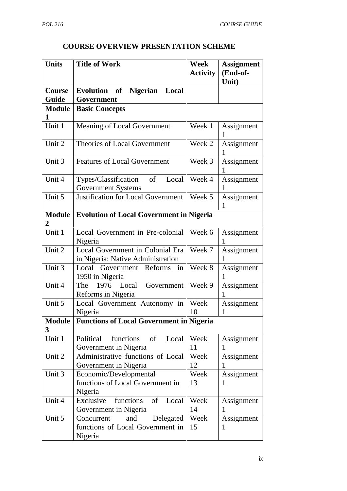# **COURSE OVERVIEW PRESENTATION SCHEME**

| <b>Units</b>                    | <b>Title of Work</b>                                                          | <b>Week</b><br><b>Activity</b> | <b>Assignment</b><br>(End-of-<br>Unit) |
|---------------------------------|-------------------------------------------------------------------------------|--------------------------------|----------------------------------------|
| <b>Course</b>                   | Nigerian Local<br>Evolution of                                                |                                |                                        |
| Guide                           | Government                                                                    |                                |                                        |
| <b>Module</b><br>1              | <b>Basic Concepts</b>                                                         |                                |                                        |
| Unit 1                          | Meaning of Local Government                                                   | Week 1                         | Assignment                             |
| Unit 2                          | Theories of Local Government                                                  | Week 2                         | Assignment<br>1                        |
| Unit 3                          | <b>Features of Local Government</b>                                           | Week 3                         | Assignment                             |
| Unit 4                          | Types/Classification<br>of<br>Local<br><b>Government Systems</b>              | Week 4                         | Assignment<br>1                        |
| Unit 5                          | <b>Justification for Local Government</b>                                     | Week 5                         | Assignment<br>1                        |
| <b>Module</b><br>$\overline{2}$ | <b>Evolution of Local Government in Nigeria</b>                               |                                |                                        |
| Unit 1                          | Local Government in Pre-colonial<br>Nigeria                                   | Week 6                         | Assignment<br>1                        |
| Unit 2                          | Local Government in Colonial Era<br>in Nigeria: Native Administration         | Week 7                         | Assignment                             |
| Unit 3                          | Local Government Reforms<br>in<br>1950 in Nigeria                             | Week 8                         | Assignment<br>1                        |
| Unit 4                          | The<br>1976 Local<br>Government<br>Reforms in Nigeria                         | Week 9                         | Assignment                             |
| Unit 5                          | Local Government Autonomy in<br>Nigeria                                       | Week<br>10                     | Assignment<br>L                        |
| <b>Module</b><br>3              | <b>Functions of Local Government in Nigeria</b>                               |                                |                                        |
| Unit 1                          | Political<br>functions<br>Local<br>of<br>Government in Nigeria                | Week<br>11                     | Assignment                             |
| Unit 2                          | Administrative functions of Local<br>Government in Nigeria                    | Week<br>12                     | Assignment<br>1                        |
| Unit 3                          | Economic/Developmental<br>functions of Local Government in<br>Nigeria         | Week<br>13                     | Assignment<br>1                        |
| Unit 4                          | functions<br>of<br>Exclusive<br>Local<br>Government in Nigeria                | Week<br>14                     | Assignment                             |
| Unit 5                          | Delegated<br>Concurrent<br>and<br>functions of Local Government in<br>Nigeria | Week<br>15                     | Assignment<br>1                        |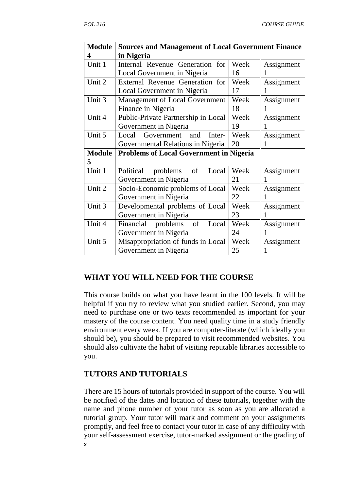| <b>Module</b> | <b>Sources and Management of Local Government Finance</b> |      |            |
|---------------|-----------------------------------------------------------|------|------------|
| 4             | in Nigeria                                                |      |            |
| Unit 1        | Internal Revenue Generation for                           | Week | Assignment |
|               | Local Government in Nigeria                               | 16   |            |
| Unit 2        | External Revenue Generation for                           | Week | Assignment |
|               | Local Government in Nigeria                               | 17   |            |
| Unit 3        | <b>Management of Local Government</b>                     | Week | Assignment |
|               | Finance in Nigeria                                        | 18   |            |
| Unit 4        | Public-Private Partnership in Local                       | Week | Assignment |
|               | Government in Nigeria                                     | 19   | 1          |
| Unit 5        | Local<br>Government<br>and<br>Inter-                      | Week | Assignment |
|               | Governmental Relations in Nigeria                         | 20   | 1          |
|               |                                                           |      |            |
| <b>Module</b> | <b>Problems of Local Government in Nigeria</b>            |      |            |
| 5             |                                                           |      |            |
| Unit 1        | Political<br>problems<br>of<br>Local                      | Week | Assignment |
|               | Government in Nigeria                                     | 21   | 1          |
| Unit 2        | Socio-Economic problems of Local                          | Week | Assignment |
|               | Government in Nigeria                                     | 22   |            |
| Unit 3        | Developmental problems of Local                           | Week | Assignment |
|               | Government in Nigeria                                     | 23   | 1          |
| Unit 4        | Financial<br>problems<br>of<br>Local                      | Week | Assignment |
|               | Government in Nigeria                                     | 24   |            |
| Unit 5        | Misappropriation of funds in Local                        | Week | Assignment |

## **WHAT YOU WILL NEED FOR THE COURSE**

This course builds on what you have learnt in the 100 levels. It will be helpful if you try to review what you studied earlier. Second, you may need to purchase one or two texts recommended as important for your mastery of the course content. You need quality time in a study friendly environment every week. If you are computer-literate (which ideally you should be), you should be prepared to visit recommended websites. You should also cultivate the habit of visiting reputable libraries accessible to you.

## **TUTORS AND TUTORIALS**

x There are 15 hours of tutorials provided in support of the course. You will be notified of the dates and location of these tutorials, together with the name and phone number of your tutor as soon as you are allocated a tutorial group. Your tutor will mark and comment on your assignments promptly, and feel free to contact your tutor in case of any difficulty with your self-assessment exercise, tutor-marked assignment or the grading of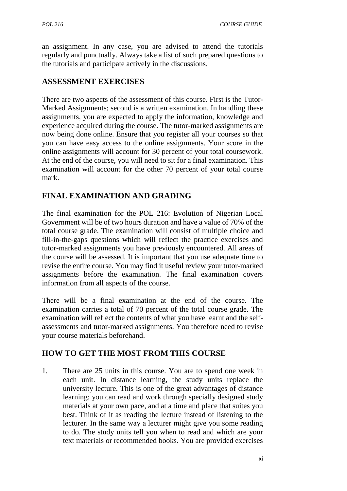an assignment. In any case, you are advised to attend the tutorials regularly and punctually. Always take a list of such prepared questions to the tutorials and participate actively in the discussions.

# **ASSESSMENT EXERCISES**

There are two aspects of the assessment of this course. First is the Tutor- Marked Assignments; second is a written examination. In handling these assignments, you are expected to apply the information, knowledge and experience acquired during the course. The tutor-marked assignments are now being done online. Ensure that you register all your courses so that you can have easy access to the online assignments. Your score in the online assignments will account for 30 percent of your total coursework. At the end of the course, you will need to sit for a final examination. This examination will account for the other 70 percent of your total course mark.

# **FINAL EXAMINATION AND GRADING**

The final examination for the POL 216: Evolution of Nigerian Local Government will be of two hours duration and have a value of 70% of the total course grade. The examination will consist of multiple choice and fill-in-the-gaps questions which will reflect the practice exercises and tutor-marked assignments you have previously encountered. All areas of the course will be assessed. It is important that you use adequate time to revise the entire course. You may find it useful review your tutor-marked assignments before the examination. The final examination covers information from all aspects of the course.

There will be a final examination at the end of the course. The examination carries a total of 70 percent of the total course grade. The examination will reflect the contents of what you have learnt and the self assessments and tutor-marked assignments. You therefore need to revise your course materials beforehand.

# **HOW TO GET THE MOST FROM THIS COURSE**

1. There are 25 units in this course. You are to spend one week in each unit. In distance learning, the study units replace the university lecture. This is one of the great advantages of distance learning; you can read and work through specially designed study materials at your own pace, and at a time and place that suites you best. Think of it as reading the lecture instead of listening to the lecturer. In the same way a lecturer might give you some reading to do. The study units tell you when to read and which are your text materials or recommended books. You are provided exercises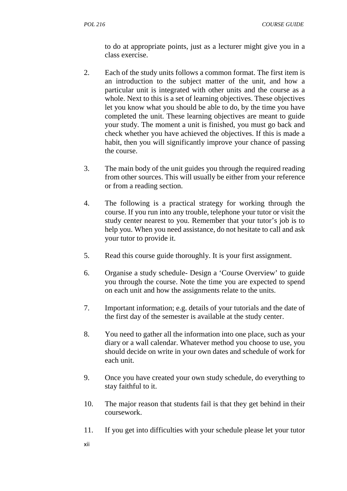to do at appropriate points, just as a lecturer might give you in a class exercise.

- 2. Each of the study units follows a common format. The first item is an introduction to the subject matter of the unit, and how a particular unit is integrated with other units and the course as a whole. Next to this is a set of learning objectives. These objectives let you know what you should be able to do, by the time you have completed the unit. These learning objectives are meant to guide your study. The moment a unit is finished, you must go back and check whether you have achieved the objectives. If this is made a habit, then you will significantly improve your chance of passing the course.
- 3. The main body of the unit guides you through the required reading from other sources. This will usually be either from your reference or from a reading section.
- 4. The following is a practical strategy for working through the course. If you run into any trouble, telephone your tutor or visit the study center nearest to you. Remember that your tutor's job is to help you. When you need assistance, do not hesitate to call and ask your tutor to provide it.
- 5. Read this course guide thoroughly. It is your first assignment.
- 6. Organise a study schedule- Design a 'Course Overview' to guide you through the course. Note the time you are expected to spend on each unit and how the assignments relate to the units.
- 7. Important information; e.g. details of your tutorials and the date of the first day of the semester is available at the study center.
- 8. You need to gather all the information into one place, such as your diary or a wall calendar. Whatever method you choose to use, you should decide on write in your own dates and schedule of work for each unit.
- 9. Once you have created your own study schedule, do everything to stay faithful to it.
- 10. The major reason that students fail is that they get behind in their coursework.
- 11. If you get into difficulties with your schedule please let your tutor
- xii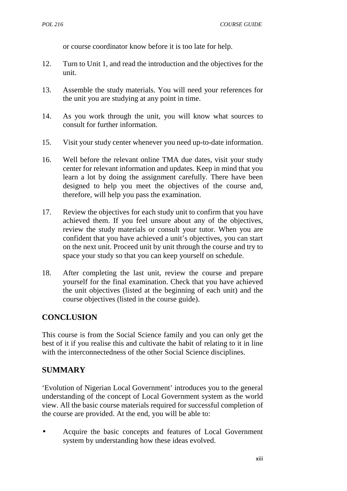or course coordinator know before it is too late for help.

- 12. Turn to Unit 1, and read the introduction and the objectives for the unit.
- 13. Assemble the study materials. You will need your references for the unit you are studying at any point in time.
- 14. As you work through the unit, you will know what sources to consult for further information.
- 15. Visit your study center whenever you need up-to-date information.
- 16. Well before the relevant online TMA due dates, visit your study center for relevant information and updates. Keep in mind that you learn a lot by doing the assignment carefully. There have been designed to help you meet the objectives of the course and, therefore, will help you pass the examination.
- 17. Review the objectives for each study unit to confirm that you have achieved them. If you feel unsure about any of the objectives, review the study materials or consult your tutor. When you are confident that you have achieved a unit's objectives, you can start on the next unit. Proceed unit by unit through the course and try to space your study so that you can keep yourself on schedule.
- 18. After completing the last unit, review the course and prepare yourself for the final examination. Check that you have achieved the unit objectives (listed at the beginning of each unit) and the course objectives (listed in the course guide).

# **CONCLUSION**

This course is from the Social Science family and you can only get the best of it if you realise this and cultivate the habit of relating to it in line with the interconnectedness of the other Social Science disciplines.

# **SUMMARY**

'Evolution of Nigerian Local Government' introduces you to the general understanding of the concept of Local Government system as the world view. All the basic course materials required for successful completion of the course are provided. At the end, you will be able to:

 Acquire the basic concepts and features of Local Government system by understanding how these ideas evolved.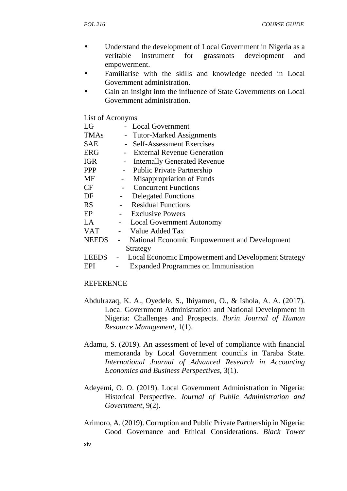- Understand the development of Local Government in Nigeria as a veritable instrument for grassroots development and empowerment.
- Familiarise with the skills and knowledge needed in Local Government administration.
- Gain an insight into the influence of State Governments on Local Government administration.

List of Acronyms

| LG           | - Local Government                                                              |
|--------------|---------------------------------------------------------------------------------|
| <b>TMAs</b>  | - Tutor-Marked Assignments                                                      |
| <b>SAE</b>   | - Self-Assessment Exercises                                                     |
| <b>ERG</b>   | <b>External Revenue Generation</b>                                              |
| <b>IGR</b>   | <b>Internally Generated Revenue</b><br>$\blacksquare$                           |
| <b>PPP</b>   | <b>Public Private Partnership</b><br>$\blacksquare$                             |
| MF           | Misappropriation of Funds<br>-                                                  |
| CF           | <b>Concurrent Functions</b>                                                     |
| DF           | <b>Delegated Functions</b>                                                      |
| <b>RS</b>    | <b>Residual Functions</b>                                                       |
| EP           | <b>Exclusive Powers</b>                                                         |
| LA           | <b>Local Government Autonomy</b><br>$\blacksquare$                              |
| <b>VAT</b>   | Value Added Tax                                                                 |
| <b>NEEDS</b> | National Economic Empowerment and Development<br>$\sim$                         |
|              | Strategy                                                                        |
| <b>LEEDS</b> | Local Economic Empowerment and Development Strategy<br>$\overline{\phantom{0}}$ |
| EPI          | <b>Expanded Programmes on Immunisation</b>                                      |

#### **REFERENCE**

- Abdulrazaq, K. A., Oyedele, S., Ihiyamen, O., & Ishola, A. A. (2017). Local Government Administration and National Development in Nigeria: Challenges and Prospects*. Ilorin Journal of Human Resource Management*, 1(1).
- Adamu, S. (2019). An assessment of level of compliance with financial memoranda by Local Government councils in Taraba State. *International Journal of Advanced Research in Accounting Economics and Business Perspectives*, 3(1).
- Adeyemi, O. O. (2019). Local Government Administration in Nigeria: Historical Perspective. *Journal of Public Administration and Government*, 9(2).
- Arimoro, A. (2019). Corruption and Public Private Partnership in Nigeria: Good Governance and Ethical Considerations. *Black Tower*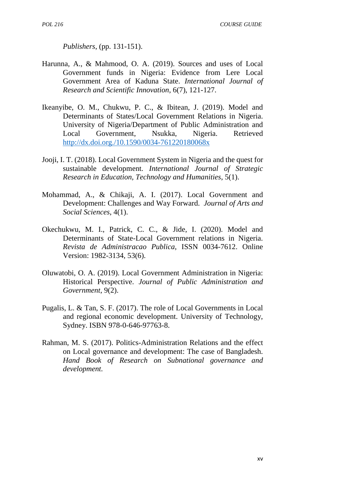*Publishers*, (pp. 131-151).

- Harunna, A., & Mahmood, O. A. (2019). Sources and uses of Local Government funds in Nigeria: Evidence from Lere Local Government Area of Kaduna State. *International Journal of Research and Scientific Innovation*, 6(7), 121-127.
- Ikeanyibe, O. M., Chukwu, P. C., & Ibitean, J. (2019). Model and Determinants of States/Local Government Relations in Nigeria. University of Nigeria/Department of Public Administration and Local Government, Nsukka, Nigeria. Retrieved http://dx.doi.org./10.1590/0034-761220180068x
- Jooji, I. T. (2018). Local Government System in Nigeria and the quest for sustainable development. *International Journal of Strategic Research in Education, Technology and Humanities*, 5(1).
- Mohammad, A., & Chikaji, A. I. (2017). Local Government and Development: Challenges and Way Forward. *Journal of Arts and Social Sciences*, 4(1).
- Okechukwu, M. I., Patrick, C. C., & Jide, I. (2020). Model and Determinants of State-Local Government relations in Nigeria. *Revista de Administracao Publica*, ISSN 0034-7612. Online Version: 1982-3134, 53(6).
- Oluwatobi, O. A. (2019). Local Government Administration in Nigeria: Historical Perspective. *Journal of Public Administration and Government*, 9(2).
- Pugalis, L. & Tan, S. F. (2017). The role of Local Governments in Local and regional economic development. University of Technology, Sydney. ISBN 978-0-646-97763-8.
- Rahman, M. S. (2017). Politics-Administration Relations and the effect on Local governance and development: The case of Bangladesh. *Hand Book of Research on Subnational governance and development.*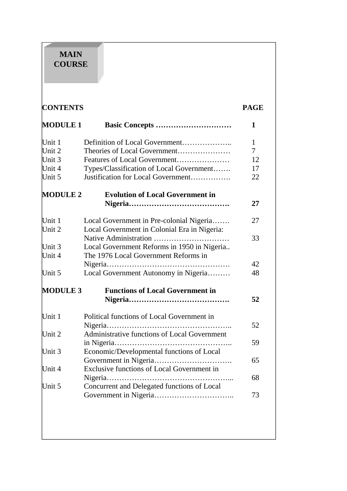# **MAIN COURSE**

| <b>CONTENTS</b> |                                              | <b>PAGE</b>  |
|-----------------|----------------------------------------------|--------------|
| <b>MODULE 1</b> |                                              | 1            |
| Unit 1          |                                              | $\mathbf{1}$ |
| Unit 2          | Theories of Local Government                 | $\tau$       |
| Unit 3          | Features of Local Government                 | 12           |
| Unit 4          | Types/Classification of Local Government     | 17           |
| Unit 5          | Justification for Local Government           | 22           |
| <b>MODULE 2</b> | <b>Evolution of Local Government in</b>      |              |
|                 |                                              | 27           |
| Unit 1          | Local Government in Pre-colonial Nigeria     | 27           |
| Unit 2          | Local Government in Colonial Era in Nigeria: |              |
|                 |                                              | 33           |
| Unit 3          | Local Government Reforms in 1950 in Nigeria  |              |
| Unit 4          | The 1976 Local Government Reforms in         |              |
|                 |                                              | 42           |
| Unit 5          | Local Government Autonomy in Nigeria         | 48           |
| <b>MODULE 3</b> | <b>Functions of Local Government in</b>      |              |
|                 |                                              | 52           |
| Unit 1          | Political functions of Local Government in   |              |
|                 |                                              | 52           |
| Unit 2          | Administrative functions of Local Government |              |
|                 |                                              | 59           |
| Unit 3          | Economic/Developmental functions of Local    |              |
|                 |                                              | 65           |
| Unit 4          | Exclusive functions of Local Government in   |              |
|                 |                                              | 68           |
| Unit 5          | Concurrent and Delegated functions of Local  |              |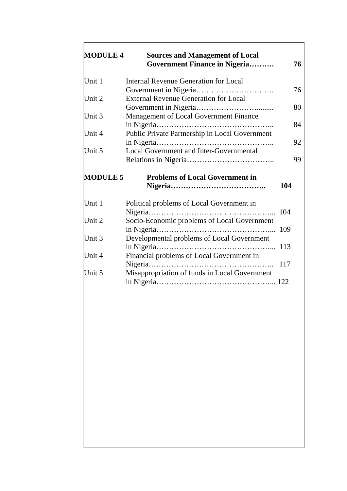| <b>MODULE 4</b>            | <b>Sources and Management of Local</b><br><b>Government Finance in Nigeria</b> | 76  |
|----------------------------|--------------------------------------------------------------------------------|-----|
| Unit 1                     | <b>Internal Revenue Generation for Local</b>                                   |     |
| Unit 2                     | Government in Nigeria<br>.<br><b>External Revenue Generation for Local</b>     | 76  |
|                            |                                                                                | 80  |
| Unit 3                     | Management of Local Government Finance                                         | 84  |
| Unit 4                     | Public Private Partnership in Local Government                                 | 92  |
| Unit 5                     | Local Government and Inter-Governmental                                        | 99  |
| <b>MODULE 5</b>            | <b>Problems of Local Government in</b>                                         |     |
|                            |                                                                                | 104 |
|                            | Political problems of Local Government in                                      |     |
|                            | Socio-Economic problems of Local Government                                    | 104 |
| Unit 1<br>Unit 2<br>Unit 3 | Developmental problems of Local Government                                     |     |
| Unit 4                     | Financial problems of Local Government in                                      |     |
| Unit 5                     | Misappropriation of funds in Local Government                                  | 117 |

Ī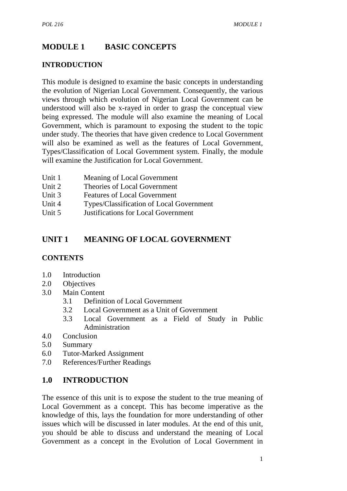# **MODULE 1 BASIC CONCEPTS**

## **INTRODUCTION**

This module is designed to examine the basic concepts in understanding the evolution of Nigerian Local Government. Consequently, the various views through which evolution of Nigerian Local Government can be understood will also be x-rayed in order to grasp the conceptual view being expressed. The module will also examine the meaning of Local Government, which is paramount to exposing the student to the topic under study. The theories that have given credence to Local Government will also be examined as well as the features of Local Government, Types/Classification of Local Government system. Finally, the module will examine the Justification for Local Government.

- Unit 1 Meaning of Local Government
- Unit 2 Theories of Local Government
- Unit 3 Features of Local Government
- Unit 4 Types/Classification of Local Government
- Unit 5 Justifications for Local Government

## **UNIT 1 MEANING OF LOCAL GOVERNMENT**

#### **CONTENTS**

- 1.0 Introduction
- 2.0 Objectives
- 3.0 Main Content
	- 3.1 Definition of Local Government
	- 3.2 Local Government as a Unit of Government
	- 3.3 Local Government as a Field of Study in Public Administration
- 4.0 Conclusion
- 5.0 Summary
- 6.0 Tutor-Marked Assignment
- 7.0 References/Further Readings

#### **1.0 INTRODUCTION**

The essence of this unit is to expose the student to the true meaning of Local Government as a concept. This has become imperative as the knowledge of this, lays the foundation for more understanding of other issues which will be discussed in later modules. At the end of this unit, you should be able to discuss and understand the meaning of Local Government as a concept in the Evolution of Local Government in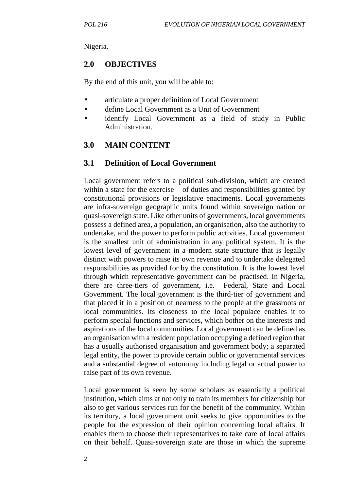Nigeria.

## **2.0 OBJECTIVES**

By the end of this unit, you will be able to:

- articulate a proper definition of Local Government
- define Local Government as a Unit of Government
- identify Local Government as a field of study in Public Administration.

## **3.0 MAIN CONTENT**

## **3.1 Definition of Local Government**

Local government refers to a political sub-division, which are created within a state for the exercise of duties and responsibilities granted by constitutional provisions or legislative enactments. Local governments are infra-sovereign geographic units found within sovereign nation or quasi-sovereign state. Like other units of governments, local governments possess a defined area, a population, an organisation, also the authority to undertake, and the power to perform public activities. Local government is the smallest unit of administration in any political system. It is the lowest level of government in a modern state structure that is legally distinct with powers to raise its own revenue and to undertake delegated responsibilities as provided for by the constitution. It is the lowest level through which representative government can be practised. In Nigeria, there are three-tiers of government, i.e. Federal, State and Local Government. The local government is the third-tier of government and that placed it in a position of nearness to the people at the grassroots or local communities. Its closeness to the local populace enables it to perform special functions and services, which bother on the interests and aspirations of the local communities. Local government can be defined as an organisation with a resident population occupying a defined region that has a usually authorised organisation and government body; a separated legal entity, the power to provide certain public or governmental services and a substantial degree of autonomy including legal or actual power to raise part of its own revenue.

Local government is seen by some scholars as essentially a political institution, which aims at not only to train its members for citizenship but also to get various services run for the benefit of the community. Within its territory, a local government unit seeks to give opportunities to the people for the expression of their opinion concerning local affairs. It enables them to choose their representatives to take care of local affairs on their behalf. Quasi-sovereign state are those in which the supreme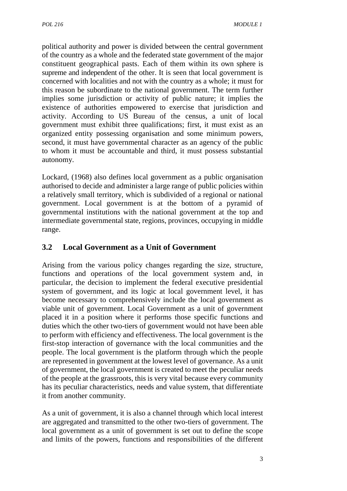political authority and power is divided between the central government of the country as a whole and the federated state government of the major constituent geographical pasts. Each of them within its own sphere is supreme and independent of the other. It is seen that local government is concerned with localities and not with the country as a whole; it must for this reason be subordinate to the national government. The term further implies some jurisdiction or activity of public nature; it implies the existence of authorities empowered to exercise that jurisdiction and activity. According to US Bureau of the census, a unit of local government must exhibit three qualifications; first, it must exist as an organized entity possessing organisation and some minimum powers, second, it must have governmental character as an agency of the public to whom it must be accountable and third, it must possess substantial autonomy.

Lockard, (1968) also defines local government as a public organisation authorised to decide and administer a large range of public policies within a relatively small territory, which is subdivided of a regional or national government. Local government is at the bottom of a pyramid of governmental institutions with the national government at the top and intermediate governmental state, regions, provinces, occupying in middle range.

# **3.2 Local Government as a Unit of Government**

Arising from the various policy changes regarding the size, structure, functions and operations of the local government system and, in particular, the decision to implement the federal executive presidential system of government, and its logic at local government level, it has become necessary to comprehensively include the local government as viable unit of government. Local Government as a unit of government placed it in a position where it performs those specific functions and duties which the other two-tiers of government would not have been able to perform with efficiency and effectiveness. The local government is the first-stop interaction of governance with the local communities and the people. The local government is the platform through which the people are represented in government at the lowest level of governance. As a unit of government, the local government is created to meet the peculiar needs of the people at the grassroots, this is very vital because every community has its peculiar characteristics, needs and value system, that differentiate it from another community.

As a unit of government, it is also a channel through which local interest are aggregated and transmitted to the other two-tiers of government. The local government as a unit of government is set out to define the scope and limits of the powers, functions and responsibilities of the different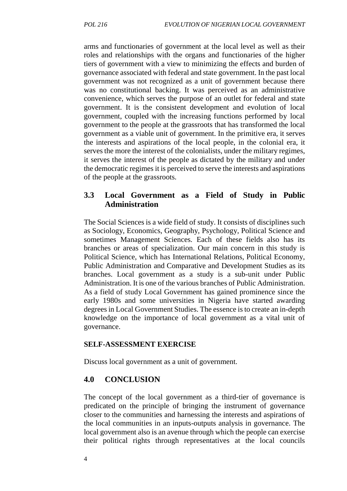arms and functionaries of government at the local level as well as their roles and relationships with the organs and functionaries of the higher tiers of government with a view to minimizing the effects and burden of governance associated with federal and state government. In the past local government was not recognized as a unit of government because there was no constitutional backing. It was perceived as an administrative convenience, which serves the purpose of an outlet for federal and state government. It is the consistent development and evolution of local government, coupled with the increasing functions performed by local government to the people at the grassroots that has transformed the local government as a viable unit of government. In the primitive era, it serves the interests and aspirations of the local people, in the colonial era, it serves the more the interest of the colonialists, under the military regimes, it serves the interest of the people as dictated by the military and under the democratic regimes it is perceived to serve the interests and aspirations of the people at the grassroots.

## **3.3 Local Government as a Field of Study in Public Administration**

The Social Sciences is a wide field of study. It consists of disciplines such as Sociology, Economics, Geography, Psychology, Political Science and sometimes Management Sciences. Each of these fields also has its branches or areas of specialization. Our main concern in this study is Political Science, which has International Relations, Political Economy, Public Administration and Comparative and Development Studies as its branches. Local government as a study is a sub-unit under Public Administration. It is one of the various branches of Public Administration. As a field of study Local Government has gained prominence since the early 1980s and some universities in Nigeria have started awarding degrees in Local Government Studies. The essence is to create an in-depth knowledge on the importance of local government as a vital unit of governance.

#### **SELF-ASSESSMENT EXERCISE**

Discuss local government as a unit of government.

#### **4.0 CONCLUSION**

The concept of the local government as a third-tier of governance is predicated on the principle of bringing the instrument of governance closer to the communities and harnessing the interests and aspirations of the local communities in an inputs-outputs analysis in governance. The local government also is an avenue through which the people can exercise their political rights through representatives at the local councils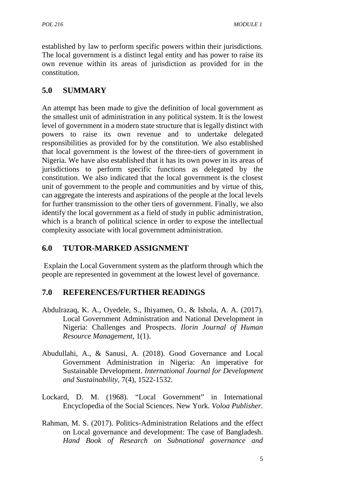established by law to perform specific powers within their jurisdictions. The local government is a distinct legal entity and has power to raise its own revenue within its areas of jurisdiction as provided for in the constitution.

# **5.0 SUMMARY**

An attempt has been made to give the definition of local government as the smallest unit of administration in any political system. It is the lowest level of government in a modern state structure that is legally distinct with powers to raise its own revenue and to undertake delegated responsibilities as provided for by the constitution. We also established that local government is the lowest of the three-tiers of government in Nigeria. We have also established that it has its own power in its areas of jurisdictions to perform specific functions as delegated by the constitution. We also indicated that the local government is the closest unit of government to the people and communities and by virtue of this, can aggregate the interests and aspirations of the people at the local levels for further transmission to the other tiers of government. Finally, we also identify the local government as a field of study in public administration, which is a branch of political science in order to expose the intellectual complexity associate with local government administration.

# **6.0 TUTOR-MARKED ASSIGNMENT**

Explain the Local Government system as the platform through which the people are represented in government at the lowest level of governance.

# **7.0 REFERENCES/FURTHER READINGS**

- Abdulrazaq, K. A., Oyedele, S., Ihiyamen, O., & Ishola, A. A. (2017). Local Government Administration and National Development in Nigeria: Challenges and Prospects*. Ilorin Journal of Human Resource Management*, 1(1).
- Abudullahi, A., & Sanusi, A. (2018). Good Governance and Local Government Administration in Nigeria: An imperative for Sustainable Development. *International Journal for Development and Sustainability*, 7(4), 1522-1532.
- Lockard, D. M. (1968). "Local Government" in International Encyclopedia of the Social Sciences. New York. *Voloa Publisher.*
- Rahman, M. S. (2017). Politics-Administration Relations and the effect on Local governance and development: The case of Bangladesh. *Hand Book of Research on Subnational governance and*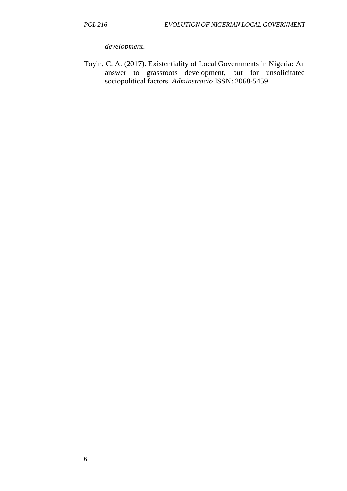*development.*

Toyin, C. A. (2017). Existentiality of Local Governments in Nigeria: An answer to grassroots development, but for unsolicitated sociopolitical factors. *Adminstracio* ISSN: 2068-5459.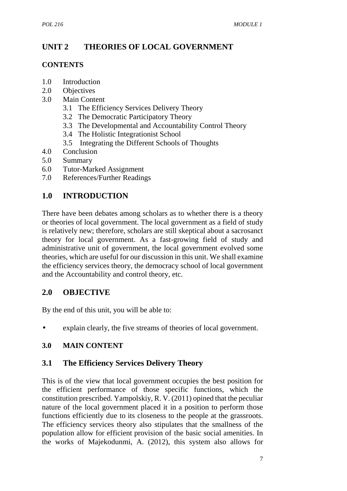# **UNIT 2 THEORIES OF LOCAL GOVERNMENT**

## **CONTENTS**

- 1.0 Introduction
- 2.0 Objectives
- 3.0 Main Content
	- 3.1 The Efficiency Services Delivery Theory
	- 3.2 The Democratic Participatory Theory
	- 3.3 The Developmental and Accountability Control Theory
	- 3.4 The Holistic Integrationist School
	- 3.5 Integrating the Different Schools of Thoughts
- 4.0 Conclusion
- 5.0 Summary
- 6.0 Tutor-Marked Assignment
- 7.0 References/Further Readings

# **1.0 INTRODUCTION**

There have been debates among scholars as to whether there is a theory or theories of local government. The local government as a field of study is relatively new; therefore, scholars are still skeptical about a sacrosanct theory for local government. As a fast-growing field of study and administrative unit of government, the local government evolved some theories, which are useful for our discussion in this unit. We shall examine the efficiency services theory, the democracy school of local government and the Accountability and control theory, etc.

## **2.0 OBJECTIVE**

By the end of this unit, you will be able to:

explain clearly, the five streams of theories of local government.

## **3.0 MAIN CONTENT**

## **3.1 The Efficiency Services Delivery Theory**

This is of the view that local government occupies the best position for the efficient performance of those specific functions, which the constitution prescribed. Yampolskiy, R. V. (2011) opined that the peculiar nature of the local government placed it in a position to perform those functions efficiently due to its closeness to the people at the grassroots. The efficiency services theory also stipulates that the smallness of the population allow for efficient provision of the basic social amenities. In the works of Majekodunmi, A. (2012), this system also allows for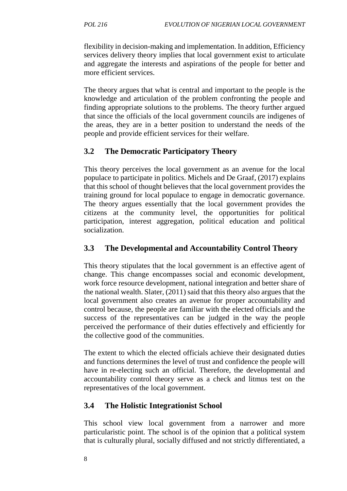flexibility in decision-making and implementation. In addition, Efficiency services delivery theory implies that local government exist to articulate and aggregate the interests and aspirations of the people for better and more efficient services.

The theory argues that what is central and important to the people is the knowledge and articulation of the problem confronting the people and finding appropriate solutions to the problems. The theory further argued that since the officials of the local government councils are indigenes of the areas, they are in a better position to understand the needs of the people and provide efficient services for their welfare.

## **3.2 The Democratic Participatory Theory**

This theory perceives the local government as an avenue for the local populace to participate in politics. Michels and De Graaf, (2017) explains that this school of thought believes that the local government provides the training ground for local populace to engage in democratic governance. The theory argues essentially that the local government provides the citizens at the community level, the opportunities for political participation, interest aggregation, political education and political socialization.

# **3.3 The Developmental and Accountability Control Theory**

This theory stipulates that the local government is an effective agent of change. This change encompasses social and economic development, work force resource development, national integration and better share of the national wealth. Slater, (2011) said that this theory also argues that the local government also creates an avenue for proper accountability and control because, the people are familiar with the elected officials and the success of the representatives can be judged in the way the people perceived the performance of their duties effectively and efficiently for the collective good of the communities.

The extent to which the elected officials achieve their designated duties and functions determines the level of trust and confidence the people will have in re-electing such an official. Therefore, the developmental and accountability control theory serve as a check and litmus test on the representatives of the local government.

## **3.4 The Holistic Integrationist School**

This school view local government from a narrower and more particularistic point. The school is of the opinion that a political system that is culturally plural, socially diffused and not strictly differentiated, a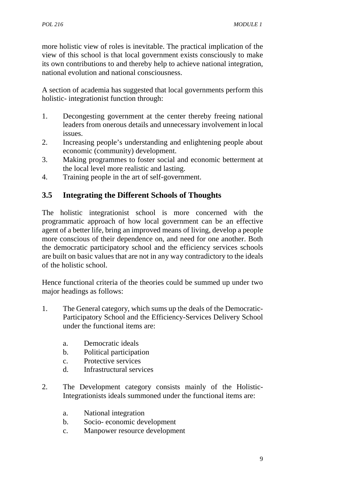more holistic view of roles is inevitable. The practical implication of the view of this school is that local government exists consciously to make its own contributions to and thereby help to achieve national integration, national evolution and national consciousness.

A section of academia has suggested that local governments perform this holistic- integrationist function through:

- 1. Decongesting government at the center thereby freeing national leaders from onerous details and unnecessary involvement in local issues.
- 2. Increasing people's understanding and enlightening people about economic (community) development.
- 3. Making programmes to foster social and economic betterment at the local level more realistic and lasting.
- 4. Training people in the art of self-government.

## **3.5 Integrating the Different Schools of Thoughts**

The holistic integrationist school is more concerned with the programmatic approach of how local government can be an effective agent of a better life, bring an improved means of living, develop a people more conscious of their dependence on, and need for one another. Both the democratic participatory school and the efficiency services schools are built on basic values that are not in any way contradictory to the ideals of the holistic school.

Hence functional criteria of the theories could be summed up under two major headings as follows:

- 1. The General category, which sums up the deals of the Democratic- Participatory School and the Efficiency-Services Delivery School under the functional items are:
	- a. Democratic ideals
	- b. Political participation
	- c. Protective services
	- d. Infrastructural services
- 2. The Development category consists mainly of the Holistic-Integrationists ideals summoned under the functional items are:
	- a. National integration
	- b. Socio- economic development
	- c. Manpower resource development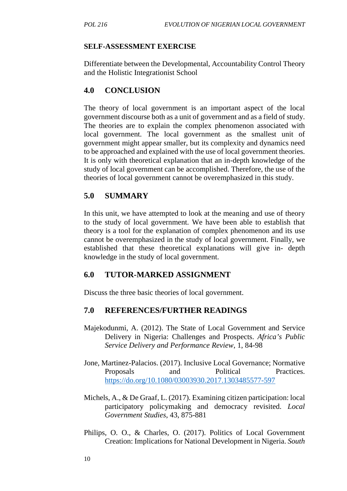#### **SELF-ASSESSMENT EXERCISE**

Differentiate between the Developmental, Accountability Control Theory and the Holistic Integrationist School

## **4.0 CONCLUSION**

The theory of local government is an important aspect of the local government discourse both as a unit of government and as a field of study. The theories are to explain the complex phenomenon associated with local government. The local government as the smallest unit of government might appear smaller, but its complexity and dynamics need to be approached and explained with the use of local government theories. It is only with theoretical explanation that an in-depth knowledge of the study of local government can be accomplished. Therefore, the use of the theories of local government cannot be overemphasized in this study.

## **5.0 SUMMARY**

In this unit, we have attempted to look at the meaning and use of theory to the study of local government. We have been able to establish that theory is a tool for the explanation of complex phenomenon and its use cannot be overemphasized in the study of local government. Finally, we established that these theoretical explanations will give in- depth knowledge in the study of local government.

## **6.0 TUTOR-MARKED ASSIGNMENT**

Discuss the three basic theories of local government.

## **7.0 REFERENCES/FURTHER READINGS**

- Majekodunmi, A. (2012). The State of Local Government and Service Delivery in Nigeria: Challenges and Prospects. *Africa's Public Service Delivery and Performance Review*, 1, 84-98
- Jone, Martinez-Palacios. (2017). Inclusive Local Governance; Normative Proposals and Political Practices. https://do.org/10.1080/03003930.2017.1303485577-597
- Michels, A., & De Graaf, L. (2017). Examining citizen participation: local participatory policymaking and democracy revisited. *Local Government Studies*, 43, 875-881
- Philips, O. O., & Charles, O. (2017). Politics of Local Government Creation: Implications for National Development in Nigeria. *South*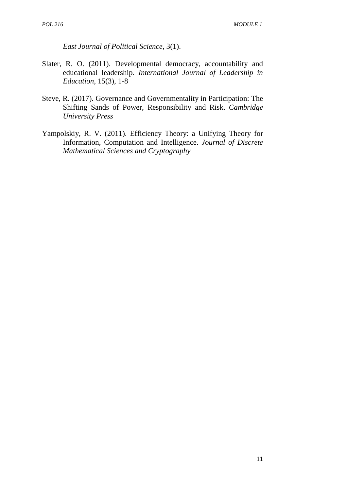*East Journal of Political Science*, 3(1).

- Slater, R. O. (2011). Developmental democracy, accountability and educational leadership. *International Journal of Leadership in Education*, 15(3), 1-8
- Steve, R. (2017). Governance and Governmentality in Participation: The Shifting Sands of Power, Responsibility and Risk. *Cambridge University Press*
- Yampolskiy, R. V. (2011). Efficiency Theory: a Unifying Theory for Information, Computation and Intelligence. *Journal of Discrete Mathematical Sciences and Cryptography*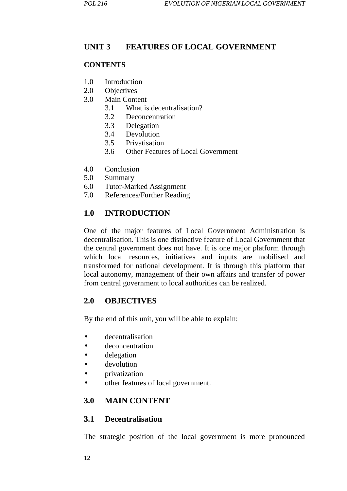## **UNIT 3 FEATURES OF LOCAL GOVERNMENT**

#### **CONTENTS**

- 1.0 Introduction
- 2.0 Objectives
- 3.0 Main Content
	- 3.1 What is decentralisation?
	- 3.2 Deconcentration
	- 3.3 Delegation
	- 3.4 Devolution
	- 3.5 Privatisation
	- 3.6 Other Features of Local Government
- 4.0 Conclusion
- 5.0 Summary
- 6.0 Tutor-Marked Assignment
- 7.0 References/Further Reading

## **1.0 INTRODUCTION**

One of the major features of Local Government Administration is decentralisation. This is one distinctive feature of Local Government that the central government does not have. It is one major platform through which local resources, initiatives and inputs are mobilised and transformed for national development. It is through this platform that local autonomy, management of their own affairs and transfer of power from central government to local authorities can be realized.

## **2.0 OBJECTIVES**

By the end of this unit, you will be able to explain:

- decentralisation
- deconcentration
- delegation
- devolution
- privatization
- other features of local government.

## **3.0 MAIN CONTENT**

#### **3.1 Decentralisation**

The strategic position of the local government is more pronounced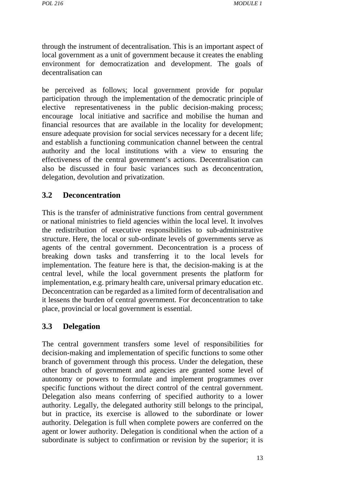through the instrument of decentralisation. This is an important aspect of local government as a unit of government because it creates the enabling environment for democratization and development. The goals of decentralisation can

be perceived as follows; local government provide for popular participation through the implementation of the democratic principle of elective representativeness in the public decision-making process; encourage local initiative and sacrifice and mobilise the human and financial resources that are available in the locality for development; ensure adequate provision for social services necessary for a decent life; and establish a functioning communication channel between the central authority and the local institutions with a view to ensuring the effectiveness of the central government's actions. Decentralisation can also be discussed in four basic variances such as deconcentration, delegation, devolution and privatization.

#### **3.2 Deconcentration**

This is the transfer of administrative functions from central government or national ministries to field agencies within the local level. It involves the redistribution of executive responsibilities to sub-administrative structure. Here, the local or sub-ordinate levels of governments serve as agents of the central government. Deconcentration is a process of breaking down tasks and transferring it to the local levels for implementation. The feature here is that, the decision-making is at the central level, while the local government presents the platform for implementation, e.g. primary health care, universal primary education etc. Deconcentration can be regarded as a limited form of decentralisation and it lessens the burden of central government. For deconcentration to take place, provincial or local government is essential.

#### **3.3 Delegation**

The central government transfers some level of responsibilities for decision-making and implementation of specific functions to some other branch of government through this process. Under the delegation, these other branch of government and agencies are granted some level of autonomy or powers to formulate and implement programmes over specific functions without the direct control of the central government. Delegation also means conferring of specified authority to a lower authority. Legally, the delegated authority still belongs to the principal, but in practice, its exercise is allowed to the subordinate or lower authority. Delegation is full when complete powers are conferred on the agent or lower authority. Delegation is conditional when the action of a subordinate is subject to confirmation or revision by the superior; it is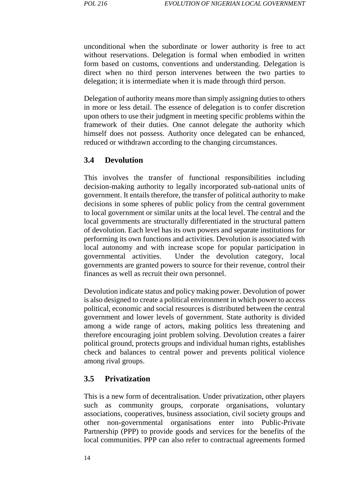unconditional when the subordinate or lower authority is free to act without reservations. Delegation is formal when embodied in written form based on customs, conventions and understanding. Delegation is direct when no third person intervenes between the two parties to delegation; it is intermediate when it is made through third person.

Delegation of authority means more than simply assigning duties to others in more or less detail. The essence of delegation is to confer discretion upon others to use their judgment in meeting specific problems within the framework of their duties. One cannot delegate the authority which himself does not possess. Authority once delegated can be enhanced, reduced or withdrawn according to the changing circumstances.

#### **3.4 Devolution**

This involves the transfer of functional responsibilities including decision-making authority to legally incorporated sub-national units of government. It entails therefore, the transfer of political authority to make decisions in some spheres of public policy from the central government to local government or similar units at the local level. The central and the local governments are structurally differentiated in the structural pattern of devolution. Each level has its own powers and separate institutions for performing its own functions and activities. Devolution is associated with local autonomy and with increase scope for popular participation in governmental activities. Under the devolution category, local governments are granted powers to source for their revenue, control their finances as well as recruit their own personnel.

Devolution indicate status and policy making power. Devolution of power is also designed to create a political environment in which power to access political, economic and social resources is distributed between the central government and lower levels of government. State authority is divided among a wide range of actors, making politics less threatening and therefore encouraging joint problem solving. Devolution creates a fairer political ground, protects groups and individual human rights, establishes check and balances to central power and prevents political violence among rival groups.

#### **3.5 Privatization**

This is a new form of decentralisation. Under privatization, other players such as community groups, corporate organisations, voluntary associations, cooperatives, business association, civil society groups and other non-governmental organisations enter into Public-Private Partnership (PPP) to provide goods and services for the benefits of the local communities. PPP can also refer to contractual agreements formed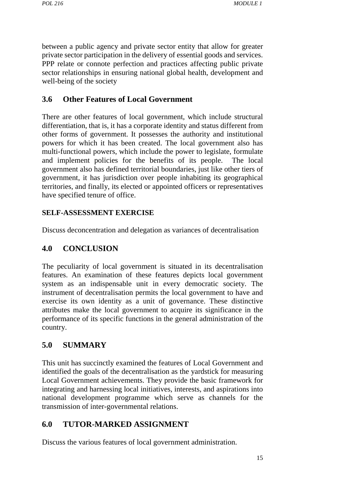between a public agency and private sector entity that allow for greater private sector participation in the delivery of essential goods and services. PPP relate or connote perfection and practices affecting public private sector relationships in ensuring national global health, development and well-being of the society

## **3.6 Other Features of Local Government**

There are other features of local government, which include structural differentiation, that is, it has a corporate identity and status different from other forms of government. It possesses the authority and institutional powers for which it has been created. The local government also has multi-functional powers, which include the power to legislate, formulate and implement policies for the benefits of its people. The local government also has defined territorial boundaries, just like other tiers of government, it has jurisdiction over people inhabiting its geographical territories, and finally, its elected or appointed officers or representatives have specified tenure of office.

#### **SELF-ASSESSMENT EXERCISE**

Discuss deconcentration and delegation as variances of decentralisation

## **4.0 CONCLUSION**

The peculiarity of local government is situated in its decentralisation features. An examination of these features depicts local government system as an indispensable unit in every democratic society. The instrument of decentralisation permits the local government to have and exercise its own identity as a unit of governance. These distinctive attributes make the local government to acquire its significance in the performance of its specific functions in the general administration of the country.

## **5.0 SUMMARY**

This unit has succinctly examined the features of Local Government and identified the goals of the decentralisation as the yardstick for measuring Local Government achievements. They provide the basic framework for integrating and harnessing local initiatives, interests, and aspirations into national development programme which serve as channels for the transmission of inter-governmental relations.

#### **6.0 TUTOR-MARKED ASSIGNMENT**

Discuss the various features of local government administration.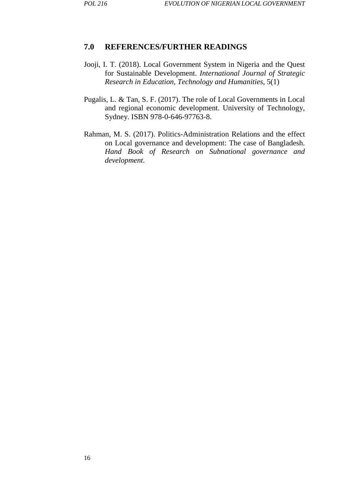#### **7.0 REFERENCES/FURTHER READINGS**

- Jooji, I. T. (2018). Local Government System in Nigeria and the Quest for Sustainable Development. *International Journal of Strategic Research in Education, Technology and Humanities*, 5(1)
- Pugalis, L. & Tan, S. F. (2017). The role of Local Governments in Local and regional economic development. University of Technology, Sydney. ISBN 978-0-646-97763-8.
- Rahman, M. S. (2017). Politics-Administration Relations and the effect on Local governance and development: The case of Bangladesh. *Hand Book of Research on Subnational governance and development.*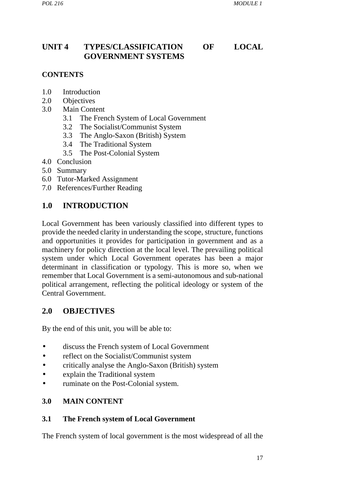# **UNIT 4 TYPES/CLASSIFICATION OF LOCAL GOVERNMENT SYSTEMS**

#### **CONTENTS**

- 1.0 Introduction
- 2.0 Objectives
- 3.0 Main Content
	- 3.1 The French System of Local Government
	- 3.2 The Socialist/Communist System
	- 3.3 The Anglo-Saxon (British) System
	- 3.4 The Traditional System
	- 3.5 The Post-Colonial System
- 4.0 Conclusion
- 5.0 Summary
- 6.0 Tutor-Marked Assignment
- 7.0 References/Further Reading

## **1.0 INTRODUCTION**

Local Government has been variously classified into different types to provide the needed clarity in understanding the scope, structure, functions and opportunities it provides for participation in government and as a machinery for policy direction at the local level. The prevailing political system under which Local Government operates has been a major determinant in classification or typology. This is more so, when we remember that Local Government is a semi-autonomous and sub-national political arrangement, reflecting the political ideology or system of the Central Government.

## **2.0 OBJECTIVES**

By the end of this unit, you will be able to:

- discuss the French system of Local Government
- reflect on the Socialist/Communist system
- critically analyse the Anglo-Saxon (British) system
- explain the Traditional system
- ruminate on the Post-Colonial system.

#### **3.0 MAIN CONTENT**

#### **3.1 The French system of Local Government**

The French system of local government is the most widespread of all the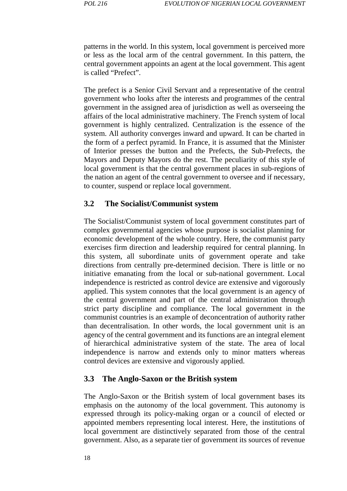patterns in the world. In this system, local government is perceived more or less as the local arm of the central government. In this pattern, the central government appoints an agent at the local government. This agent is called "Prefect".

The prefect is a Senior Civil Servant and a representative of the central government who looks after the interests and programmes of the central government in the assigned area of jurisdiction as well as overseeing the affairs of the local administrative machinery. The French system of local government is highly centralized. Centralization is the essence of the system. All authority converges inward and upward. It can be charted in the form of a perfect pyramid. In France, it is assumed that the Minister of Interior presses the button and the Prefects, the Sub-Prefects, the Mayors and Deputy Mayors do the rest. The peculiarity of this style of local government is that the central government places in sub-regions of the nation an agent of the central government to oversee and if necessary, to counter, suspend or replace local government.

#### **3.2 The Socialist/Communist system**

The Socialist/Communist system of local government constitutes part of complex governmental agencies whose purpose is socialist planning for economic development of the whole country. Here, the communist party exercises firm direction and leadership required for central planning. In this system, all subordinate units of government operate and take directions from centrally pre-determined decision. There is little or no initiative emanating from the local or sub-national government. Local independence is restricted as control device are extensive and vigorously applied. This system connotes that the local government is an agency of the central government and part of the central administration through strict party discipline and compliance. The local government in the communist countries is an example of deconcentration of authority rather than decentralisation. In other words, the local government unit is an agency of the central government and its functions are an integral element of hierarchical administrative system of the state. The area of local independence is narrow and extends only to minor matters whereas control devices are extensive and vigorously applied.

#### **3.3 The Anglo-Saxon or the British system**

The Anglo-Saxon or the British system of local government bases its emphasis on the autonomy of the local government. This autonomy is expressed through its policy-making organ or a council of elected or appointed members representing local interest. Here, the institutions of local government are distinctively separated from those of the central government. Also, as a separate tier of government its sources of revenue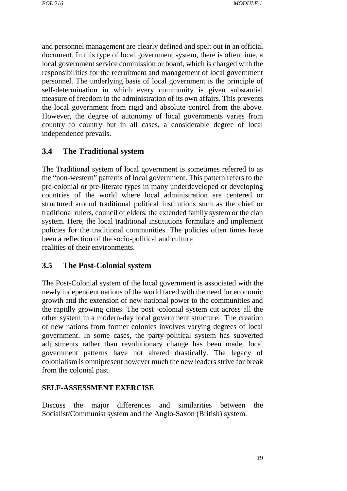and personnel management are clearly defined and spelt out in an official document. In this type of local government system, there is often time, a local government service commission or board, which is charged with the responsibilities for the recruitment and management of local government personnel. The underlying basis of local government is the principle of self-determination in which every community is given substantial measure of freedom in the administration of its own affairs. This prevents the local government from rigid and absolute control from the above. However, the degree of autonomy of local governments varies from country to country but in all cases, a considerable degree of local independence prevails.

#### **3.4 The Traditional system**

The Traditional system of local government is sometimes referred to as the "non-western" patterns of local government. This pattern refers to the pre-colonial or pre-literate types in many underdeveloped or developing countries of the world where local administration are centered or structured around traditional political institutions such as the chief or traditional rulers, council of elders, the extended family system or the clan system. Here, the local traditional institutions formulate and implement policies for the traditional communities. The policies often times have been a reflection of the socio-political and culture realities of their environments.

#### **3.5 The Post-Colonial system**

The Post-Colonial system of the local government is associated with the newly independent nations of the world faced with the need for economic growth and the extension of new national power to the communities and the rapidly growing cities. The post -colonial system cut across all the other system in a modern-day local government structure. The creation of new nations from former colonies involves varying degrees of local government. In some cases, the party-political system has subverted adjustments rather than revolutionary change has been made, local government patterns have not altered drastically. The legacy of colonialism is omnipresent however much the new leaders strive for break from the colonial past.

#### **SELF-ASSESSMENT EXERCISE**

Discuss the major differences and similarities between the Socialist/Communist system and the Anglo-Saxon (British) system.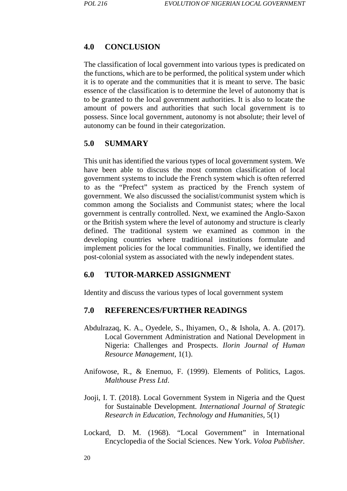#### **4.0 CONCLUSION**

The classification of local government into various types is predicated on the functions, which are to be performed, the political system under which it is to operate and the communities that it is meant to serve. The basic essence of the classification is to determine the level of autonomy that is to be granted to the local government authorities. It is also to locate the amount of powers and authorities that such local government is to possess. Since local government, autonomy is not absolute; their level of autonomy can be found in their categorization.

#### **5.0 SUMMARY**

This unit has identified the various types of local government system. We have been able to discuss the most common classification of local government systems to include the French system which is often referred to as the "Prefect" system as practiced by the French system of government. We also discussed the socialist/communist system which is common among the Socialists and Communist states; where the local government is centrally controlled. Next, we examined the Anglo-Saxon or the British system where the level of autonomy and structure is clearly defined. The traditional system we examined as common in the developing countries where traditional institutions formulate and implement policies for the local communities. Finally, we identified the post-colonial system as associated with the newly independent states.

#### **6.0 TUTOR-MARKED ASSIGNMENT**

Identity and discuss the various types of local government system

- Abdulrazaq, K. A., Oyedele, S., Ihiyamen, O., & Ishola, A. A. (2017). Local Government Administration and National Development in Nigeria: Challenges and Prospects*. Ilorin Journal of Human Resource Management*, 1(1).
- Anifowose, R., & Enemuo, F. (1999). Elements of Politics, Lagos. *Malthouse Press Ltd*.
- Jooji, I. T. (2018). Local Government System in Nigeria and the Quest for Sustainable Development. *International Journal of Strategic Research in Education, Technology and Humanities*, 5(1)
- Lockard, D. M. (1968). "Local Government" in International Encyclopedia of the Social Sciences. New York. *Voloa Publisher.*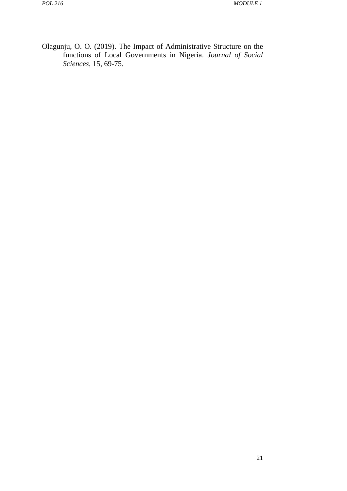Olagunju, O. O. (2019). The Impact of Administrative Structure on the functions of Local Governments in Nigeria. *Journal of Social Sciences*, 15, 69-75.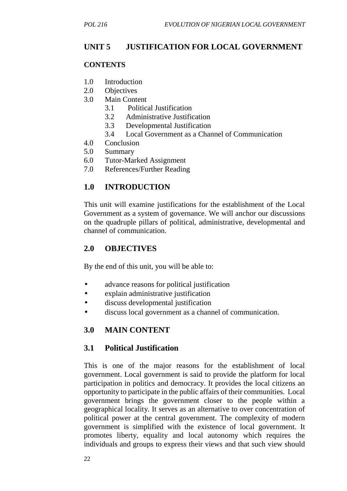# **UNIT 5 JUSTIFICATION FOR LOCAL GOVERNMENT**

#### **CONTENTS**

- 1.0 Introduction
- 2.0 Objectives
- 3.0 Main Content
	- 3.1 Political Justification
	- 3.2 Administrative Justification
	- 3.3 Developmental Justification
	- 3.4 Local Government as a Channel of Communication
- 4.0 Conclusion
- 5.0 Summary
- 6.0 Tutor-Marked Assignment
- 7.0 References/Further Reading

### **1.0 INTRODUCTION**

This unit will examine justifications for the establishment of the Local Government as a system of governance. We will anchor our discussions on the quadruple pillars of political, administrative, developmental and channel of communication.

#### **2.0 OBJECTIVES**

By the end of this unit, you will be able to:

- advance reasons for political justification
- explain administrative justification
- discuss developmental justification
- discuss local government as a channel of communication.

### **3.0 MAIN CONTENT**

#### **3.1 Political Justification**

This is one of the major reasons for the establishment of local government. Local government is said to provide the platform for local participation in politics and democracy. It provides the local citizens an opportunity to participate in the public affairs of their communities. Local government brings the government closer to the people within a geographical locality. It serves as an alternative to over concentration of political power at the central government. The complexity of modern government is simplified with the existence of local government. It promotes liberty, equality and local autonomy which requires the individuals and groups to express their views and that such view should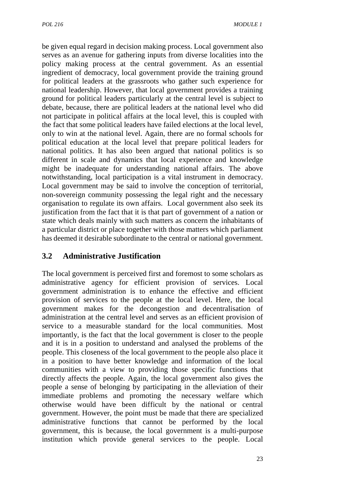be given equal regard in decision making process. Local government also serves as an avenue for gathering inputs from diverse localities into the policy making process at the central government. As an essential ingredient of democracy, local government provide the training ground for political leaders at the grassroots who gather such experience for national leadership. However, that local government provides a training ground for political leaders particularly at the central level is subject to debate, because, there are political leaders at the national level who did not participate in political affairs at the local level, this is coupled with the fact that some political leaders have failed elections at the local level, only to win at the national level. Again, there are no formal schools for political education at the local level that prepare political leaders for national politics. It has also been argued that national politics is so different in scale and dynamics that local experience and knowledge might be inadequate for understanding national affairs. The above notwithstanding, local participation is a vital instrument in democracy. Local government may be said to involve the conception of territorial, non-sovereign community possessing the legal right and the necessary organisation to regulate its own affairs. Local government also seek its justification from the fact that it is that part of government of a nation or state which deals mainly with such matters as concern the inhabitants of a particular district or place together with those matters which parliament has deemed it desirable subordinate to the central or national government.

# **3.2 Administrative Justification**

The local government is perceived first and foremost to some scholars as administrative agency for efficient provision of services. Local government administration is to enhance the effective and efficient provision of services to the people at the local level. Here, the local government makes for the decongestion and decentralisation of administration at the central level and serves as an efficient provision of service to a measurable standard for the local communities. Most importantly, is the fact that the local government is closer to the people and it is in a position to understand and analysed the problems of the people. This closeness of the local government to the people also place it in a position to have better knowledge and information of the local communities with a view to providing those specific functions that directly affects the people. Again, the local government also gives the people a sense of belonging by participating in the alleviation of their immediate problems and promoting the necessary welfare which otherwise would have been difficult by the national or central government. However, the point must be made that there are specialized administrative functions that cannot be performed by the local government, this is because, the local government is a multi-purpose institution which provide general services to the people. Local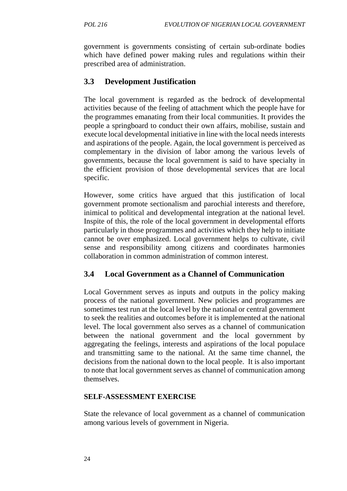government is governments consisting of certain sub-ordinate bodies which have defined power making rules and regulations within their prescribed area of administration.

### **3.3 Development Justification**

The local government is regarded as the bedrock of developmental activities because of the feeling of attachment which the people have for the programmes emanating from their local communities. It provides the people a springboard to conduct their own affairs, mobilise, sustain and execute local developmental initiative in line with the local needs interests and aspirations of the people. Again, the local government is perceived as complementary in the division of labor among the various levels of governments, because the local government is said to have specialty in the efficient provision of those developmental services that are local specific.

However, some critics have argued that this justification of local government promote sectionalism and parochial interests and therefore, inimical to political and developmental integration at the national level. Inspite of this, the role of the local government in developmental efforts particularly in those programmes and activities which they help to initiate cannot be over emphasized. Local government helps to cultivate, civil sense and responsibility among citizens and coordinates harmonies collaboration in common administration of common interest.

#### **3.4 Local Government as a Channel of Communication**

Local Government serves as inputs and outputs in the policy making process of the national government. New policies and programmes are sometimes test run at the local level by the national or central government to seek the realities and outcomes before it is implemented at the national level. The local government also serves as a channel of communication between the national government and the local government by aggregating the feelings, interests and aspirations of the local populace and transmitting same to the national. At the same time channel, the decisions from the national down to the local people. It is also important to note that local government serves as channel of communication among themselves.

#### **SELF-ASSESSMENT EXERCISE**

State the relevance of local government as a channel of communication among various levels of government in Nigeria.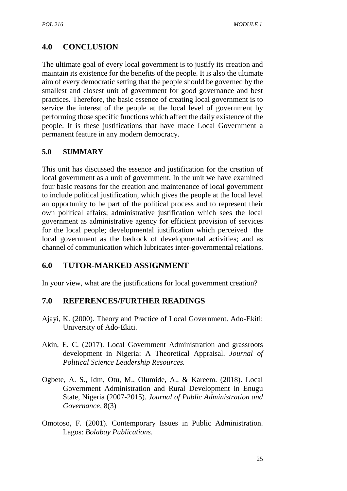# **4.0 CONCLUSION**

The ultimate goal of every local government is to justify its creation and maintain its existence for the benefits of the people. It is also the ultimate aim of every democratic setting that the people should be governed by the smallest and closest unit of government for good governance and best practices. Therefore, the basic essence of creating local government is to service the interest of the people at the local level of government by performing those specific functions which affect the daily existence of the people. It is these justifications that have made Local Government a permanent feature in any modern democracy.

### **5.0 SUMMARY**

This unit has discussed the essence and justification for the creation of local government as a unit of government. In the unit we have examined four basic reasons for the creation and maintenance of local government to include political justification, which gives the people at the local level an opportunity to be part of the political process and to represent their own political affairs; administrative justification which sees the local government as administrative agency for efficient provision of services for the local people; developmental justification which perceived the local government as the bedrock of developmental activities; and as channel of communication which lubricates inter-governmental relations.

### **6.0 TUTOR-MARKED ASSIGNMENT**

In your view, what are the justifications for local government creation?

- Ajayi, K. (2000). Theory and Practice of Local Government. Ado-Ekiti: University of Ado-Ekiti.
- Akin, E. C. (2017). Local Government Administration and grassroots development in Nigeria: A Theoretical Appraisal. *Journal of Political Science Leadership Resources.*
- Ogbete, A. S., Idm, Otu, M., Olumide, A., & Kareem. (2018). Local Government Administration and Rural Development in Enugu State, Nigeria (2007-2015). *Journal of Public Administration and Governance*, 8(3)
- Omotoso, F. (2001). Contemporary Issues in Public Administration. Lagos: *Bolabay Publications*.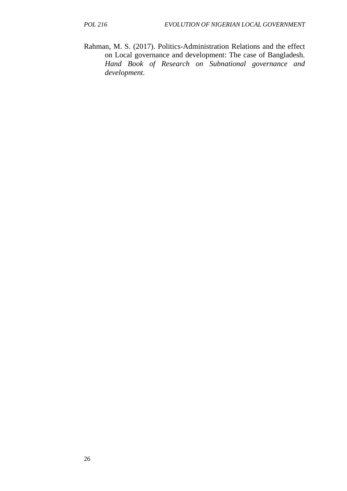Rahman, M. S. (2017). Politics-Administration Relations and the effect on Local governance and development: The case of Bangladesh. *Hand Book of Research on Subnational governance and development.*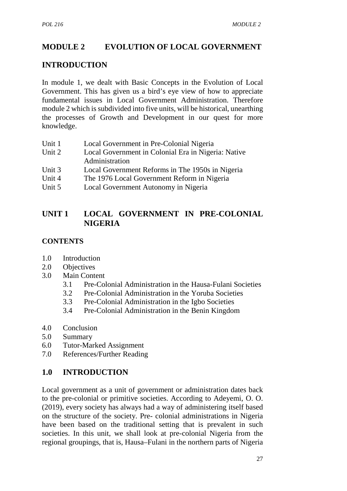# **MODULE 2 EVOLUTION OF LOCAL GOVERNMENT**

## **INTRODUCTION**

In module 1, we dealt with Basic Concepts in the Evolution of Local Government. This has given us a bird's eye view of how to appreciate fundamental issues in Local Government Administration. Therefore module 2 which is subdivided into five units, will be historical, unearthing the processes of Growth and Development in our quest for more knowledge.

| Unit 1 | Local Government in Pre-Colonial Nigeria            |  |
|--------|-----------------------------------------------------|--|
| Unit 2 | Local Government in Colonial Era in Nigeria: Native |  |
|        | Administration                                      |  |
| Unit 3 | Local Government Reforms in The 1950s in Nigeria    |  |
| Unit 4 | The 1976 Local Government Reform in Nigeria         |  |
| Unit 5 | Local Government Autonomy in Nigeria                |  |

## **UNIT 1 LOCAL GOVERNMENT IN PRE-COLONIAL NIGERIA**

### **CONTENTS**

- 1.0 Introduction
- 2.0 Objectives
- 3.0 Main Content
	- 3.1 Pre-Colonial Administration in the Hausa-Fulani Societies
	- 3.2 Pre-Colonial Administration in the Yoruba Societies
	- 3.3 Pre-Colonial Administration in the Igbo Societies
	- 3.4 Pre-Colonial Administration in the Benin Kingdom
- 4.0 Conclusion
- 5.0 Summary
- 6.0 Tutor-Marked Assignment
- 7.0 References/Further Reading

### **1.0 INTRODUCTION**

Local government as a unit of government or administration dates back to the pre-colonial or primitive societies. According to Adeyemi, O. O. (2019), every society has always had a way of administering itself based on the structure of the society. Pre- colonial administrations in Nigeria have been based on the traditional setting that is prevalent in such societies. In this unit, we shall look at pre-colonial Nigeria from the regional groupings, that is, Hausa–Fulani in the northern parts of Nigeria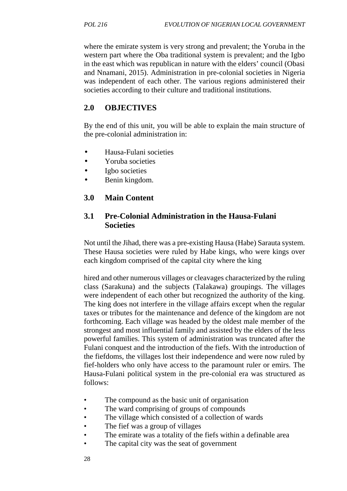where the emirate system is very strong and prevalent; the Yoruba in the western part where the Oba traditional system is prevalent; and the Igbo in the east which was republican in nature with the elders' council (Obasi and Nnamani, 2015). Administration in pre-colonial societies in Nigeria was independent of each other. The various regions administered their societies according to their culture and traditional institutions.

## **2.0 OBJECTIVES**

By the end of this unit, you will be able to explain the main structure of the pre-colonial administration in:

- Hausa-Fulani societies
- Yoruba societies
- Igbo societies
- Benin kingdom.
- **3.0 Main Content**

### **3.1 Pre-Colonial Administration in the Hausa-Fulani Societies**

Not until the Jihad, there was a pre-existing Hausa (Habe) Sarauta system. These Hausa societies were ruled by Habe kings, who were kings over each kingdom comprised of the capital city where the king

hired and other numerous villages or cleavages characterized by the ruling class (Sarakuna) and the subjects (Talakawa) groupings. The villages were independent of each other but recognized the authority of the king. The king does not interfere in the village affairs except when the regular taxes or tributes for the maintenance and defence of the kingdom are not forthcoming. Each village was headed by the oldest male member of the strongest and most influential family and assisted by the elders of the less powerful families. This system of administration was truncated after the Fulani conquest and the introduction of the fiefs. With the introduction of the fiefdoms, the villages lost their independence and were now ruled by fief-holders who only have access to the paramount ruler or emirs. The Hausa-Fulani political system in the pre-colonial era was structured as follows:

- The compound as the basic unit of organisation
- The ward comprising of groups of compounds
- The village which consisted of a collection of wards
- The fief was a group of villages
- The emirate was a totality of the fiefs within a definable area
- The capital city was the seat of government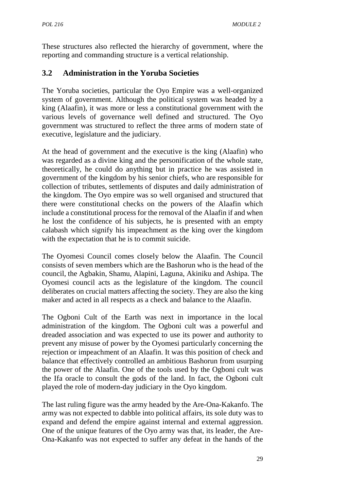These structures also reflected the hierarchy of government, where the reporting and commanding structure is a vertical relationship.

# **3.2 Administration in the Yoruba Societies**

The Yoruba societies, particular the Oyo Empire was a well-organized system of government. Although the political system was headed by a king (Alaafin), it was more or less a constitutional government with the various levels of governance well defined and structured. The Oyo government was structured to reflect the three arms of modern state of executive, legislature and the judiciary.

At the head of government and the executive is the king (Alaafin) who was regarded as a divine king and the personification of the whole state, theoretically, he could do anything but in practice he was assisted in government of the kingdom by his senior chiefs, who are responsible for collection of tributes, settlements of disputes and daily administration of the kingdom. The Oyo empire was so well organised and structured that there were constitutional checks on the powers of the Alaafin which include a constitutional process for the removal of the Alaafin if and when he lost the confidence of his subjects, he is presented with an empty calabash which signify his impeachment as the king over the kingdom with the expectation that he is to commit suicide.

The Oyomesi Council comes closely below the Alaafin. The Council consists of seven members which are the Bashorun who is the head of the council, the Agbakin, Shamu, Alapini, Laguna, Akiniku and Ashipa. The Oyomesi council acts as the legislature of the kingdom. The council deliberates on crucial matters affecting the society. They are also the king maker and acted in all respects as a check and balance to the Alaafin.

The Ogboni Cult of the Earth was next in importance in the local administration of the kingdom. The Ogboni cult was a powerful and dreaded association and was expected to use its power and authority to prevent any misuse of power by the Oyomesi particularly concerning the rejection or impeachment of an Alaafin. It was this position of check and balance that effectively controlled an ambitious Bashorun from usurping the power of the Alaafin. One of the tools used by the Ogboni cult was the Ifa oracle to consult the gods of the land. In fact, the Ogboni cult played the role of modern-day judiciary in the Oyo kingdom.

The last ruling figure was the army headed by the Are-Ona-Kakanfo. The army was not expected to dabble into political affairs, its sole duty was to expand and defend the empire against internal and external aggression. One of the unique features of the Oyo army was that, its leader, the Are- Ona-Kakanfo was not expected to suffer any defeat in the hands of the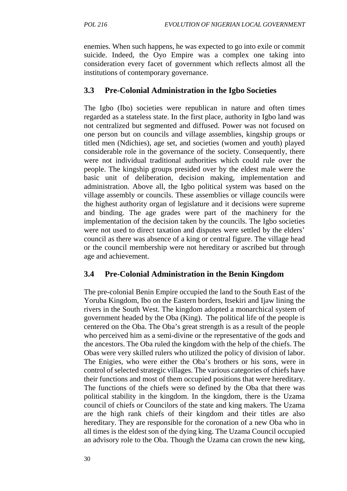enemies. When such happens, he was expected to go into exile or commit suicide. Indeed, the Oyo Empire was a complex one taking into consideration every facet of government which reflects almost all the institutions of contemporary governance.

### **3.3 Pre-Colonial Administration in the Igbo Societies**

The Igbo (Ibo) societies were republican in nature and often times regarded as a stateless state. In the first place, authority in Igbo land was not centralized but segmented and diffused. Power was not focused on one person but on councils and village assemblies, kingship groups or titled men (Ndichies), age set, and societies (women and youth) played considerable role in the governance of the society. Consequently, there were not individual traditional authorities which could rule over the people. The kingship groups presided over by the eldest male were the basic unit of deliberation, decision making, implementation and administration. Above all, the Igbo political system was based on the village assembly or councils. These assemblies or village councils were the highest authority organ of legislature and it decisions were supreme and binding. The age grades were part of the machinery for the implementation of the decision taken by the councils. The Igbo societies were not used to direct taxation and disputes were settled by the elders' council as there was absence of a king or central figure. The village head or the council membership were not hereditary or ascribed but through age and achievement.

### **3.4 Pre-Colonial Administration in the Benin Kingdom**

The pre-colonial Benin Empire occupied the land to the South East of the Yoruba Kingdom, Ibo on the Eastern borders, Itsekiri and Ijaw lining the rivers in the South West. The kingdom adopted a monarchical system of government headed by the Oba (King). The political life of the people is centered on the Oba. The Oba's great strength is as a result of the people who perceived him as a semi-divine or the representative of the gods and the ancestors. The Oba ruled the kingdom with the help of the chiefs. The Obas were very skilled rulers who utilized the policy of division of labor. The Enigies, who were either the Oba's brothers or his sons, were in control of selected strategic villages. The various categories of chiefs have their functions and most of them occupied positions that were hereditary. The functions of the chiefs were so defined by the Oba that there was political stability in the kingdom. In the kingdom, there is the Uzama council of chiefs or Councilors of the state and king makers. The Uzama are the high rank chiefs of their kingdom and their titles are also hereditary. They are responsible for the coronation of a new Oba who in all times is the eldest son of the dying king. The Uzama Council occupied an advisory role to the Oba. Though the Uzama can crown the new king,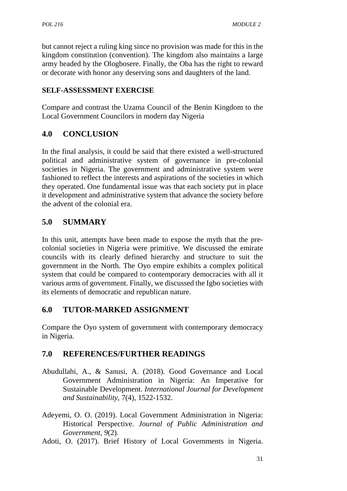but cannot reject a ruling king since no provision was made for this in the kingdom constitution (convention). The kingdom also maintains a large army headed by the Ologbosere. Finally, the Oba has the right to reward or decorate with honor any deserving sons and daughters of the land.

### **SELF-ASSESSMENT EXERCISE**

Compare and contrast the Uzama Council of the Benin Kingdom to the Local Government Councilors in modern day Nigeria

## **4.0 CONCLUSION**

In the final analysis, it could be said that there existed a well-structured political and administrative system of governance in pre-colonial societies in Nigeria. The government and administrative system were fashioned to reflect the interests and aspirations of the societies in which they operated. One fundamental issue was that each society put in place it development and administrative system that advance the society before the advent of the colonial era.

## **5.0 SUMMARY**

In this unit, attempts have been made to expose the myth that the pre colonial societies in Nigeria were primitive. We discussed the emirate councils with its clearly defined hierarchy and structure to suit the government in the North. The Oyo empire exhibits a complex political system that could be compared to contemporary democracies with all it various arms of government. Finally, we discussed the Igbo societies with its elements of democratic and republican nature.

# **6.0 TUTOR-MARKED ASSIGNMENT**

Compare the Oyo system of government with contemporary democracy in Nigeria.

- Abudullahi, A., & Sanusi, A. (2018). Good Governance and Local Government Administration in Nigeria: An Imperative for Sustainable Development. *International Journal for Development and Sustainability*, 7(4), 1522-1532.
- Adeyemi, O. O. (2019). Local Government Administration in Nigeria: Historical Perspective. *Journal of Public Administration and Government, 9*(2).
- Adoti, O. (2017). Brief History of Local Governments in Nigeria.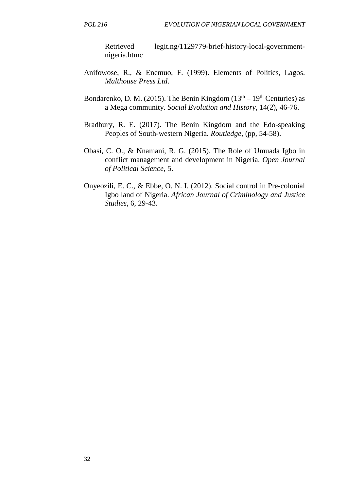Retrieved legit.ng/1129779-brief-history-local-government nigeria.htmc

- Anifowose, R., & Enemuo, F. (1999). Elements of Politics, Lagos. *Malthouse Press Ltd*.
- Bondarenko, D. M. (2015). The Benin Kingdom ( $13<sup>th</sup> 19<sup>th</sup>$  Centuries) as a Mega community. *Social Evolution and History*, 14(2), 46-76.
- Bradbury, R. E. (2017). The Benin Kingdom and the Edo-speaking Peoples of South-western Nigeria. *Routledge*, (pp, 54-58).
- Obasi, C. O., & Nnamani, R. G. (2015). The Role of Umuada Igbo in conflict management and development in Nigeria. *Open Journal of Political Science*, 5.
- Onyeozili, E. C., & Ebbe, O. N. I. (2012). Social control in Pre-colonial Igbo land of Nigeria. *African Journal of Criminology and Justice Studies*, 6, 29-43.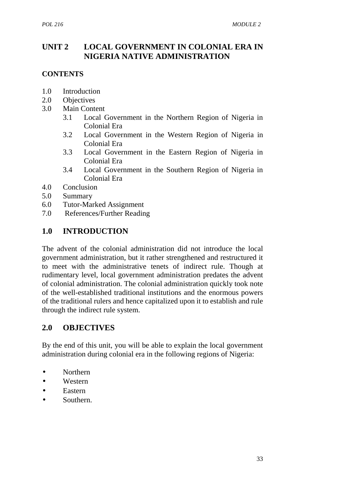## **UNIT 2 LOCAL GOVERNMENT IN COLONIAL ERA IN NIGERIA NATIVE ADMINISTRATION**

#### **CONTENTS**

- 1.0 Introduction
- 2.0 Objectives
- 3.0 Main Content
	- 3.1 Local Government in the Northern Region of Nigeria in Colonial Era
	- 3.2 Local Government in the Western Region of Nigeria in Colonial Era
	- 3.3 Local Government in the Eastern Region of Nigeria in Colonial Era
	- 3.4 Local Government in the Southern Region of Nigeria in Colonial Era
- 4.0 Conclusion
- 5.0 Summary
- 6.0 Tutor-Marked Assignment
- 7.0 References/Further Reading

## **1.0 INTRODUCTION**

The advent of the colonial administration did not introduce the local government administration, but it rather strengthened and restructured it to meet with the administrative tenets of indirect rule. Though at rudimentary level, local government administration predates the advent of colonial administration. The colonial administration quickly took note of the well-established traditional institutions and the enormous powers of the traditional rulers and hence capitalized upon it to establish and rule through the indirect rule system.

### **2.0 OBJECTIVES**

By the end of this unit, you will be able to explain the local government administration during colonial era in the following regions of Nigeria:

- Northern
- Western
- Eastern
- Southern.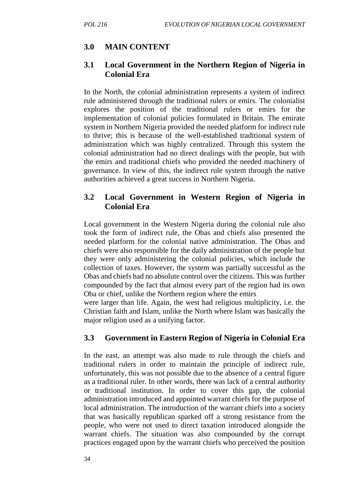# **3.0 MAIN CONTENT**

### **3.1 Local Government in the Northern Region of Nigeria in Colonial Era**

In the North, the colonial administration represents a system of indirect rule administered through the traditional rulers or emirs. The colonialist explores the position of the traditional rulers or emirs for the implementation of colonial policies formulated in Britain. The emirate system in Northern Nigeria provided the needed platform for indirect rule to thrive; this is because of the well-established traditional system of administration which was highly centralized. Through this system the colonial administration had no direct dealings with the people, but with the emirs and traditional chiefs who provided the needed machinery of governance. In view of this, the indirect rule system through the native authorities achieved a great success in Northern Nigeria.

## **3.2 Local Government in Western Region of Nigeria in Colonial Era**

Local government in the Western Nigeria during the colonial rule also took the form of indirect rule, the Obas and chiefs also presented the needed platform for the colonial native administration. The Obas and chiefs were also responsible for the daily administration of the people but they were only administering the colonial policies, which include the collection of taxes. However, the system was partially successful as the Obas and chiefs had no absolute control over the citizens. This was further compounded by the fact that almost every part of the region had its own Oba or chief, unlike the Northern region where the emirs

were larger than life. Again, the west had religious multiplicity, i.e. the Christian faith and Islam, unlike the North where Islam was basically the major religion used as a unifying factor.

# **3.3 Government in Eastern Region of Nigeria in Colonial Era**

In the east, an attempt was also made to rule through the chiefs and traditional rulers in order to maintain the principle of indirect rule, unfortunately, this was not possible due to the absence of a central figure as a traditional ruler. In other words, there was lack of a central authority or traditional institution. In order to cover this gap, the colonial administration introduced and appointed warrant chiefs for the purpose of local administration. The introduction of the warrant chiefs into a society that was basically republican sparked off a strong resistance from the people, who were not used to direct taxation introduced alongside the warrant chiefs. The situation was also compounded by the corrupt practices engaged upon by the warrant chiefs who perceived the position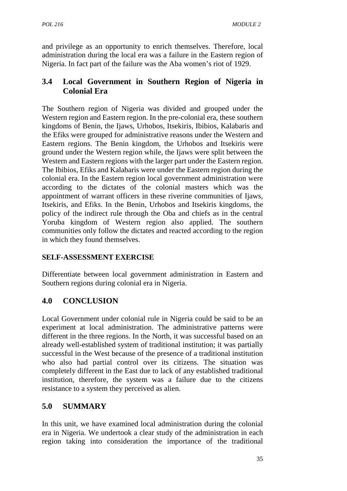and privilege as an opportunity to enrich themselves. Therefore, local administration during the local era was a failure in the Eastern region of Nigeria. In fact part of the failure was the Aba women's riot of 1929.

# **3.4 Local Government in Southern Region of Nigeria in Colonial Era**

The Southern region of Nigeria was divided and grouped under the Western region and Eastern region. In the pre-colonial era, these southern kingdoms of Benin, the Ijaws, Urhobos, Itsekiris, Ibibios, Kalabaris and the Efiks were grouped for administrative reasons under the Western and Eastern regions. The Benin kingdom, the Urhobos and Itsekiris were ground under the Western region while, the Ijaws were split between the Western and Eastern regions with the larger part under the Eastern region. The Ibibios, Efiks and Kalabaris were under the Eastern region during the colonial era. In the Eastern region local government administration were according to the dictates of the colonial masters which was the appointment of warrant officers in these riverine communities of Ijaws, Itsekiris, and Efiks. In the Benin, Urhobos and Itsekiris kingdoms, the policy of the indirect rule through the Oba and chiefs as in the central Yoruba kingdom of Western region also applied. The southern communities only follow the dictates and reacted according to the region in which they found themselves.

### **SELF-ASSESSMENT EXERCISE**

Differentiate between local government administration in Eastern and Southern regions during colonial era in Nigeria.

# **4.0 CONCLUSION**

Local Government under colonial rule in Nigeria could be said to be an experiment at local administration. The administrative patterns were different in the three regions. In the North, it was successful based on an already well-established system of traditional institution; it was partially successful in the West because of the presence of a traditional institution who also had partial control over its citizens. The situation was completely different in the East due to lack of any established traditional institution, therefore, the system was a failure due to the citizens resistance to a system they perceived as alien.

# **5.0 SUMMARY**

In this unit, we have examined local administration during the colonial era in Nigeria. We undertook a clear study of the administration in each region taking into consideration the importance of the traditional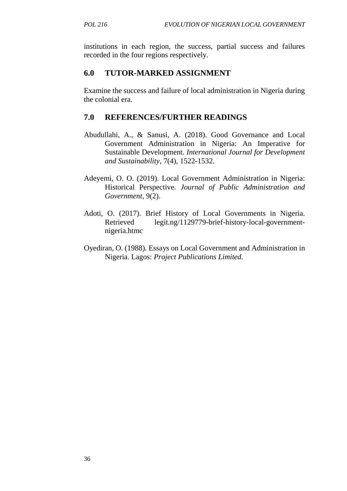institutions in each region, the success, partial success and failures recorded in the four regions respectively.

## **6.0 TUTOR-MARKED ASSIGNMENT**

Examine the success and failure of local administration in Nigeria during the colonial era.

- Abudullahi, A., & Sanusi, A. (2018). Good Governance and Local Government Administration in Nigeria: An Imperative for Sustainable Development. *International Journal for Development and Sustainability*, 7(4), 1522-1532.
- Adeyemi, O. O. (2019). Local Government Administration in Nigeria: Historical Perspective. *Journal of Public Administration and Government,* 9(2).
- Adoti, O. (2017). Brief History of Local Governments in Nigeria. Retrieved legit.ng/1129779-brief-history-local-government nigeria.htmc
- Oyediran, O. (1988). Essays on Local Government and Administration in Nigeria. Lagos: *Project Publications Limited.*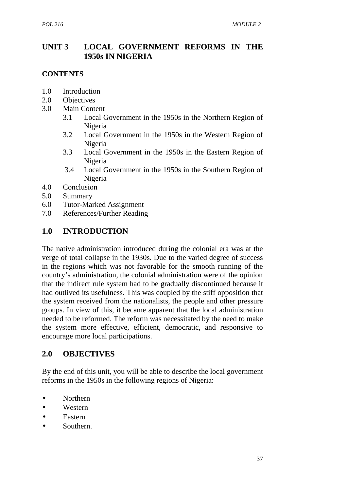## **UNIT 3 LOCAL GOVERNMENT REFORMS IN THE 1950s IN NIGERIA**

#### **CONTENTS**

- 1.0 Introduction
- 2.0 Objectives
- 3.0 Main Content
	- 3.1 Local Government in the 1950s in the Northern Region of Nigeria
	- 3.2 Local Government in the 1950s in the Western Region of Nigeria
	- 3.3 Local Government in the 1950s in the Eastern Region of Nigeria
	- 3.4 Local Government in the 1950s in the Southern Region of Nigeria
- 4.0 Conclusion
- 5.0 Summary
- 6.0 Tutor-Marked Assignment
- 7.0 References/Further Reading

## **1.0 INTRODUCTION**

The native administration introduced during the colonial era was at the verge of total collapse in the 1930s. Due to the varied degree of success in the regions which was not favorable for the smooth running of the country's administration, the colonial administration were of the opinion that the indirect rule system had to be gradually discontinued because it had outlived its usefulness. This was coupled by the stiff opposition that the system received from the nationalists, the people and other pressure groups. In view of this, it became apparent that the local administration needed to be reformed. The reform was necessitated by the need to make the system more effective, efficient, democratic, and responsive to encourage more local participations.

### **2.0 OBJECTIVES**

By the end of this unit, you will be able to describe the local government reforms in the 1950s in the following regions of Nigeria:

- Northern
- Western
- Eastern
- Southern.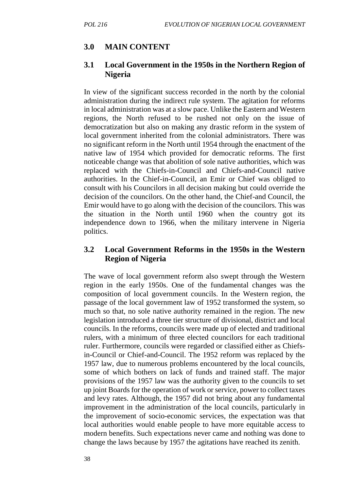#### **3.0 MAIN CONTENT**

#### **3.1 Local Government in the 1950s in the Northern Region of Nigeria**

In view of the significant success recorded in the north by the colonial administration during the indirect rule system. The agitation for reforms in local administration was at a slow pace. Unlike the Eastern and Western regions, the North refused to be rushed not only on the issue of democratization but also on making any drastic reform in the system of local government inherited from the colonial administrators. There was no significant reform in the North until 1954 through the enactment of the native law of 1954 which provided for democratic reforms. The first noticeable change was that abolition of sole native authorities, which was replaced with the Chiefs-in-Council and Chiefs-and-Council native authorities. In the Chief-in-Council, an Emir or Chief was obliged to consult with his Councilors in all decision making but could override the decision of the councilors. On the other hand, the Chief-and Council, the Emir would have to go along with the decision of the councilors. This was the situation in the North until 1960 when the country got its independence down to 1966, when the military intervene in Nigeria politics.

#### **3.2 Local Government Reforms in the 1950s in the Western Region of Nigeria**

The wave of local government reform also swept through the Western region in the early 1950s. One of the fundamental changes was the composition of local government councils. In the Western region, the passage of the local government law of 1952 transformed the system, so much so that, no sole native authority remained in the region. The new legislation introduced a three tier structure of divisional, district and local councils. In the reforms, councils were made up of elected and traditional rulers, with a minimum of three elected councilors for each traditional ruler. Furthermore, councils were regarded or classified either as Chiefsin-Council or Chief-and-Council. The 1952 reform was replaced by the 1957 law, due to numerous problems encountered by the local councils, some of which bothers on lack of funds and trained staff. The major provisions of the 1957 law was the authority given to the councils to set up joint Boards for the operation of work or service, power to collect taxes and levy rates. Although, the 1957 did not bring about any fundamental improvement in the administration of the local councils, particularly in the improvement of socio-economic services, the expectation was that local authorities would enable people to have more equitable access to modern benefits. Such expectations never came and nothing was done to change the laws because by 1957 the agitations have reached its zenith.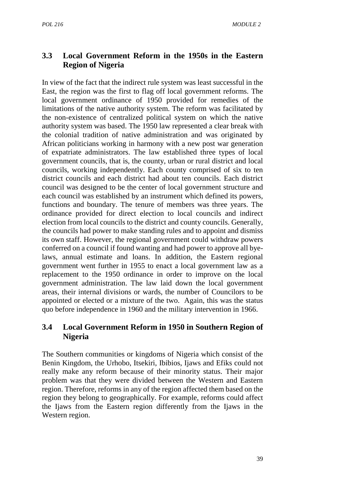# **3.3 Local Government Reform in the 1950s in the Eastern Region of Nigeria**

In view of the fact that the indirect rule system was least successful in the East, the region was the first to flag off local government reforms. The local government ordinance of 1950 provided for remedies of the limitations of the native authority system. The reform was facilitated by the non-existence of centralized political system on which the native authority system was based. The 1950 law represented a clear break with the colonial tradition of native administration and was originated by African politicians working in harmony with a new post war generation of expatriate administrators. The law established three types of local government councils, that is, the county, urban or rural district and local councils, working independently. Each county comprised of six to ten district councils and each district had about ten councils. Each district council was designed to be the center of local government structure and each council was established by an instrument which defined its powers, functions and boundary. The tenure of members was three years. The ordinance provided for direct election to local councils and indirect election from local councils to the district and county councils. Generally, the councils had power to make standing rules and to appoint and dismiss its own staff. However, the regional government could withdraw powers conferred on a council if found wanting and had power to approve all byelaws, annual estimate and loans. In addition, the Eastern regional government went further in 1955 to enact a local government law as a replacement to the 1950 ordinance in order to improve on the local government administration. The law laid down the local government areas, their internal divisions or wards, the number of Councilors to be appointed or elected or a mixture of the two. Again, this was the status quo before independence in 1960 and the military intervention in 1966.

# **3.4 Local Government Reform in 1950 in Southern Region of Nigeria**

The Southern communities or kingdoms of Nigeria which consist of the Benin Kingdom, the Urhobo, Itsekiri, Ibibios, Ijaws and Efiks could not really make any reform because of their minority status. Their major problem was that they were divided between the Western and Eastern region. Therefore, reforms in any of the region affected them based on the region they belong to geographically. For example, reforms could affect the Ijaws from the Eastern region differently from the Ijaws in the Western region.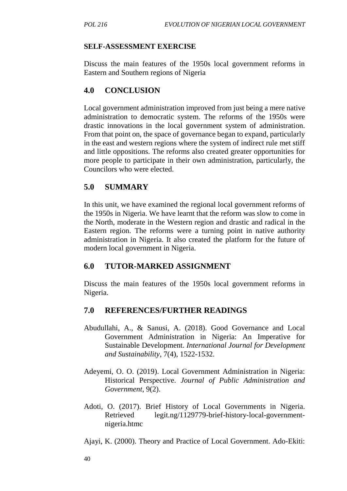#### **SELF-ASSESSMENT EXERCISE**

Discuss the main features of the 1950s local government reforms in Eastern and Southern regions of Nigeria

### **4.0 CONCLUSION**

Local government administration improved from just being a mere native administration to democratic system. The reforms of the 1950s were drastic innovations in the local government system of administration. From that point on, the space of governance began to expand, particularly in the east and western regions where the system of indirect rule met stiff and little oppositions. The reforms also created greater opportunities for more people to participate in their own administration, particularly, the Councilors who were elected.

### **5.0 SUMMARY**

In this unit, we have examined the regional local government reforms of the 1950s in Nigeria. We have learnt that the reform was slow to come in the North, moderate in the Western region and drastic and radical in the Eastern region. The reforms were a turning point in native authority administration in Nigeria. It also created the platform for the future of modern local government in Nigeria.

#### **6.0 TUTOR-MARKED ASSIGNMENT**

Discuss the main features of the 1950s local government reforms in Nigeria.

- Abudullahi, A., & Sanusi, A. (2018). Good Governance and Local Government Administration in Nigeria: An Imperative for Sustainable Development. *International Journal for Development and Sustainability*, 7(4), 1522-1532.
- Adeyemi, O. O. (2019). Local Government Administration in Nigeria: Historical Perspective. *Journal of Public Administration and Government,* 9(2).
- Adoti, O. (2017). Brief History of Local Governments in Nigeria. Retrieved legit.ng/1129779-brief-history-local-government nigeria.htmc
- Ajayi, K. (2000). Theory and Practice of Local Government. Ado-Ekiti: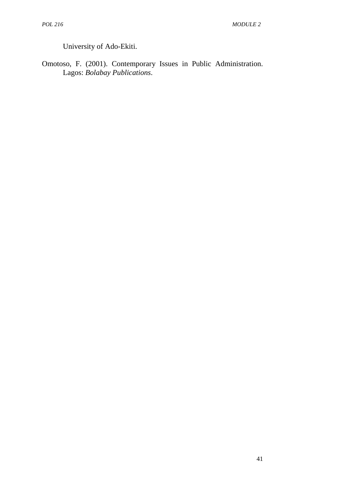University of Ado-Ekiti.

Omotoso, F. (2001). Contemporary Issues in Public Administration. Lagos: *Bolabay Publications*.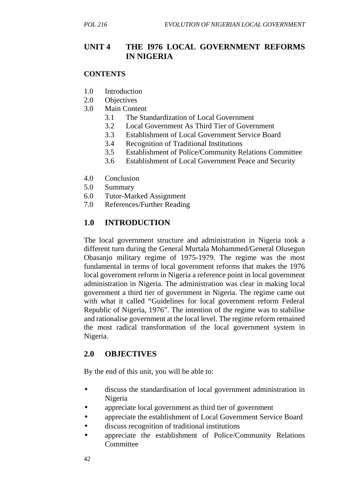## **UNIT 4 THE I976 LOCAL GOVERNMENT REFORMS IN NIGERIA**

#### **CONTENTS**

- 1.0 Introduction
- 2.0 Objectives
- 3.0 Main Content
	- 3.1 The Standardization of Local Government
	- 3.2 Local Government As Third Tier of Government
	- 3.3 Establishment of Local Government Service Board
	- 3.4 Recognition of Traditional Institutions
	- 3.5 Establishment of Police/Community Relations Committee
	- 3.6 Establishment of Local Government Peace and Security
- 4.0 Conclusion
- 5.0 Summary
- 6.0 Tutor-Marked Assignment
- 7.0 References/Further Reading

# **1.0 INTRODUCTION**

The local government structure and administration in Nigeria took a different turn during the General Murtala Mohammed/General Olusegun Obasanjo military regime of 1975-1979. The regime was the most fundamental in terms of local government reforms that makes the 1976 local government reform in Nigeria a reference point in local government administration in Nigeria. The administration was clear in making local government a third tier of government in Nigeria. The regime came out with what it called "Guidelines for local government reform Federal Republic of Nigeria, 1976". The intention of the regime was to stabilise and rationalise government at the local level. The regime reform remained the most radical transformation of the local government system in Nigeria.

# **2.0 OBJECTIVES**

By the end of this unit, you will be able to:

- discuss the standardisation of local government administration in Nigeria
- appreciate local government as third tier of government
- appreciate the establishment of Local Government Service Board
- discuss recognition of traditional institutions
- appreciate the establishment of Police/Community Relations **Committee**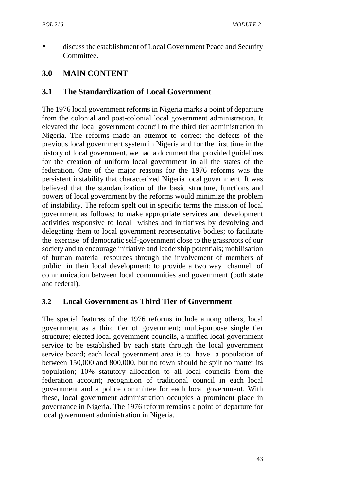discuss the establishment of Local Government Peace and Security Committee.

# **3.0 MAIN CONTENT**

### **3.1 The Standardization of Local Government**

The 1976 local government reforms in Nigeria marks a point of departure from the colonial and post-colonial local government administration. It elevated the local government council to the third tier administration in Nigeria. The reforms made an attempt to correct the defects of the previous local government system in Nigeria and for the first time in the history of local government, we had a document that provided guidelines for the creation of uniform local government in all the states of the federation. One of the major reasons for the 1976 reforms was the persistent instability that characterized Nigeria local government. It was believed that the standardization of the basic structure, functions and powers of local government by the reforms would minimize the problem of instability. The reform spelt out in specific terms the mission of local government as follows; to make appropriate services and development activities responsive to local wishes and initiatives by devolving and delegating them to local government representative bodies; to facilitate the exercise of democratic self-government close to the grassroots of our society and to encourage initiative and leadership potentials; mobilisation of human material resources through the involvement of members of public in their local development; to provide a two way channel of communication between local communities and government (both state and federal).

### **3.2 Local Government as Third Tier of Government**

The special features of the 1976 reforms include among others, local government as a third tier of government; multi-purpose single tier structure; elected local government councils, a unified local government service to be established by each state through the local government service board; each local government area is to have a population of between 150,000 and 800,000, but no town should be spilt no matter its population; 10% statutory allocation to all local councils from the federation account; recognition of traditional council in each local government and a police committee for each local government. With these, local government administration occupies a prominent place in governance in Nigeria. The 1976 reform remains a point of departure for local government administration in Nigeria.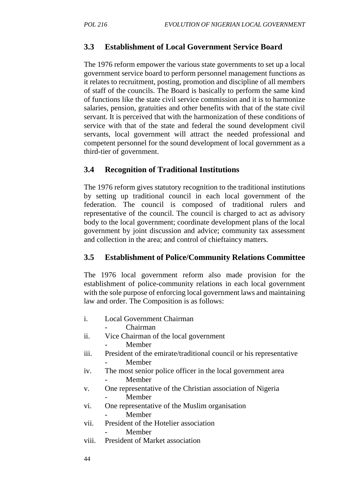### **3.3 Establishment of Local Government Service Board**

The 1976 reform empower the various state governments to set up a local government service board to perform personnel management functions as it relates to recruitment, posting, promotion and discipline of all members of staff of the councils. The Board is basically to perform the same kind of functions like the state civil service commission and it is to harmonize salaries, pension, gratuities and other benefits with that of the state civil servant. It is perceived that with the harmonization of these conditions of service with that of the state and federal the sound development civil servants, local government will attract the needed professional and competent personnel for the sound development of local government as a third-tier of government.

## **3.4 Recognition of Traditional Institutions**

The 1976 reform gives statutory recognition to the traditional institutions by setting up traditional council in each local government of the federation. The council is composed of traditional rulers and representative of the council. The council is charged to act as advisory body to the local government; coordinate development plans of the local government by joint discussion and advice; community tax assessment and collection in the area; and control of chieftaincy matters.

### **3.5 Establishment of Police/Community Relations Committee**

The 1976 local government reform also made provision for the establishment of police-community relations in each local government with the sole purpose of enforcing local government laws and maintaining law and order. The Composition is as follows:

- i. Local Government Chairman
	- Chairman
- ii. Vice Chairman of the local government
	- **Member**
- iii. President of the emirate/traditional council or his representative **Member**
- iv. The most senior police officer in the local government area **Member**
- v. One representative of the Christian association of Nigeria **Member**
- vi. One representative of the Muslim organisation - Member
	-
- vii. President of the Hotelier association **Member** 
	-
- viii. President of Market association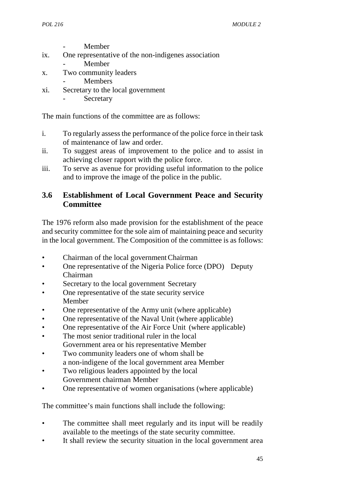**Member** 

- ix. One representative of the non-indigenes association
	- Member
- x. Two community leaders
	- **Members**
- xi. Secretary to the local government
	- **Secretary**

The main functions of the committee are as follows:

- i. To regularly assess the performance of the police force in their task of maintenance of law and order.
- ii. To suggest areas of improvement to the police and to assist in achieving closer rapport with the police force.
- iii. To serve as avenue for providing useful information to the police and to improve the image of the police in the public.

# **3.6 Establishment of Local Government Peace and Security Committee**

The 1976 reform also made provision for the establishment of the peace and security committee for the sole aim of maintaining peace and security in the local government. The Composition of the committee is as follows:

- Chairman of the local governmentChairman
- One representative of the Nigeria Police force (DPO) Deputy Chairman
- Secretary to the local government Secretary
- One representative of the state security service Member
- One representative of the Army unit (where applicable)
- One representative of the Naval Unit (where applicable)
- One representative of the Air Force Unit (where applicable)
- The most senior traditional ruler in the local Government area or his representative Member
- Two community leaders one of whom shall be a non-indigene of the local government area Member
- Two religious leaders appointed by the local Government chairman Member
- One representative of women organisations (where applicable)

The committee's main functions shall include the following:

- The committee shall meet regularly and its input will be readily available to the meetings of the state security committee.
- It shall review the security situation in the local government area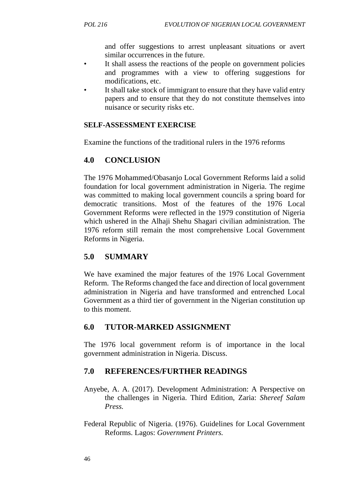and offer suggestions to arrest unpleasant situations or avert similar occurrences in the future.

- It shall assess the reactions of the people on government policies and programmes with a view to offering suggestions for modifications, etc.
- It shall take stock of immigrant to ensure that they have valid entry papers and to ensure that they do not constitute themselves into nuisance or security risks etc.

### **SELF-ASSESSMENT EXERCISE**

Examine the functions of the traditional rulers in the 1976 reforms

# **4.0 CONCLUSION**

The 1976 Mohammed/Obasanjo Local Government Reforms laid a solid foundation for local government administration in Nigeria. The regime was committed to making local government councils a spring board for democratic transitions. Most of the features of the 1976 Local Government Reforms were reflected in the 1979 constitution of Nigeria which ushered in the Alhaji Shehu Shagari civilian administration. The 1976 reform still remain the most comprehensive Local Government Reforms in Nigeria.

# **5.0 SUMMARY**

We have examined the major features of the 1976 Local Government Reform. The Reforms changed the face and direction of local government administration in Nigeria and have transformed and entrenched Local Government as a third tier of government in the Nigerian constitution up to this moment.

### **6.0 TUTOR-MARKED ASSIGNMENT**

The 1976 local government reform is of importance in the local government administration in Nigeria. Discuss.

- Anyebe, A. A. (2017). Development Administration: A Perspective on the challenges in Nigeria. Third Edition, Zaria: *Shereef Salam Press.*
- Federal Republic of Nigeria. (1976). Guidelines for Local Government Reforms. Lagos: *Government Printers.*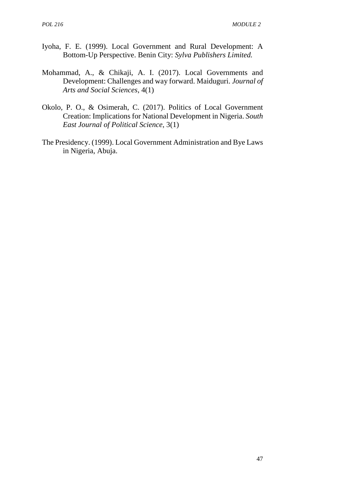- Iyoha, F. E. (1999). Local Government and Rural Development: A Bottom-Up Perspective. Benin City: *Sylva Publishers Limited.*
- Mohammad, A., & Chikaji, A. I. (2017). Local Governments and Development: Challenges and way forward. Maiduguri. *Journal of Arts and Social Sciences*, 4(1)
- Okolo, P. O., & Osimerah, C. (2017). Politics of Local Government Creation: Implications for National Development in Nigeria. *South East Journal of Political Science*, 3(1)
- The Presidency. (1999). Local Government Administration and Bye Laws in Nigeria, Abuja.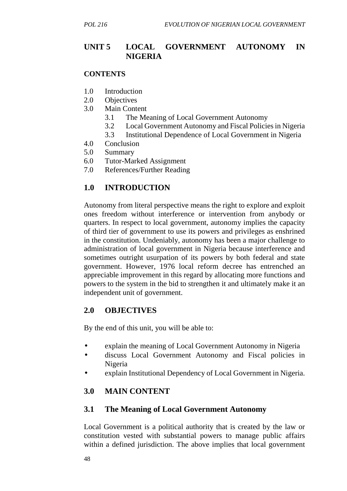# **UNIT 5 LOCAL GOVERNMENT AUTONOMY IN NIGERIA**

#### **CONTENTS**

- 1.0 Introduction
- 2.0 Objectives
- 3.0 Main Content
	- 3.1 The Meaning of Local Government Autonomy
	- 3.2 Local Government Autonomy and Fiscal Policies in Nigeria
	- 3.3 Institutional Dependence of Local Government in Nigeria
- 4.0 Conclusion
- 5.0 Summary
- 6.0 Tutor-Marked Assignment
- 7.0 References/Further Reading

# **1.0 INTRODUCTION**

Autonomy from literal perspective means the right to explore and exploit ones freedom without interference or intervention from anybody or quarters. In respect to local government, autonomy implies the capacity of third tier of government to use its powers and privileges as enshrined in the constitution. Undeniably, autonomy has been a major challenge to administration of local government in Nigeria because interference and sometimes outright usurpation of its powers by both federal and state government. However, 1976 local reform decree has entrenched an appreciable improvement in this regard by allocating more functions and powers to the system in the bid to strengthen it and ultimately make it an independent unit of government.

### **2.0 OBJECTIVES**

By the end of this unit, you will be able to:

- explain the meaning of Local Government Autonomy in Nigeria
- discuss Local Government Autonomy and Fiscal policies in Nigeria
- explain Institutional Dependency of Local Government in Nigeria.

# **3.0 MAIN CONTENT**

### **3.1 The Meaning of Local Government Autonomy**

Local Government is a political authority that is created by the law or constitution vested with substantial powers to manage public affairs within a defined jurisdiction. The above implies that local government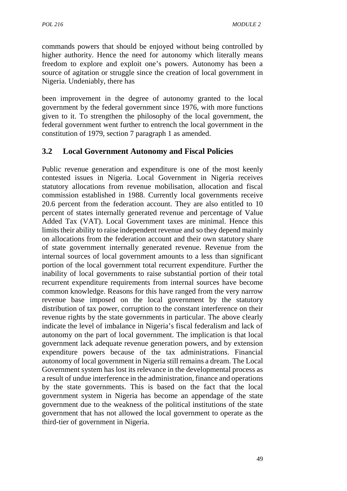commands powers that should be enjoyed without being controlled by higher authority. Hence the need for autonomy which literally means freedom to explore and exploit one's powers. Autonomy has been a source of agitation or struggle since the creation of local government in Nigeria. Undeniably, there has

been improvement in the degree of autonomy granted to the local government by the federal government since 1976, with more functions given to it. To strengthen the philosophy of the local government, the federal government went further to entrench the local government in the constitution of 1979, section 7 paragraph 1 as amended.

## **3.2 Local Government Autonomy and Fiscal Policies**

Public revenue generation and expenditure is one of the most keenly contested issues in Nigeria. Local Government in Nigeria receives statutory allocations from revenue mobilisation, allocation and fiscal commission established in 1988. Currently local governments receive 20.6 percent from the federation account. They are also entitled to 10 percent of states internally generated revenue and percentage of Value Added Tax (VAT). Local Government taxes are minimal. Hence this limits their ability to raise independent revenue and so they depend mainly on allocations from the federation account and their own statutory share of state government internally generated revenue. Revenue from the internal sources of local government amounts to a less than significant portion of the local government total recurrent expenditure. Further the inability of local governments to raise substantial portion of their total recurrent expenditure requirements from internal sources have become common knowledge. Reasons for this have ranged from the very narrow revenue base imposed on the local government by the statutory distribution of tax power, corruption to the constant interference on their revenue rights by the state governments in particular. The above clearly indicate the level of imbalance in Nigeria's fiscal federalism and lack of autonomy on the part of local government. The implication is that local government lack adequate revenue generation powers, and by extension expenditure powers because of the tax administrations. Financial autonomy of local government in Nigeria still remains a dream. The Local Government system has lost its relevance in the developmental process as a result of undue interference in the administration, finance and operations by the state governments. This is based on the fact that the local government system in Nigeria has become an appendage of the state government due to the weakness of the political institutions of the state government that has not allowed the local government to operate as the third-tier of government in Nigeria.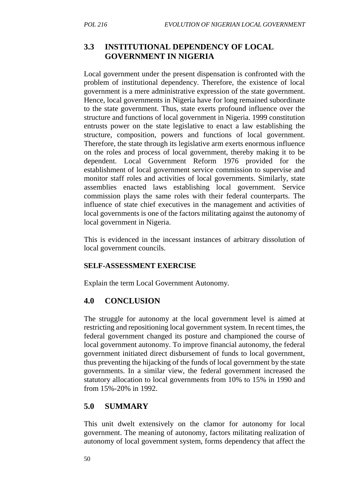## **3.3 INSTITUTIONAL DEPENDENCY OF LOCAL GOVERNMENT IN NIGERIA**

Local government under the present dispensation is confronted with the problem of institutional dependency. Therefore, the existence of local government is a mere administrative expression of the state government. Hence, local governments in Nigeria have for long remained subordinate to the state government. Thus, state exerts profound influence over the structure and functions of local government in Nigeria. 1999 constitution entrusts power on the state legislative to enact a law establishing the structure, composition, powers and functions of local government. Therefore, the state through its legislative arm exerts enormous influence on the roles and process of local government, thereby making it to be dependent. Local Government Reform 1976 provided for the establishment of local government service commission to supervise and monitor staff roles and activities of local governments. Similarly, state assemblies enacted laws establishing local government. Service commission plays the same roles with their federal counterparts. The influence of state chief executives in the management and activities of local governments is one of the factors militating against the autonomy of local government in Nigeria.

This is evidenced in the incessant instances of arbitrary dissolution of local government councils.

#### **SELF-ASSESSMENT EXERCISE**

Explain the term Local Government Autonomy.

### **4.0 CONCLUSION**

The struggle for autonomy at the local government level is aimed at restricting and repositioning local government system. In recent times, the federal government changed its posture and championed the course of local government autonomy. To improve financial autonomy, the federal government initiated direct disbursement of funds to local government, thus preventing the hijacking of the funds of local government by the state governments. In a similar view, the federal government increased the statutory allocation to local governments from 10% to 15% in 1990 and from 15%-20% in 1992.

# **5.0 SUMMARY**

This unit dwelt extensively on the clamor for autonomy for local government. The meaning of autonomy, factors militating realization of autonomy of local government system, forms dependency that affect the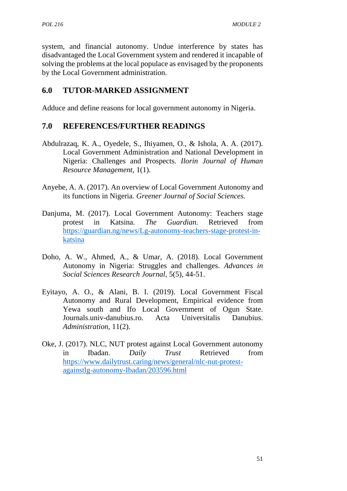system, and financial autonomy. Undue interference by states has disadvantaged the Local Government system and rendered it incapable of solving the problems at the local populace as envisaged by the proponents by the Local Government administration.

# **6.0 TUTOR-MARKED ASSIGNMENT**

Adduce and define reasons for local government autonomy in Nigeria.

- Abdulrazaq, K. A., Oyedele, S., Ihiyamen, O., & Ishola, A. A. (2017). Local Government Administration and National Development in Nigeria: Challenges and Prospects*. Ilorin Journal of Human Resource Management*, 1(1).
- Anyebe, A. A. (2017). An overview of Local Government Autonomy and its functions in Nigeria. *Greener Journal of Social Sciences.*
- Danjuma, M. (2017). Local Government Autonomy: Teachers stage protest in Katsina. *The Guardian*. Retrieved from https://guardian.ng/news/Lg-autonomy-teachers-stage-protest-in katsina
- Doho, A. W., Ahmed, A., & Umar, A. (2018). Local Government Autonomy in Nigeria: Struggles and challenges. *Advances in Social Sciences Research Journal*, 5(5), 44-51.
- Eyitayo, A. O., & Alani, B. I. (2019). Local Government Fiscal Autonomy and Rural Development, Empirical evidence from Yewa south and Ifo Local Government of Ogun State. Journals.univ-danubius.ro. Acta Universitalis Danubius. *Administration,* 11(2).
- Oke, J. (2017). NLC, NUT protest against Local Government autonomy in Ibadan. *Daily Trust* Retrieved from https://www.dailytrust.caring/news/general/nlc-nut-protest againstlg-autonomy-Ibadan/203596.html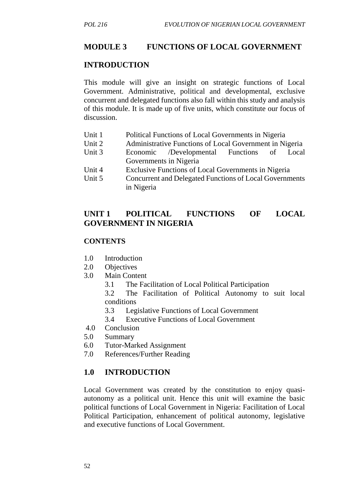#### **MODULE 3 FUNCTIONS OF LOCAL GOVERNMENT**

#### **INTRODUCTION**

This module will give an insight on strategic functions of Local Government. Administrative, political and developmental, exclusive concurrent and delegated functions also fall within this study and analysis of this module. It is made up of five units, which constitute our focus of discussion.

- Unit 1 Political Functions of Local Governments in Nigeria
- Unit 2 Administrative Functions of Local Government in Nigeria
- Unit 3 Economic /Developmental Functions of Local Governments in Nigeria
- Unit 4 Exclusive Functions of Local Governments in Nigeria
- Unit 5 Concurrent and Delegated Functions of Local Governments in Nigeria

### **UNIT 1 POLITICAL FUNCTIONS OF LOCAL GOVERNMENT IN NIGERIA**

#### **CONTENTS**

- 1.0 Introduction
- 2.0 Objectives
- 3.0 Main Content
	- 3.1 The Facilitation of Local Political Participation

3.2 The Facilitation of Political Autonomy to suit local conditions

- 3.3 Legislative Functions of Local Government
- 3.4 Executive Functions of Local Government
- 4.0 Conclusion
- 5.0 Summary
- 6.0 Tutor-Marked Assignment
- 7.0 References/Further Reading

#### **1.0 INTRODUCTION**

Local Government was created by the constitution to enjoy quasi autonomy as a political unit. Hence this unit will examine the basic political functions of Local Government in Nigeria: Facilitation of Local Political Participation, enhancement of political autonomy, legislative and executive functions of Local Government.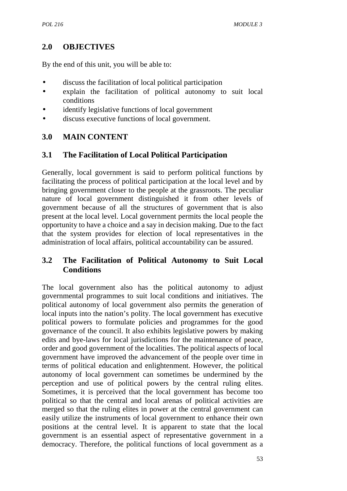# **2.0 OBJECTIVES**

By the end of this unit, you will be able to:

- discuss the facilitation of local political participation
- explain the facilitation of political autonomy to suit local conditions
- identify legislative functions of local government
- discuss executive functions of local government.

## **3.0 MAIN CONTENT**

## **3.1 The Facilitation of Local Political Participation**

Generally, local government is said to perform political functions by facilitating the process of political participation at the local level and by bringing government closer to the people at the grassroots. The peculiar nature of local government distinguished it from other levels of government because of all the structures of government that is also present at the local level. Local government permits the local people the opportunity to have a choice and a say in decision making. Due to the fact that the system provides for election of local representatives in the administration of local affairs, political accountability can be assured.

## **3.2 The Facilitation of Political Autonomy to Suit Local Conditions**

The local government also has the political autonomy to adjust governmental programmes to suit local conditions and initiatives. The political autonomy of local government also permits the generation of local inputs into the nation's polity. The local government has executive political powers to formulate policies and programmes for the good governance of the council. It also exhibits legislative powers by making edits and bye-laws for local jurisdictions for the maintenance of peace, order and good government of the localities. The political aspects of local government have improved the advancement of the people over time in terms of political education and enlightenment. However, the political autonomy of local government can sometimes be undermined by the perception and use of political powers by the central ruling elites. Sometimes, it is perceived that the local government has become too political so that the central and local arenas of political activities are merged so that the ruling elites in power at the central government can easily utilize the instruments of local government to enhance their own positions at the central level. It is apparent to state that the local government is an essential aspect of representative government in a democracy. Therefore, the political functions of local government as a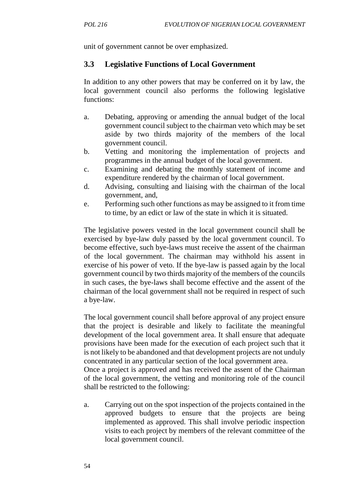unit of government cannot be over emphasized.

### **3.3 Legislative Functions of Local Government**

In addition to any other powers that may be conferred on it by law, the local government council also performs the following legislative functions:

- a. Debating, approving or amending the annual budget of the local government council subject to the chairman veto which may be set aside by two thirds majority of the members of the local government council.
- b. Vetting and monitoring the implementation of projects and programmes in the annual budget of the local government.
- c. Examining and debating the monthly statement of income and expenditure rendered by the chairman of local government.
- d. Advising, consulting and liaising with the chairman of the local government, and,
- e. Performing such other functions as may be assigned to it from time to time, by an edict or law of the state in which it is situated.

The legislative powers vested in the local government council shall be exercised by bye-law duly passed by the local government council. To become effective, such bye-laws must receive the assent of the chairman of the local government. The chairman may withhold his assent in exercise of his power of veto. If the bye-law is passed again by the local government council by two thirds majority of the members of the councils in such cases, the bye-laws shall become effective and the assent of the chairman of the local government shall not be required in respect of such a bye-law.

The local government council shall before approval of any project ensure that the project is desirable and likely to facilitate the meaningful development of the local government area. It shall ensure that adequate provisions have been made for the execution of each project such that it is not likely to be abandoned and that development projects are not unduly concentrated in any particular section of the local government area. Once a project is approved and has received the assent of the Chairman of the local government, the vetting and monitoring role of the council

- shall be restricted to the following:
- a. Carrying out on the spot inspection of the projects contained in the approved budgets to ensure that the projects are being implemented as approved. This shall involve periodic inspection visits to each project by members of the relevant committee of the local government council.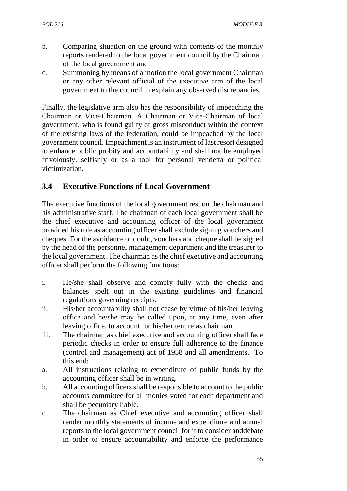- b. Comparing situation on the ground with contents of the monthly reports rendered to the local government council by the Chairman of the local government and
- c. Summoning by means of a motion the local government Chairman or any other relevant official of the executive arm of the local government to the council to explain any observed discrepancies.

Finally, the legislative arm also has the responsibility of impeaching the Chairman or Vice-Chairman. A Chairman or Vice-Chairman of local government, who is found guilty of gross misconduct within the context of the existing laws of the federation, could be impeached by the local government council. Impeachment is an instrument of last resort designed to enhance public probity and accountability and shall not be employed frivolously, selfishly or as a tool for personal vendetta or political victimization.

# **3.4 Executive Functions of Local Government**

The executive functions of the local government rest on the chairman and his administrative staff. The chairman of each local government shall be the chief executive and accounting officer of the local government provided his role as accounting officer shall exclude signing vouchers and cheques. For the avoidance of doubt, vouchers and cheque shall be signed by the head of the personnel management department and the treasurer to the local government. The chairman as the chief executive and accounting officer shall perform the following functions:

- i. He/she shall observe and comply fully with the checks and balances spelt out in the existing guidelines and financial regulations governing receipts.
- ii. His/her accountability shall not cease by virtue of his/her leaving office and he/she may be called upon, at any time, even after leaving office, to account for his/her tenure as chairman
- iii. The chairman as chief executive and accounting officer shall face periodic checks in order to ensure full adherence to the finance (control and management) act of 1958 and all amendments. To this end:
- a. All instructions relating to expenditure of public funds by the accounting officer shall be in writing.
- b. All accounting officers shall be responsible to account to the public accounts committee for all monies voted for each department and shall be pecuniary liable.
- c. The chairman as Chief executive and accounting officer shall render monthly statements of income and expenditure and annual reports to the local government council for it to consider anddebate in order to ensure accountability and enforce the performance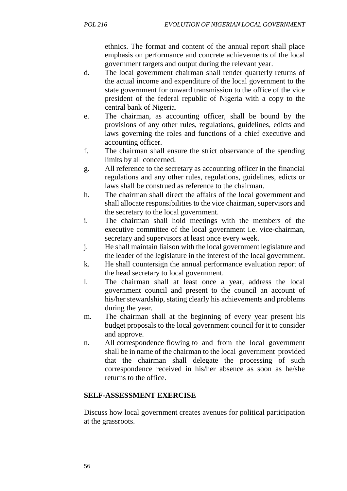ethnics. The format and content of the annual report shall place emphasis on performance and concrete achievements of the local government targets and output during the relevant year.

- d. The local government chairman shall render quarterly returns of the actual income and expenditure of the local government to the state government for onward transmission to the office of the vice president of the federal republic of Nigeria with a copy to the central bank of Nigeria.
- e. The chairman, as accounting officer, shall be bound by the provisions of any other rules, regulations, guidelines, edicts and laws governing the roles and functions of a chief executive and accounting officer.
- f. The chairman shall ensure the strict observance of the spending limits by all concerned.
- g. All reference to the secretary as accounting officer in the financial regulations and any other rules, regulations, guidelines, edicts or laws shall be construed as reference to the chairman.
- h. The chairman shall direct the affairs of the local government and shall allocate responsibilities to the vice chairman, supervisors and the secretary to the local government.
- i. The chairman shall hold meetings with the members of the executive committee of the local government i.e. vice-chairman, secretary and supervisors at least once every week.
- j. He shall maintain liaison with the local government legislature and the leader of the legislature in the interest of the local government.
- k. He shall countersign the annual performance evaluation report of the head secretary to local government.
- l. The chairman shall at least once a year, address the local government council and present to the council an account of his/her stewardship, stating clearly his achievements and problems during the year.
- m. The chairman shall at the beginning of every year present his budget proposals to the local government council for it to consider and approve.
- n. All correspondence flowing to and from the local government shall be in name of the chairman to the local government provided that the chairman shall delegate the processing of such correspondence received in his/her absence as soon as he/she returns to the office.

### **SELF-ASSESSMENT EXERCISE**

Discuss how local government creates avenues for political participation at the grassroots.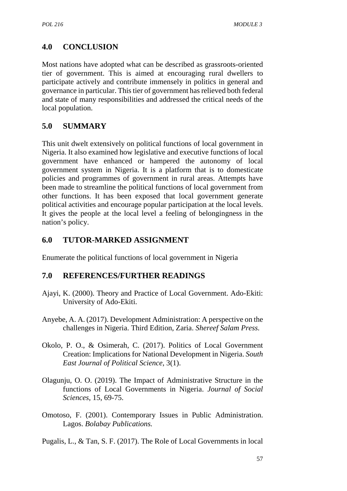# **4.0 CONCLUSION**

Most nations have adopted what can be described as grassroots-oriented tier of government. This is aimed at encouraging rural dwellers to participate actively and contribute immensely in politics in general and governance in particular. This tier of government has relieved both federal and state of many responsibilities and addressed the critical needs of the local population.

## **5.0 SUMMARY**

This unit dwelt extensively on political functions of local government in Nigeria. It also examined how legislative and executive functions of local government have enhanced or hampered the autonomy of local government system in Nigeria. It is a platform that is to domesticate policies and programmes of government in rural areas. Attempts have been made to streamline the political functions of local government from other functions. It has been exposed that local government generate political activities and encourage popular participation at the local levels. It gives the people at the local level a feeling of belongingness in the nation's policy.

## **6.0 TUTOR-MARKED ASSIGNMENT**

Enumerate the political functions of local government in Nigeria

- Ajayi, K. (2000). Theory and Practice of Local Government. Ado-Ekiti: University of Ado-Ekiti.
- Anyebe, A. A. (2017). Development Administration: A perspective on the challenges in Nigeria. Third Edition, Zaria. *Shereef Salam Press.*
- Okolo, P. O., & Osimerah, C. (2017). Politics of Local Government Creation: Implications for National Development in Nigeria. *South East Journal of Political Science*, 3(1).
- Olagunju, O. O. (2019). The Impact of Administrative Structure in the functions of Local Governments in Nigeria. *Journal of Social Sciences*, 15, 69-75.
- Omotoso, F. (2001). Contemporary Issues in Public Administration. Lagos. *Bolabay Publications.*
- Pugalis, L., & Tan, S. F. (2017). The Role of Local Governments in local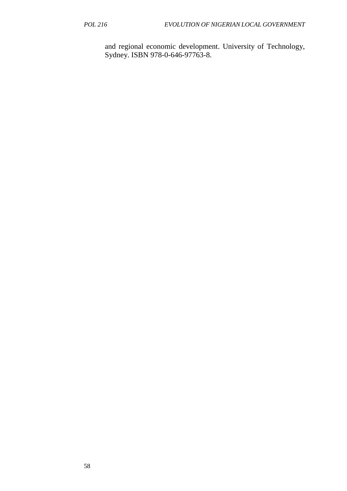and regional economic development. University of Technology, Sydney. ISBN 978-0-646-97763-8.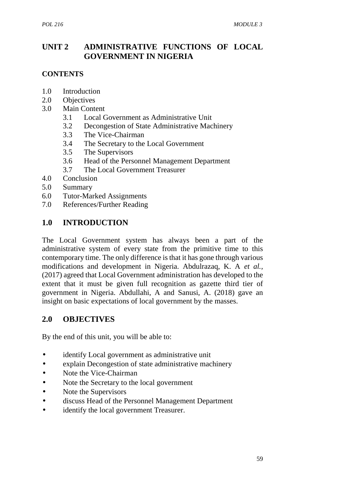# **UNIT 2 ADMINISTRATIVE FUNCTIONS OF LOCAL GOVERNMENT IN NIGERIA**

### **CONTENTS**

- 1.0 Introduction
- 2.0 Objectives
- 3.0 Main Content
	- 3.1 Local Government as Administrative Unit
	- 3.2 Decongestion of State Administrative Machinery
	- 3.3 The Vice-Chairman
	- 3.4 The Secretary to the Local Government
	- 3.5 The Supervisors
	- 3.6 Head of the Personnel Management Department
	- 3.7 The Local Government Treasurer
- 4.0 Conclusion
- 5.0 Summary
- 6.0 Tutor-Marked Assignments
- 7.0 References/Further Reading

### **1.0 INTRODUCTION**

The Local Government system has always been a part of the administrative system of every state from the primitive time to this contemporary time. The only difference is that it has gone through various modifications and development in Nigeria. Abdulrazaq, K. A *et al.,* (2017) agreed that Local Government administration has developed to the extent that it must be given full recognition as gazette third tier of government in Nigeria. Abdullahi, A and Sanusi, A. (2018) gave an insight on basic expectations of local government by the masses.

### **2.0 OBJECTIVES**

By the end of this unit, you will be able to:

- identify Local government as administrative unit
- explain Decongestion of state administrative machinery
- Note the Vice-Chairman
- Note the Secretary to the local government
- Note the Supervisors
- discuss Head of the Personnel Management Department
- identify the local government Treasurer.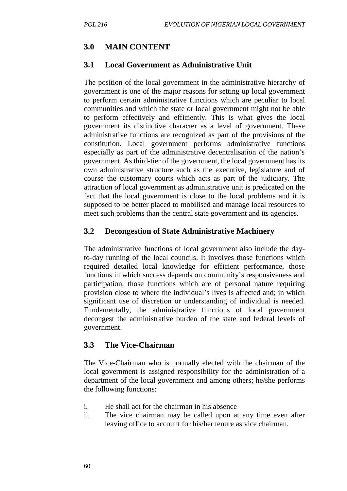### **3.0 MAIN CONTENT**

### **3.1 Local Government as Administrative Unit**

The position of the local government in the administrative hierarchy of government is one of the major reasons for setting up local government to perform certain administrative functions which are peculiar to local communities and which the state or local government might not be able to perform effectively and efficiently. This is what gives the local government its distinctive character as a level of government. These administrative functions are recognized as part of the provisions of the constitution. Local government performs administrative functions especially as part of the administrative decentralisation of the nation's government. As third-tier of the government, the local government has its own administrative structure such as the executive, legislature and of course the customary courts which acts as part of the judiciary. The attraction of local government as administrative unit is predicated on the fact that the local government is close to the local problems and it is supposed to be better placed to mobilised and manage local resources to meet such problems than the central state government and its agencies.

### **3.2 Decongestion of State Administrative Machinery**

The administrative functions of local government also include the dayto-day running of the local councils. It involves those functions which required detailed local knowledge for efficient performance, those functions in which success depends on community's responsiveness and participation, those functions which are of personal nature requiring provision close to where the individual's lives is affected and; in which significant use of discretion or understanding of individual is needed. Fundamentally, the administrative functions of local government decongest the administrative burden of the state and federal levels of government.

#### **3.3 The Vice-Chairman**

The Vice-Chairman who is normally elected with the chairman of the local government is assigned responsibility for the administration of a department of the local government and among others; he/she performs the following functions:

- i. He shall act for the chairman in his absence
- ii. The vice chairman may be called upon at any time even after leaving office to account for his/her tenure as vice chairman.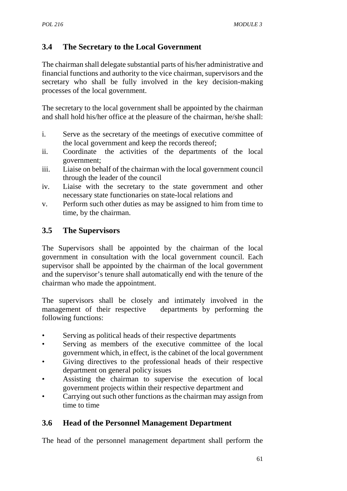# **3.4 The Secretary to the Local Government**

The chairman shall delegate substantial parts of his/her administrative and financial functions and authority to the vice chairman, supervisors and the secretary who shall be fully involved in the key decision-making processes of the local government.

The secretary to the local government shall be appointed by the chairman and shall hold his/her office at the pleasure of the chairman, he/she shall:

- i. Serve as the secretary of the meetings of executive committee of the local government and keep the records thereof;
- ii. Coordinate the activities of the departments of the local government;
- iii. Liaise on behalf of the chairman with the local government council through the leader of the council
- iv. Liaise with the secretary to the state government and other necessary state functionaries on state-local relations and
- v. Perform such other duties as may be assigned to him from time to time, by the chairman.

## **3.5 The Supervisors**

The Supervisors shall be appointed by the chairman of the local government in consultation with the local government council. Each supervisor shall be appointed by the chairman of the local government and the supervisor's tenure shall automatically end with the tenure of the chairman who made the appointment.

The supervisors shall be closely and intimately involved in the management of their respective departments by performing the following functions:

- Serving as political heads of their respective departments
- Serving as members of the executive committee of the local government which, in effect, is the cabinet of the local government
- Giving directives to the professional heads of their respective department on general policy issues
- Assisting the chairman to supervise the execution of local government projects within their respective department and
- Carrying out such other functions as the chairman may assign from time to time

# **3.6 Head of the Personnel Management Department**

The head of the personnel management department shall perform the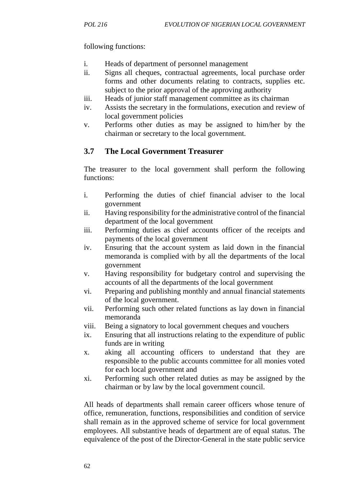### following functions:

- i. Heads of department of personnel management
- ii. Signs all cheques, contractual agreements, local purchase order forms and other documents relating to contracts, supplies etc. subject to the prior approval of the approving authority
- iii. Heads of junior staff management committee as its chairman
- iv. Assists the secretary in the formulations, execution and review of local government policies
- v. Performs other duties as may be assigned to him/her by the chairman or secretary to the local government.

## **3.7 The Local Government Treasurer**

The treasurer to the local government shall perform the following functions:

- i. Performing the duties of chief financial adviser to the local government
- ii. Having responsibility for the administrative control of the financial department of the local government
- iii. Performing duties as chief accounts officer of the receipts and payments of the local government
- iv. Ensuring that the account system as laid down in the financial memoranda is complied with by all the departments of the local government
- v. Having responsibility for budgetary control and supervising the accounts of all the departments of the local government
- vi. Preparing and publishing monthly and annual financial statements of the local government.
- vii. Performing such other related functions as lay down in financial memoranda
- viii. Being a signatory to local government cheques and vouchers
- ix. Ensuring that all instructions relating to the expenditure of public funds are in writing
- x. aking all accounting officers to understand that they are responsible to the public accounts committee for all monies voted for each local government and
- xi. Performing such other related duties as may be assigned by the chairman or by law by the local government council.

All heads of departments shall remain career officers whose tenure of office, remuneration, functions, responsibilities and condition of service shall remain as in the approved scheme of service for local government employees. All substantive heads of department are of equal status. The equivalence of the post of the Director-General in the state public service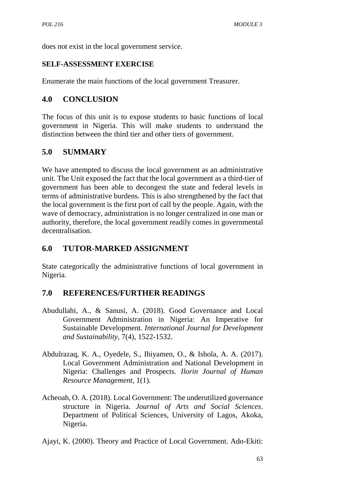does not exist in the local government service.

## **SELF-ASSESSMENT EXERCISE**

Enumerate the main functions of the local government Treasurer.

## **4.0 CONCLUSION**

The focus of this unit is to expose students to basic functions of local government in Nigeria. This will make students to understand the distinction between the third tier and other tiers of government.

# **5.0 SUMMARY**

We have attempted to discuss the local government as an administrative unit. The Unit exposed the fact that the local government as a third-tier of government has been able to decongest the state and federal levels in terms of administrative burdens. This is also strengthened by the fact that the local government is the first port of call by the people. Again, with the wave of democracy, administration is no longer centralized in one man or authority, therefore, the local government readily comes in governmental decentralisation.

# **6.0 TUTOR-MARKED ASSIGNMENT**

State categorically the administrative functions of local government in Nigeria.

- Abudullahi, A., & Sanusi, A. (2018). Good Governance and Local Government Administration in Nigeria: An Imperative for Sustainable Development. *International Journal for Development and Sustainability*, 7(4), 1522-1532.
- Abdulrazaq, K. A., Oyedele, S., Ihiyamen, O., & Ishola, A. A. (2017). Local Government Administration and National Development in Nigeria: Challenges and Prospects*. Ilorin Journal of Human Resource Management*, 1(1).
- Acheoah, O. A. (2018). Local Government: The underutilized governance structure in Nigeria. *Journal of Arts and Social Sciences*. Department of Political Sciences, University of Lagos, Akoka, Nigeria.
- Ajayi, K. (2000). Theory and Practice of Local Government. Ado-Ekiti: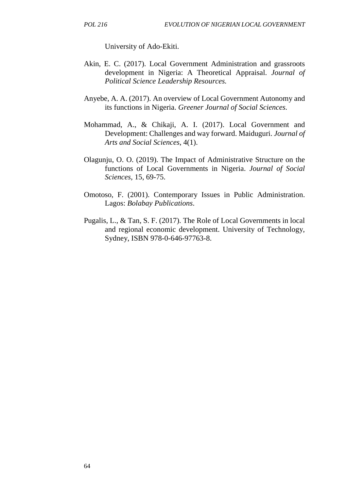University of Ado-Ekiti.

- Akin, E. C. (2017). Local Government Administration and grassroots development in Nigeria: A Theoretical Appraisal. *Journal of Political Science Leadership Resources.*
- Anyebe, A. A. (2017). An overview of Local Government Autonomy and its functions in Nigeria. *Greener Journal of Social Sciences.*
- Mohammad, A., & Chikaji, A. I. (2017). Local Government and Development: Challenges and way forward. Maiduguri. *Journal of Arts and Social Sciences*, 4(1).
- Olagunju, O. O. (2019). The Impact of Administrative Structure on the functions of Local Governments in Nigeria. *Journal of Social Sciences,* 15, 69-75.
- Omotoso, F. (2001). Contemporary Issues in Public Administration. Lagos: *Bolabay Publications*.
- Pugalis, L., & Tan, S. F. (2017). The Role of Local Governments in local and regional economic development. University of Technology, Sydney, ISBN 978-0-646-97763-8.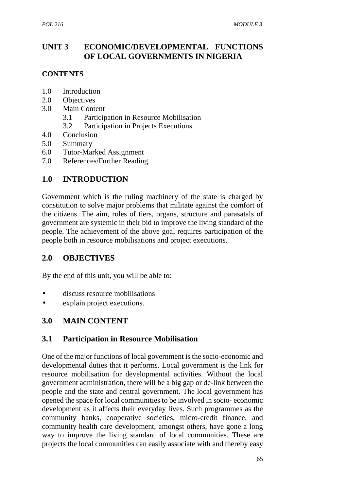# **UNIT 3 ECONOMIC/DEVELOPMENTAL FUNCTIONS OF LOCAL GOVERNMENTS IN NIGERIA**

## **CONTENTS**

- 1.0 Introduction
- 2.0 Objectives
- 3.0 Main Content
	- 3.1 Participation in Resource Mobilisation
	- 3.2 Participation in Projects Executions
- 4.0 Conclusion
- 5.0 Summary
- 6.0 Tutor-Marked Assignment
- 7.0 References/Further Reading

# **1.0 INTRODUCTION**

Government which is the ruling machinery of the state is charged by constitution to solve major problems that militate against the comfort of the citizens. The aim, roles of tiers, organs, structure and parasatals of government are systemic in their bid to improve the living standard of the people. The achievement of the above goal requires participation of the people both in resource mobilisations and project executions.

# **2.0 OBJECTIVES**

By the end of this unit, you will be able to:

- discuss resource mobilisations
- explain project executions.

# **3.0 MAIN CONTENT**

# **3.1 Participation in Resource Mobilisation**

One of the major functions of local government is the socio-economic and developmental duties that it performs. Local government is the link for resource mobilisation for developmental activities. Without the local government administration, there will be a big gap or de-link between the people and the state and central government. The local government has opened the space for local communities to be involved in socio- economic development as it affects their everyday lives. Such programmes as the community banks, cooperative societies, micro-credit finance, and community health care development, amongst others, have gone a long way to improve the living standard of local communities. These are projects the local communities can easily associate with and thereby easy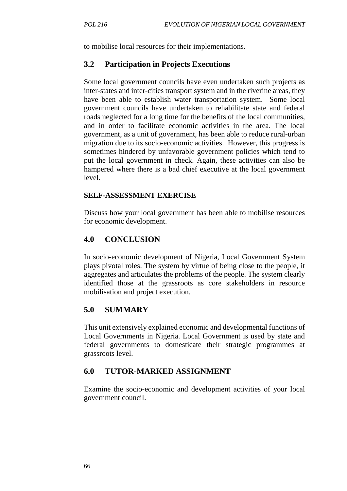to mobilise local resources for their implementations.

## **3.2 Participation in Projects Executions**

Some local government councils have even undertaken such projects as inter-states and inter-cities transport system and in the riverine areas, they have been able to establish water transportation system. Some local government councils have undertaken to rehabilitate state and federal roads neglected for a long time for the benefits of the local communities, and in order to facilitate economic activities in the area. The local government, as a unit of government, has been able to reduce rural-urban migration due to its socio-economic activities. However, this progress is sometimes hindered by unfavorable government policies which tend to put the local government in check. Again, these activities can also be hampered where there is a bad chief executive at the local government level.

### **SELF-ASSESSMENT EXERCISE**

Discuss how your local government has been able to mobilise resources for economic development.

## **4.0 CONCLUSION**

In socio-economic development of Nigeria, Local Government System plays pivotal roles. The system by virtue of being close to the people, it aggregates and articulates the problems of the people. The system clearly identified those at the grassroots as core stakeholders in resource mobilisation and project execution.

## **5.0 SUMMARY**

This unit extensively explained economic and developmental functions of Local Governments in Nigeria. Local Government is used by state and federal governments to domesticate their strategic programmes at grassroots level.

## **6.0 TUTOR-MARKED ASSIGNMENT**

Examine the socio-economic and development activities of your local government council.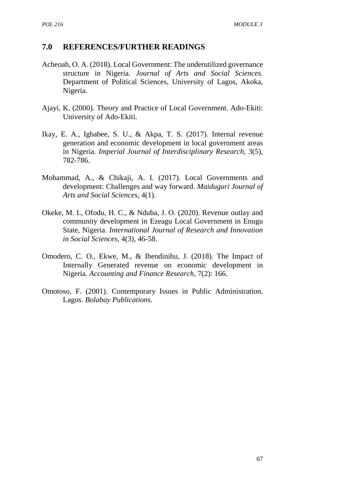- Acheoah, O. A. (2018). Local Government: The underutilized governance structure in Nigeria. *Journal of Arts and Social Sciences*. Department of Political Sciences, University of Lagos, Akoka, Nigeria.
- Ajayi, K. (2000). Theory and Practice of Local Government. Ado-Ekiti: University of Ado-Ekiti.
- Ikay, E. A., Igbabee, S. U., & Akpa, T. S. (2017). Internal revenue generation and economic development in local government areas in Nigeria. *Imperial Journal of Interdisciplinary Research*, 3(5), 782-786.
- Mohammad, A., & Chikaji, A. I. (2017). Local Governments and development: Challenges and way forward. *Maiduguri Journal of Arts and Social Sciences*, 4(1).
- Okeke, M. I., Ofodu, H. C., & Nduba, J. O. (2020). Revenue outlay and community development in Ezeagu Local Government in Enugu State, Nigeria. *International Journal of Research and Innovation in Social Sciences*, 4(3), 46-58.
- Omodero, C. O., Ekwe, M., & Ihendinihu, J. (2018). The Impact of Internally Generated revenue on economic development in Nigeria. *Accounting and Finance Research*, 7(2): 166.
- Omotoso, F. (2001). Contemporary Issues in Public Administration. Lagos. *Bolabay Publications.*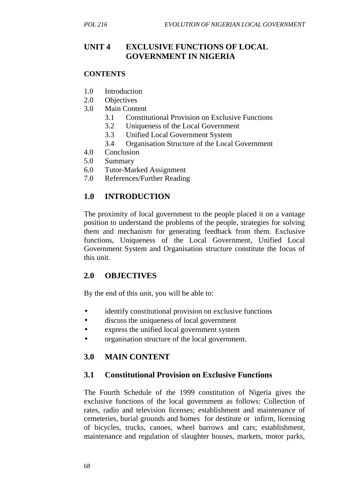## **UNIT 4 EXCLUSIVE FUNCTIONS OF LOCAL GOVERNMENT IN NIGERIA**

### **CONTENTS**

- 1.0 Introduction
- 2.0 Objectives
- 3.0 Main Content
	- 3.1 Constitutional Provision on Exclusive Functions
	- 3.2 Uniqueness of the Local Government
	- 3.3 Unified Local Government System
	- 3.4 Organisation Structure of the Local Government
- 4.0 Conclusion
- 5.0 Summary
- 6.0 Tutor-Marked Assignment
- 7.0 References/Further Reading

## **1.0 INTRODUCTION**

The proximity of local government to the people placed it on a vantage position to understand the problems of the people, strategies for solving them and mechanism for generating feedback from them. Exclusive functions, Uniqueness of the Local Government, Unified Local Government System and Organisation structure constitute the focus of this unit.

## **2.0 OBJECTIVES**

By the end of this unit, you will be able to:

- identify constitutional provision on exclusive functions
- discuss the uniqueness of local government
- express the unified local government system
- organisation structure of the local government.

# **3.0 MAIN CONTENT**

## **3.1 Constitutional Provision on Exclusive Functions**

The Fourth Schedule of the 1999 constitution of Nigeria gives the exclusive functions of the local government as follows: Collection of rates, radio and television licenses; establishment and maintenance of cemeteries, burial grounds and homes for destitute or infirm, licensing of bicycles, trucks, canoes, wheel barrows and cars; establishment, maintenance and regulation of slaughter houses, markets, motor parks,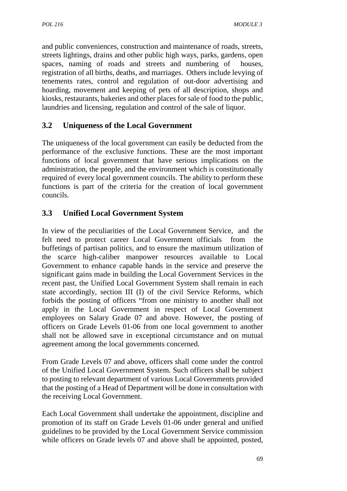and public conveniences, construction and maintenance of roads, streets, streets lightings, drains and other public high ways, parks, gardens, open spaces, naming of roads and streets and numbering of houses, registration of all births, deaths, and marriages. Others include levying of tenements rates, control and regulation of out-door advertising and hoarding, movement and keeping of pets of all description, shops and kiosks, restaurants, bakeries and other places for sale of food to the public, laundries and licensing, regulation and control of the sale of liquor.

# **3.2 Uniqueness of the Local Government**

The uniqueness of the local government can easily be deducted from the performance of the exclusive functions. These are the most important functions of local government that have serious implications on the administration, the people, and the environment which is constitutionally required of every local government councils. The ability to perform these functions is part of the criteria for the creation of local government councils.

# **3.3 Unified Local Government System**

In view of the peculiarities of the Local Government Service, and the felt need to protect career Local Government officials from the buffetings of partisan politics, and to ensure the maximum utilization of the scarce high-caliber manpower resources available to Local Government to enhance capable hands in the service and preserve the significant gains made in building the Local Government Services in the recent past, the Unified Local Government System shall remain in each state accordingly, section III (I) of the civil Service Reforms, which forbids the posting of officers "from one ministry to another shall not apply in the Local Government in respect of Local Government employees on Salary Grade 07 and above. However, the posting of officers on Grade Levels 01-06 from one local government to another shall not be allowed save in exceptional circumstance and on mutual agreement among the local governments concerned.

From Grade Levels 07 and above, officers shall come under the control of the Unified Local Government System. Such officers shall be subject to posting to relevant department of various Local Governments provided that the posting of a Head of Department will be done in consultation with the receiving Local Government.

Each Local Government shall undertake the appointment, discipline and promotion of its staff on Grade Levels 01-06 under general and unified guidelines to be provided by the Local Government Service commission while officers on Grade levels 07 and above shall be appointed, posted,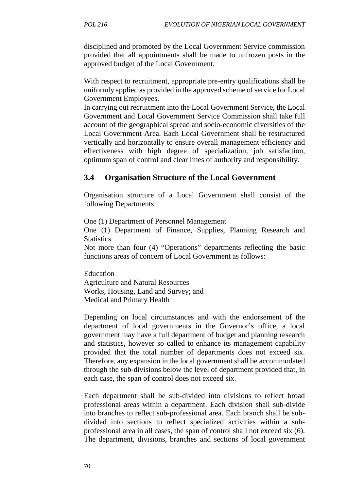disciplined and promoted by the Local Government Service commission provided that all appointments shall be made to unfrozen posts in the approved budget of the Local Government.

With respect to recruitment, appropriate pre-entry qualifications shall be uniformly applied as provided in the approved scheme of service for Local Government Employees.

In carrying out recruitment into the Local Government Service, the Local Government and Local Government Service Commission shall take full account of the geographical spread and socio-economic diversities of the Local Government Area. Each Local Government shall be restructured vertically and horizontally to ensure overall management efficiency and effectiveness with high degree of specialization, job satisfaction, optimum span of control and clear lines of authority and responsibility.

## **3.4 Organisation Structure of the Local Government**

Organisation structure of a Local Government shall consist of the following Departments:

One (1) Department of Personnel Management

One (1) Department of Finance, Supplies, Planning Research and **Statistics** 

Not more than four (4) "Operations" departments reflecting the basic functions areas of concern of Local Government as follows:

Education Agriculture and Natural Resources Works, Housing, Land and Survey; and Medical and Primary Health

Depending on local circumstances and with the endorsement of the department of local governments in the Governor's office, a local government may have a full department of budget and planning research and statistics, however so called to enhance its management capability provided that the total number of departments does not exceed six. Therefore, any expansion in the local government shall be accommodated through the sub-divisions below the level of department provided that, in each case, the span of control does not exceed six.

Each department shall be sub-divided into divisions to reflect broad professional areas within a department. Each division shall sub-divide into branches to reflect sub-professional area. Each branch shall be sub divided into sections to reflect specialized activities within a sub professional area in all cases, the span of control shall not exceed six (6). The department, divisions, branches and sections of local government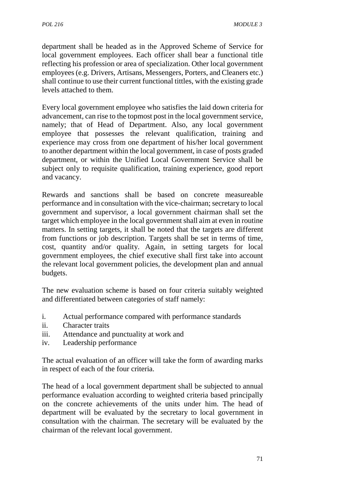department shall be headed as in the Approved Scheme of Service for local government employees. Each officer shall bear a functional title reflecting his profession or area of specialization. Other local government employees (e.g. Drivers, Artisans, Messengers, Porters, and Cleaners etc.) shall continue to use their current functional tittles, with the existing grade levels attached to them.

Every local government employee who satisfies the laid down criteria for advancement, can rise to the topmost post in the local government service, namely; that of Head of Department. Also, any local government employee that possesses the relevant qualification, training and experience may cross from one department of his/her local government to another department within the local government, in case of posts graded department, or within the Unified Local Government Service shall be subject only to requisite qualification, training experience, good report and vacancy.

Rewards and sanctions shall be based on concrete measureable performance and in consultation with the vice-chairman; secretary to local government and supervisor, a local government chairman shall set the target which employee in the local government shall aim at even in routine matters. In setting targets, it shall be noted that the targets are different from functions or job description. Targets shall be set in terms of time, cost, quantity and/or quality. Again, in setting targets for local government employees, the chief executive shall first take into account the relevant local government policies, the development plan and annual budgets.

The new evaluation scheme is based on four criteria suitably weighted and differentiated between categories of staff namely:

- i. Actual performance compared with performance standards
- ii. Character traits
- iii. Attendance and punctuality at work and
- iv. Leadership performance

The actual evaluation of an officer will take the form of awarding marks in respect of each of the four criteria.

The head of a local government department shall be subjected to annual performance evaluation according to weighted criteria based principally on the concrete achievements of the units under him. The head of department will be evaluated by the secretary to local government in consultation with the chairman. The secretary will be evaluated by the chairman of the relevant local government.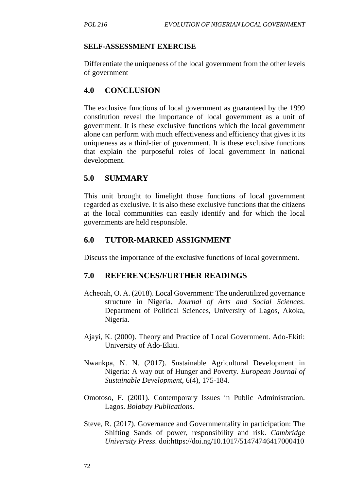### **SELF-ASSESSMENT EXERCISE**

Differentiate the uniqueness of the local government from the other levels of government

# **4.0 CONCLUSION**

The exclusive functions of local government as guaranteed by the 1999 constitution reveal the importance of local government as a unit of government. It is these exclusive functions which the local government alone can perform with much effectiveness and efficiency that gives it its uniqueness as a third-tier of government. It is these exclusive functions that explain the purposeful roles of local government in national development.

## **5.0 SUMMARY**

This unit brought to limelight those functions of local government regarded as exclusive. It is also these exclusive functions that the citizens at the local communities can easily identify and for which the local governments are held responsible.

## **6.0 TUTOR-MARKED ASSIGNMENT**

Discuss the importance of the exclusive functions of local government.

- Acheoah, O. A. (2018). Local Government: The underutilized governance structure in Nigeria. *Journal of Arts and Social Sciences*. Department of Political Sciences, University of Lagos, Akoka, Nigeria.
- Ajayi, K. (2000). Theory and Practice of Local Government. Ado-Ekiti: University of Ado-Ekiti.
- Nwankpa, N. N. (2017). Sustainable Agricultural Development in Nigeria: A way out of Hunger and Poverty. *European Journal of Sustainable Development*, 6(4), 175-184.
- Omotoso, F. (2001). Contemporary Issues in Public Administration. Lagos. *Bolabay Publications.*
- Steve, R. (2017). Governance and Governmentality in participation: The Shifting Sands of power, responsibility and risk. *Cambridge University Press*. doi:https://doi.ng/10.1017/51474746417000410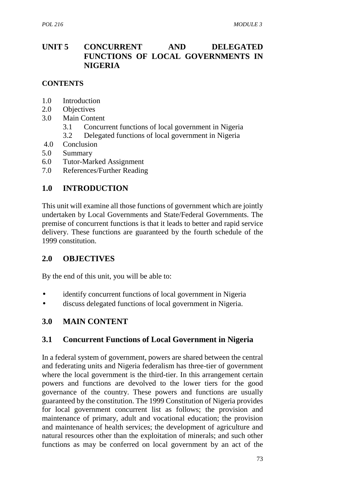# **UNIT 5 CONCURRENT AND DELEGATED FUNCTIONS OF LOCAL GOVERNMENTS IN NIGERIA**

### **CONTENTS**

- 1.0 Introduction
- 2.0 Objectives
- 3.0 Main Content
	- 3.1 Concurrent functions of local government in Nigeria
	- 3.2 Delegated functions of local government in Nigeria
- 4.0 Conclusion
- 5.0 Summary
- 6.0 Tutor-Marked Assignment
- 7.0 References/Further Reading

## **1.0 INTRODUCTION**

This unit will examine all those functions of government which are jointly undertaken by Local Governments and State/Federal Governments. The premise of concurrent functions is that it leads to better and rapid service delivery. These functions are guaranteed by the fourth schedule of the 1999 constitution.

## **2.0 OBJECTIVES**

By the end of this unit, you will be able to:

- identify concurrent functions of local government in Nigeria
- discuss delegated functions of local government in Nigeria.

### **3.0 MAIN CONTENT**

### **3.1 Concurrent Functions of Local Government in Nigeria**

In a federal system of government, powers are shared between the central and federating units and Nigeria federalism has three-tier of government where the local government is the third-tier. In this arrangement certain powers and functions are devolved to the lower tiers for the good governance of the country. These powers and functions are usually guaranteed by the constitution. The 1999 Constitution of Nigeria provides for local government concurrent list as follows; the provision and maintenance of primary, adult and vocational education; the provision and maintenance of health services; the development of agriculture and natural resources other than the exploitation of minerals; and such other functions as may be conferred on local government by an act of the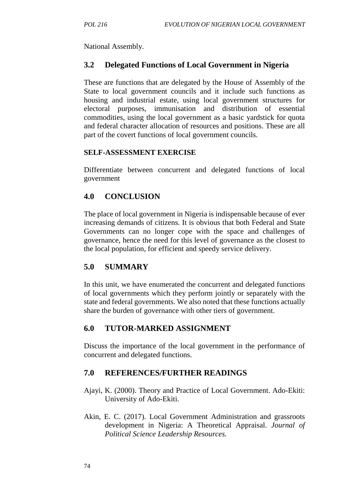National Assembly.

## **3.2 Delegated Functions of Local Government in Nigeria**

These are functions that are delegated by the House of Assembly of the State to local government councils and it include such functions as housing and industrial estate, using local government structures for electoral purposes, immunisation and distribution of essential commodities, using the local government as a basic yardstick for quota and federal character allocation of resources and positions. These are all part of the covert functions of local government councils.

### **SELF-ASSESSMENT EXERCISE**

Differentiate between concurrent and delegated functions of local government

### **4.0 CONCLUSION**

The place of local government in Nigeria is indispensable because of ever increasing demands of citizens. It is obvious that both Federal and State Governments can no longer cope with the space and challenges of governance, hence the need for this level of governance as the closest to the local population, for efficient and speedy service delivery.

## **5.0 SUMMARY**

In this unit, we have enumerated the concurrent and delegated functions of local governments which they perform jointly or separately with the state and federal governments. We also noted that these functions actually share the burden of governance with other tiers of government.

### **6.0 TUTOR-MARKED ASSIGNMENT**

Discuss the importance of the local government in the performance of concurrent and delegated functions.

- Ajayi, K. (2000). Theory and Practice of Local Government. Ado-Ekiti: University of Ado-Ekiti.
- Akin, E. C. (2017). Local Government Administration and grassroots development in Nigeria: A Theoretical Appraisal. *Journal of Political Science Leadership Resources.*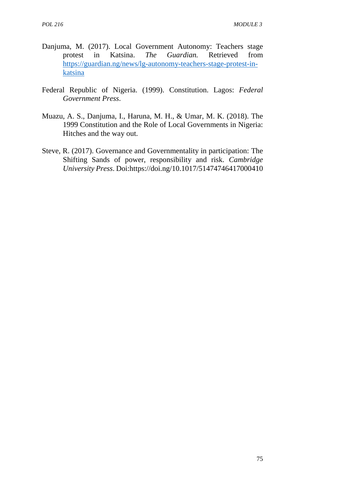- Danjuma, M. (2017). Local Government Autonomy: Teachers stage protest in Katsina. *The Guardian.* Retrieved from https://guardian.ng/news/lg-autonomy-teachers-stage-protest-in katsina
- Federal Republic of Nigeria. (1999). Constitution. Lagos: *Federal Government Press*.
- Muazu, A. S., Danjuma, I., Haruna, M. H., & Umar, M. K. (2018). The 1999 Constitution and the Role of Local Governments in Nigeria: Hitches and the way out.
- Steve, R. (2017). Governance and Governmentality in participation: The Shifting Sands of power, responsibility and risk. *Cambridge University Press*. Doi:https://doi.ng/10.1017/51474746417000410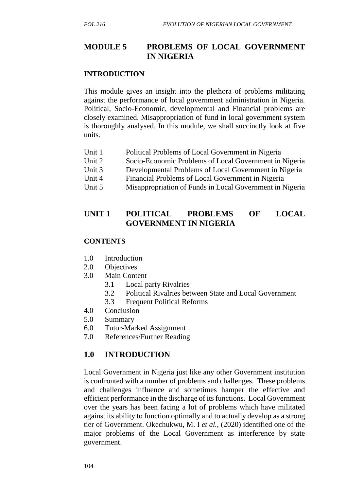## **MODULE 5 PROBLEMS OF LOCAL GOVERNMENT IN NIGERIA**

#### **INTRODUCTION**

This module gives an insight into the plethora of problems militating against the performance of local government administration in Nigeria. Political, Socio-Economic, developmental and Financial problems are closely examined. Misappropriation of fund in local government system is thoroughly analysed. In this module, we shall succinctly look at five units.

- Unit 1 Political Problems of Local Government in Nigeria
- Unit 2 Socio-Economic Problems of Local Government in Nigeria
- Unit 3 Developmental Problems of Local Government in Nigeria
- Unit 4 Financial Problems of Local Government in Nigeria
- Unit 5 Misappropriation of Funds in Local Government in Nigeria

## **UNIT 1 POLITICAL PROBLEMS OF LOCAL GOVERNMENT IN NIGERIA**

#### **CONTENTS**

- 1.0 Introduction
- 2.0 Objectives
- 3.0 Main Content
	- 3.1 Local party Rivalries
	- 3.2 Political Rivalries between State and Local Government
	- 3.3 Frequent Political Reforms
- 4.0 Conclusion
- 5.0 Summary
- 6.0 Tutor-Marked Assignment
- 7.0 References/Further Reading

### **1.0 INTRODUCTION**

Local Government in Nigeria just like any other Government institution is confronted with a number of problems and challenges. These problems and challenges influence and sometimes hamper the effective and efficient performance in the discharge of its functions. Local Government over the years has been facing a lot of problems which have militated against its ability to function optimally and to actually develop as a strong tier of Government. Okechukwu, M. I *et al.,* (2020) identified one of the major problems of the Local Government as interference by state government.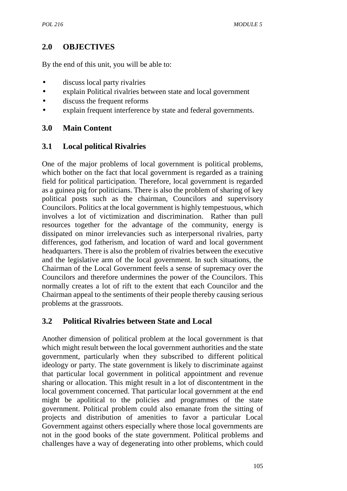# **2.0 OBJECTIVES**

By the end of this unit, you will be able to:

- discuss local party rivalries
- explain Political rivalries between state and local government
- discuss the frequent reforms
- explain frequent interference by state and federal governments.

# **3.0 Main Content**

## **3.1 Local political Rivalries**

One of the major problems of local government is political problems, which bother on the fact that local government is regarded as a training field for political participation. Therefore, local government is regarded as a guinea pig for politicians. There is also the problem of sharing of key political posts such as the chairman, Councilors and supervisory Councilors. Politics at the local government is highly tempestuous, which involves a lot of victimization and discrimination. Rather than pull resources together for the advantage of the community, energy is dissipated on minor irrelevancies such as interpersonal rivalries, party differences, god fatherism, and location of ward and local government headquarters. There is also the problem of rivalries between the executive and the legislative arm of the local government. In such situations, the Chairman of the Local Government feels a sense of supremacy over the Councilors and therefore undermines the power of the Councilors. This normally creates a lot of rift to the extent that each Councilor and the Chairman appeal to the sentiments of their people thereby causing serious problems at the grassroots.

# **3.2 Political Rivalries between State and Local**

Another dimension of political problem at the local government is that which might result between the local government authorities and the state government, particularly when they subscribed to different political ideology or party. The state government is likely to discriminate against that particular local government in political appointment and revenue sharing or allocation. This might result in a lot of discontentment in the local government concerned. That particular local government at the end might be apolitical to the policies and programmes of the state government. Political problem could also emanate from the sitting of projects and distribution of amenities to favor a particular Local Government against others especially where those local governments are not in the good books of the state government. Political problems and challenges have a way of degenerating into other problems, which could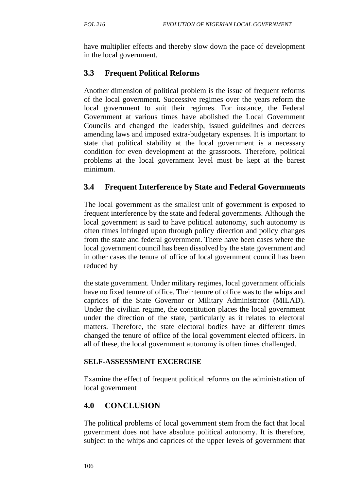have multiplier effects and thereby slow down the pace of development in the local government.

# **3.3 Frequent Political Reforms**

Another dimension of political problem is the issue of frequent reforms of the local government. Successive regimes over the years reform the local government to suit their regimes. For instance, the Federal Government at various times have abolished the Local Government Councils and changed the leadership, issued guidelines and decrees amending laws and imposed extra-budgetary expenses. It is important to state that political stability at the local government is a necessary condition for even development at the grassroots. Therefore, political problems at the local government level must be kept at the barest minimum.

## **3.4 Frequent Interference by State and Federal Governments**

The local government as the smallest unit of government is exposed to frequent interference by the state and federal governments. Although the local government is said to have political autonomy, such autonomy is often times infringed upon through policy direction and policy changes from the state and federal government. There have been cases where the local government council has been dissolved by the state government and in other cases the tenure of office of local government council has been reduced by

the state government. Under military regimes, local government officials have no fixed tenure of office. Their tenure of office was to the whips and caprices of the State Governor or Military Administrator (MILAD). Under the civilian regime, the constitution places the local government under the direction of the state, particularly as it relates to electoral matters. Therefore, the state electoral bodies have at different times changed the tenure of office of the local government elected officers. In all of these, the local government autonomy is often times challenged.

## **SELF-ASSESSMENT EXCERCISE**

Examine the effect of frequent political reforms on the administration of local government

# **4.0 CONCLUSION**

The political problems of local government stem from the fact that local government does not have absolute political autonomy. It is therefore, subject to the whips and caprices of the upper levels of government that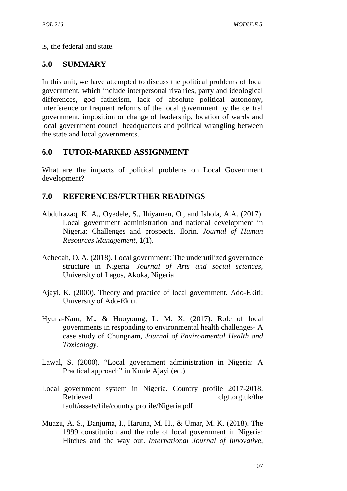is, the federal and state.

# **5.0 SUMMARY**

In this unit, we have attempted to discuss the political problems of local government, which include interpersonal rivalries, party and ideological differences, god fatherism, lack of absolute political autonomy, interference or frequent reforms of the local government by the central government, imposition or change of leadership, location of wards and local government council headquarters and political wrangling between the state and local governments.

# **6.0 TUTOR-MARKED ASSIGNMENT**

What are the impacts of political problems on Local Government development?

- Abdulrazaq, K. A., Oyedele, S., Ihiyamen, O., and Ishola, A.A. (2017). Local government administration and national development in Nigeria: Challenges and prospects. Ilorin. *Journal of Human Resources Management,* **1**(1).
- Acheoah, O. A. (2018). Local government: The underutilized governance structure in Nigeria. *Journal of Arts and social sciences,* University of Lagos, Akoka, Nigeria
- Ajayi, K. (2000). Theory and practice of local government*.* Ado-Ekiti: University of Ado-Ekiti.
- Hyuna-Nam, M., & Hooyoung, L. M. X. (2017). Role of local governments in responding to environmental health challenges- A case study of Chungnam, *Journal of Environmental Health and Toxicology.*
- Lawal, S. (2000). "Local government administration in Nigeria: A Practical approach" in Kunle Ajayi (ed.).
- Local government system in Nigeria. Country profile 2017-2018. Retrieved clgf.org.uk/the fault/assets/file/country.profile/Nigeria.pdf
- Muazu, A. S., Danjuma, I., Haruna, M. H., & Umar, M. K. (2018). The 1999 constitution and the role of local government in Nigeria: Hitches and the way out. *International Journal of Innovative,*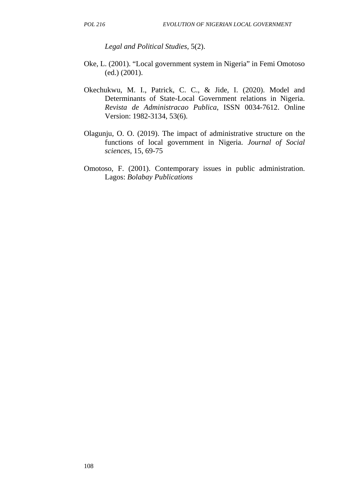*Legal and Political Studies,* 5(2).

- Oke, L. (2001). "Local government system in Nigeria" in Femi Omotoso (ed.) (2001).
- Okechukwu, M. I., Patrick, C. C., & Jide, I. (2020). Model and Determinants of State-Local Government relations in Nigeria. *Revista de Administracao Publica*, ISSN 0034-7612. Online Version: 1982-3134, 53(6).
- Olagunju, O. O. (2019). The impact of administrative structure on the functions of local government in Nigeria. *Journal of Social sciences*, 15, 69-75
- Omotoso, F. (2001). Contemporary issues in public administration. Lagos: *Bolabay Publications*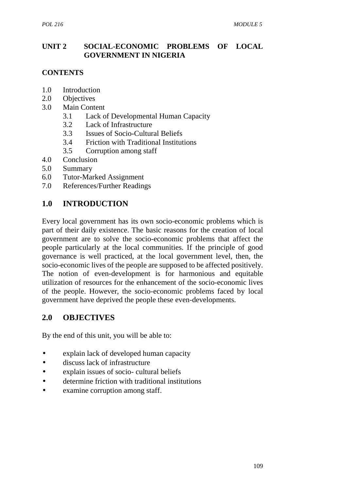## **UNIT 2 SOCIAL-ECONOMIC PROBLEMS OF LOCAL GOVERNMENT IN NIGERIA**

## **CONTENTS**

- 1.0 Introduction
- 2.0 Objectives
- 3.0 Main Content
	- 3.1 Lack of Developmental Human Capacity
	- 3.2 Lack of Infrastructure
	- 3.3 Issues of Socio-Cultural Beliefs
	- 3.4 Friction with Traditional Institutions
	- 3.5 Corruption among staff
- 4.0 Conclusion
- 5.0 Summary
- 6.0 Tutor-Marked Assignment
- 7.0 References/Further Readings

# **1.0 INTRODUCTION**

Every local government has its own socio-economic problems which is part of their daily existence. The basic reasons for the creation of local government are to solve the socio-economic problems that affect the people particularly at the local communities. If the principle of good governance is well practiced, at the local government level, then, the socio-economic lives of the people are supposed to be affected positively. The notion of even-development is for harmonious and equitable utilization of resources for the enhancement of the socio-economic lives of the people. However, the socio-economic problems faced by local government have deprived the people these even-developments.

## **2.0 OBJECTIVES**

By the end of this unit, you will be able to:

- explain lack of developed human capacity
- discuss lack of infrastructure
- explain issues of socio- cultural beliefs
- determine friction with traditional institutions
- examine corruption among staff.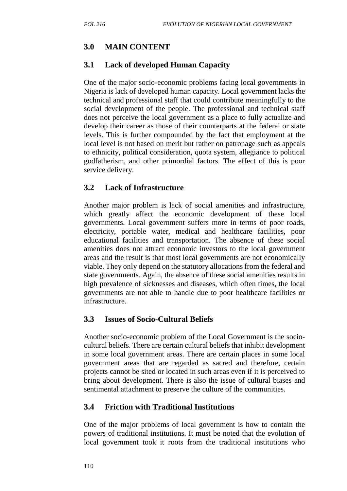# **3.0 MAIN CONTENT**

## **3.1 Lack of developed Human Capacity**

One of the major socio-economic problems facing local governments in Nigeria is lack of developed human capacity. Local government lacks the technical and professional staff that could contribute meaningfully to the social development of the people. The professional and technical staff does not perceive the local government as a place to fully actualize and develop their career as those of their counterparts at the federal or state levels. This is further compounded by the fact that employment at the local level is not based on merit but rather on patronage such as appeals to ethnicity, political consideration, quota system, allegiance to political godfatherism, and other primordial factors. The effect of this is poor service delivery.

## **3.2 Lack of Infrastructure**

Another major problem is lack of social amenities and infrastructure, which greatly affect the economic development of these local governments. Local government suffers more in terms of poor roads, electricity, portable water, medical and healthcare facilities, poor educational facilities and transportation. The absence of these social amenities does not attract economic investors to the local government areas and the result is that most local governments are not economically viable. They only depend on the statutory allocations from the federal and state governments. Again, the absence of these social amenities results in high prevalence of sicknesses and diseases, which often times, the local governments are not able to handle due to poor healthcare facilities or infrastructure.

## **3.3 Issues of Socio-Cultural Beliefs**

Another socio-economic problem of the Local Government is the socio cultural beliefs. There are certain cultural beliefs that inhibit development in some local government areas. There are certain places in some local government areas that are regarded as sacred and therefore, certain projects cannot be sited or located in such areas even if it is perceived to bring about development. There is also the issue of cultural biases and sentimental attachment to preserve the culture of the communities.

# **3.4 Friction with Traditional Institutions**

One of the major problems of local government is how to contain the powers of traditional institutions. It must be noted that the evolution of local government took it roots from the traditional institutions who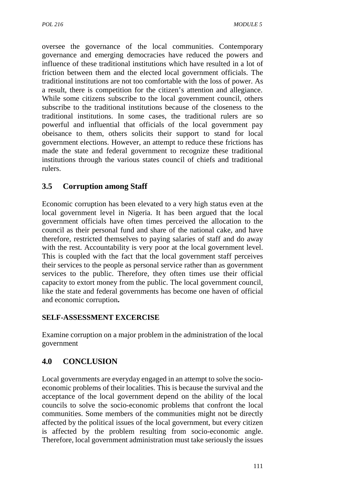oversee the governance of the local communities. Contemporary governance and emerging democracies have reduced the powers and influence of these traditional institutions which have resulted in a lot of friction between them and the elected local government officials. The traditional institutions are not too comfortable with the loss of power. As a result, there is competition for the citizen's attention and allegiance. While some citizens subscribe to the local government council, others subscribe to the traditional institutions because of the closeness to the traditional institutions. In some cases, the traditional rulers are so powerful and influential that officials of the local government pay obeisance to them, others solicits their support to stand for local government elections. However, an attempt to reduce these frictions has made the state and federal government to recognize these traditional institutions through the various states council of chiefs and traditional rulers.

# **3.5 Corruption among Staff**

Economic corruption has been elevated to a very high status even at the local government level in Nigeria. It has been argued that the local government officials have often times perceived the allocation to the council as their personal fund and share of the national cake, and have therefore, restricted themselves to paying salaries of staff and do away with the rest. Accountability is very poor at the local government level. This is coupled with the fact that the local government staff perceives their services to the people as personal service rather than as government services to the public. Therefore, they often times use their official capacity to extort money from the public. The local government council, like the state and federal governments has become one haven of official and economic corruption**.**

## **SELF-ASSESSMENT EXCERCISE**

Examine corruption on a major problem in the administration of the local government

# **4.0 CONCLUSION**

Local governments are everyday engaged in an attempt to solve the socio economic problems of their localities. This is because the survival and the acceptance of the local government depend on the ability of the local councils to solve the socio-economic problems that confront the local communities. Some members of the communities might not be directly affected by the political issues of the local government, but every citizen is affected by the problem resulting from socio-economic angle. Therefore, local government administration must take seriously the issues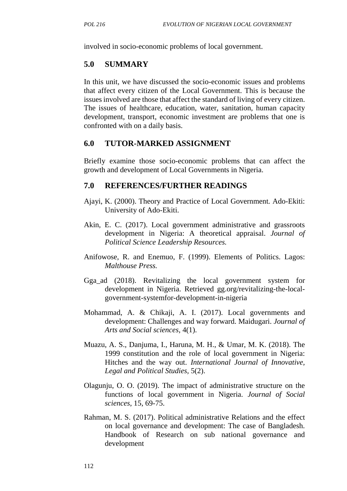involved in socio-economic problems of local government.

### **5.0 SUMMARY**

In this unit, we have discussed the socio-economic issues and problems that affect every citizen of the Local Government. This is because the issues involved are those that affect the standard of living of every citizen. The issues of healthcare, education, water, sanitation, human capacity development, transport, economic investment are problems that one is confronted with on a daily basis.

### **6.0 TUTOR-MARKED ASSIGNMENT**

Briefly examine those socio-economic problems that can affect the growth and development of Local Governments in Nigeria.

- Ajayi, K. (2000). Theory and Practice of Local Government*.* Ado-Ekiti: University of Ado-Ekiti.
- Akin, E. C. (2017). Local government administrative and grassroots development in Nigeria: A theoretical appraisal. *Journal of Political Science Leadership Resources.*
- Anifowose, R. and Enemuo, F. (1999). Elements of Politics. Lagos: *Malthouse Press.*
- Gga\_ad (2018). Revitalizing the local government system for development in Nigeria. Retrieved gg.org/revitalizing-the-local government-systemfor-development-in-nigeria
- Mohammad, A. & Chikaji, A. I. (2017). Local governments and development: Challenges and way forward. Maidugari. *Journal of Arts and Social sciences,* 4(1).
- Muazu, A. S., Danjuma, I., Haruna, M. H., & Umar, M. K. (2018). The 1999 constitution and the role of local government in Nigeria: Hitches and the way out. *International Journal of Innovative, Legal and Political Studies,* 5(2).
- Olagunju, O. O. (2019). The impact of administrative structure on the functions of local government in Nigeria. *Journal of Social sciences*, 15, 69-75.
- Rahman, M. S. (2017). Political administrative Relations and the effect on local governance and development: The case of Bangladesh. Handbook of Research on sub national governance and development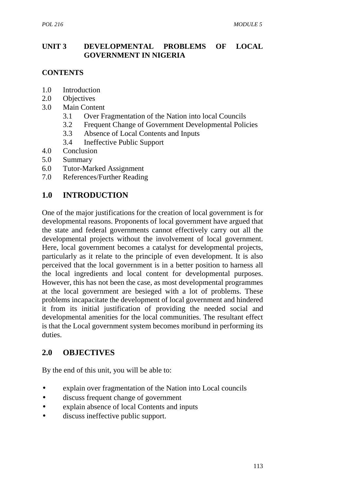### **UNIT 3 DEVELOPMENTAL PROBLEMS OF LOCAL GOVERNMENT IN NIGERIA**

## **CONTENTS**

- 1.0 Introduction
- 2.0 Objectives
- 3.0 Main Content
	- 3.1 Over Fragmentation of the Nation into local Councils
	- 3.2 Frequent Change of Government Developmental Policies
	- 3.3 Absence of Local Contents and Inputs
	- 3.4 Ineffective Public Support
- 4.0 Conclusion
- 5.0 Summary
- 6.0 Tutor-Marked Assignment
- 7.0 References/Further Reading

# **1.0 INTRODUCTION**

One of the major justifications for the creation of local government is for developmental reasons. Proponents of local government have argued that the state and federal governments cannot effectively carry out all the developmental projects without the involvement of local government. Here, local government becomes a catalyst for developmental projects, particularly as it relate to the principle of even development. It is also perceived that the local government is in a better position to harness all the local ingredients and local content for developmental purposes. However, this has not been the case, as most developmental programmes at the local government are besieged with a lot of problems. These problems incapacitate the development of local government and hindered it from its initial justification of providing the needed social and developmental amenities for the local communities. The resultant effect is that the Local government system becomes moribund in performing its duties.

# **2.0 OBJECTIVES**

By the end of this unit, you will be able to:

- explain over fragmentation of the Nation into Local councils
- discuss frequent change of government
- explain absence of local Contents and inputs
- discuss ineffective public support.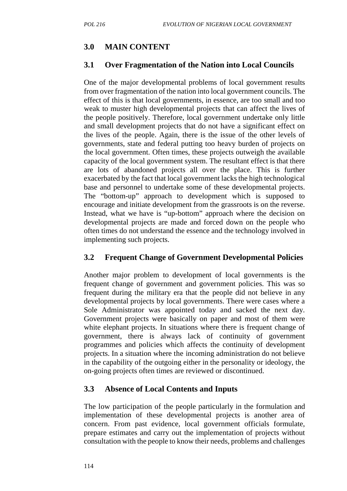## **3.0 MAIN CONTENT**

### **3.1 Over Fragmentation of the Nation into Local Councils**

One of the major developmental problems of local government results from over fragmentation of the nation into local government councils. The effect of this is that local governments, in essence, are too small and too weak to muster high developmental projects that can affect the lives of the people positively. Therefore, local government undertake only little and small development projects that do not have a significant effect on the lives of the people. Again, there is the issue of the other levels of governments, state and federal putting too heavy burden of projects on the local government. Often times, these projects outweigh the available capacity of the local government system. The resultant effect is that there are lots of abandoned projects all over the place. This is further exacerbated by the fact that local government lacks the high technological base and personnel to undertake some of these developmental projects. The "bottom-up" approach to development which is supposed to encourage and initiate development from the grassroots is on the reverse. Instead, what we have is "up-bottom" approach where the decision on developmental projects are made and forced down on the people who often times do not understand the essence and the technology involved in implementing such projects.

## **3.2 Frequent Change of Government Developmental Policies**

Another major problem to development of local governments is the frequent change of government and government policies. This was so frequent during the military era that the people did not believe in any developmental projects by local governments. There were cases where a Sole Administrator was appointed today and sacked the next day. Government projects were basically on paper and most of them were white elephant projects. In situations where there is frequent change of government, there is always lack of continuity of government programmes and policies which affects the continuity of development projects. In a situation where the incoming administration do not believe in the capability of the outgoing either in the personality or ideology, the on-going projects often times are reviewed or discontinued.

## **3.3 Absence of Local Contents and Inputs**

The low participation of the people particularly in the formulation and implementation of these developmental projects is another area of concern. From past evidence, local government officials formulate, prepare estimates and carry out the implementation of projects without consultation with the people to know their needs, problems and challenges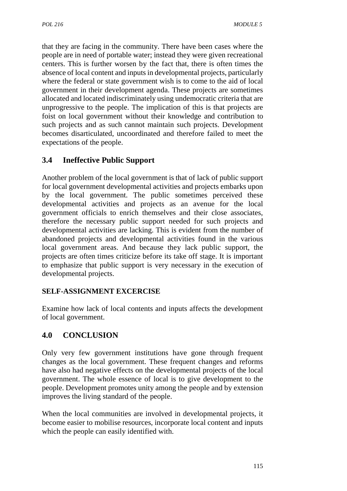that they are facing in the community. There have been cases where the people are in need of portable water; instead they were given recreational centers. This is further worsen by the fact that, there is often times the absence of local content and inputs in developmental projects, particularly where the federal or state government wish is to come to the aid of local government in their development agenda. These projects are sometimes allocated and located indiscriminately using undemocratic criteria that are unprogressive to the people. The implication of this is that projects are foist on local government without their knowledge and contribution to such projects and as such cannot maintain such projects. Development becomes disarticulated, uncoordinated and therefore failed to meet the expectations of the people.

# **3.4 Ineffective Public Support**

Another problem of the local government is that of lack of public support for local government developmental activities and projects embarks upon by the local government. The public sometimes perceived these developmental activities and projects as an avenue for the local government officials to enrich themselves and their close associates, therefore the necessary public support needed for such projects and developmental activities are lacking. This is evident from the number of abandoned projects and developmental activities found in the various local government areas. And because they lack public support, the projects are often times criticize before its take off stage. It is important to emphasize that public support is very necessary in the execution of developmental projects.

## **SELF-ASSIGNMENT EXCERCISE**

Examine how lack of local contents and inputs affects the development of local government.

# **4.0 CONCLUSION**

Only very few government institutions have gone through frequent changes as the local government. These frequent changes and reforms have also had negative effects on the developmental projects of the local government. The whole essence of local is to give development to the people. Development promotes unity among the people and by extension improves the living standard of the people.

When the local communities are involved in developmental projects, it become easier to mobilise resources, incorporate local content and inputs which the people can easily identified with.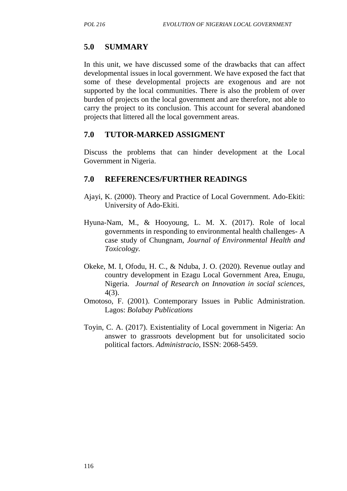### **5.0 SUMMARY**

In this unit, we have discussed some of the drawbacks that can affect developmental issues in local government. We have exposed the fact that some of these developmental projects are exogenous and are not supported by the local communities. There is also the problem of over burden of projects on the local government and are therefore, not able to carry the project to its conclusion. This account for several abandoned projects that littered all the local government areas.

### **7.0 TUTOR-MARKED ASSIGMENT**

Discuss the problems that can hinder development at the Local Government in Nigeria.

- Ajayi, K. (2000). Theory and Practice of Local Government*.* Ado-Ekiti: University of Ado-Ekiti.
- Hyuna-Nam, M., & Hooyoung, L. M. X. (2017). Role of local governments in responding to environmental health challenges- A case study of Chungnam, *Journal of Environmental Health and Toxicology.*
- Okeke, M. I, Ofodu, H. C., & Nduba, J. O. (2020). Revenue outlay and country development in Ezagu Local Government Area, Enugu, Nigeria. *Journal of Research on Innovation in social sciences,* 4(3).
- Omotoso, F. (2001). Contemporary Issues in Public Administration. Lagos: *Bolabay Publications*
- Toyin, C. A. (2017). Existentiality of Local government in Nigeria: An answer to grassroots development but for unsolicitated socio political factors. *Administracio,* ISSN: 2068-5459.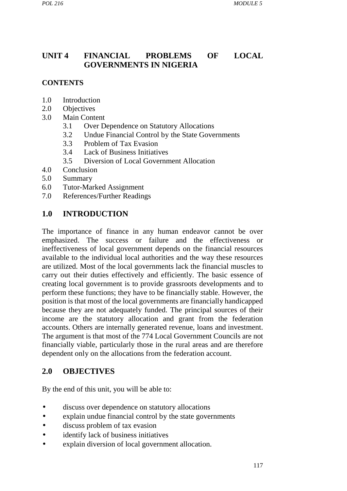# **UNIT 4 FINANCIAL PROBLEMS OF LOCAL GOVERNMENTS IN NIGERIA**

### **CONTENTS**

- 1.0 Introduction
- 2.0 Objectives
- 3.0 Main Content
	- 3.1 Over Dependence on Statutory Allocations
	- 3.2 Undue Financial Control by the State Governments
	- 3.3 Problem of Tax Evasion
	- 3.4 Lack of Business Initiatives
	- 3.5 Diversion of Local Government Allocation
- 4.0 Conclusion
- 5.0 Summary
- 6.0 Tutor-Marked Assignment
- 7.0 References/Further Readings

### **1.0 INTRODUCTION**

The importance of finance in any human endeavor cannot be over emphasized. The success or failure and the effectiveness or ineffectiveness of local government depends on the financial resources available to the individual local authorities and the way these resources are utilized. Most of the local governments lack the financial muscles to carry out their duties effectively and efficiently. The basic essence of creating local government is to provide grassroots developments and to perform these functions; they have to be financially stable. However, the position is that most of the local governments are financially handicapped because they are not adequately funded. The principal sources of their income are the statutory allocation and grant from the federation accounts. Others are internally generated revenue, loans and investment. The argument is that most of the 774 Local Government Councils are not financially viable, particularly those in the rural areas and are therefore dependent only on the allocations from the federation account.

### **2.0 OBJECTIVES**

By the end of this unit, you will be able to:

- discuss over dependence on statutory allocations
- explain undue financial control by the state governments
- discuss problem of tax evasion
- identify lack of business initiatives
- explain diversion of local government allocation.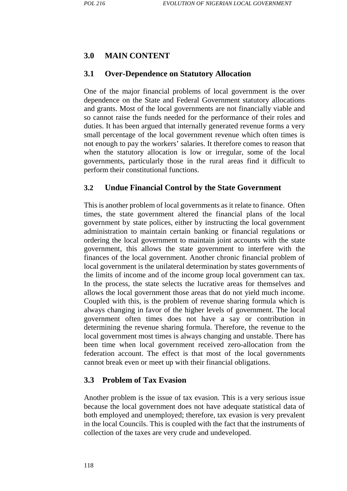## **3.0 MAIN CONTENT**

#### **3.1 Over-Dependence on Statutory Allocation**

One of the major financial problems of local government is the over dependence on the State and Federal Government statutory allocations and grants. Most of the local governments are not financially viable and so cannot raise the funds needed for the performance of their roles and duties. It has been argued that internally generated revenue forms a very small percentage of the local government revenue which often times is not enough to pay the workers' salaries. It therefore comes to reason that when the statutory allocation is low or irregular, some of the local governments, particularly those in the rural areas find it difficult to perform their constitutional functions.

#### **3.2 Undue Financial Control by the State Government**

This is another problem of local governments as it relate to finance. Often times, the state government altered the financial plans of the local government by state polices, either by instructing the local government administration to maintain certain banking or financial regulations or ordering the local government to maintain joint accounts with the state government, this allows the state government to interfere with the finances of the local government. Another chronic financial problem of local government is the unilateral determination by states governments of the limits of income and of the income group local government can tax. In the process, the state selects the lucrative areas for themselves and allows the local government those areas that do not yield much income. Coupled with this, is the problem of revenue sharing formula which is always changing in favor of the higher levels of government. The local government often times does not have a say or contribution in determining the revenue sharing formula. Therefore, the revenue to the local government most times is always changing and unstable. There has been time when local government received zero-allocation from the federation account. The effect is that most of the local governments cannot break even or meet up with their financial obligations.

### **3.3 Problem of Tax Evasion**

Another problem is the issue of tax evasion. This is a very serious issue because the local government does not have adequate statistical data of both employed and unemployed; therefore, tax evasion is very prevalent in the local Councils. This is coupled with the fact that the instruments of collection of the taxes are very crude and undeveloped.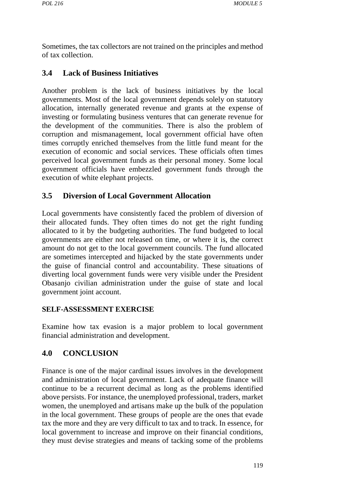Sometimes, the tax collectors are not trained on the principles and method of tax collection.

## **3.4 Lack of Business Initiatives**

Another problem is the lack of business initiatives by the local governments. Most of the local government depends solely on statutory allocation, internally generated revenue and grants at the expense of investing or formulating business ventures that can generate revenue for the development of the communities. There is also the problem of corruption and mismanagement, local government official have often times corruptly enriched themselves from the little fund meant for the execution of economic and social services. These officials often times perceived local government funds as their personal money. Some local government officials have embezzled government funds through the execution of white elephant projects.

## **3.5 Diversion of Local Government Allocation**

Local governments have consistently faced the problem of diversion of their allocated funds. They often times do not get the right funding allocated to it by the budgeting authorities. The fund budgeted to local governments are either not released on time, or where it is, the correct amount do not get to the local government councils. The fund allocated are sometimes intercepted and hijacked by the state governments under the guise of financial control and accountability. These situations of diverting local government funds were very visible under the President Obasanjo civilian administration under the guise of state and local government joint account.

### **SELF-ASSESSMENT EXERCISE**

Examine how tax evasion is a major problem to local government financial administration and development.

# **4.0 CONCLUSION**

Finance is one of the major cardinal issues involves in the development and administration of local government. Lack of adequate finance will continue to be a recurrent decimal as long as the problems identified above persists. For instance, the unemployed professional, traders, market women, the unemployed and artisans make up the bulk of the population in the local government. These groups of people are the ones that evade tax the more and they are very difficult to tax and to track. In essence, for local government to increase and improve on their financial conditions, they must devise strategies and means of tacking some of the problems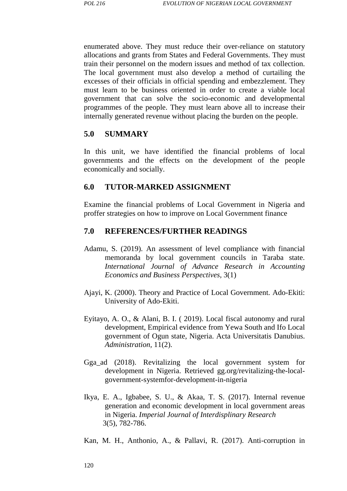enumerated above. They must reduce their over-reliance on statutory allocations and grants from States and Federal Governments. They must train their personnel on the modern issues and method of tax collection. The local government must also develop a method of curtailing the excesses of their officials in official spending and embezzlement. They must learn to be business oriented in order to create a viable local government that can solve the socio-economic and developmental programmes of the people. They must learn above all to increase their internally generated revenue without placing the burden on the people.

#### **5.0 SUMMARY**

In this unit, we have identified the financial problems of local governments and the effects on the development of the people economically and socially.

#### **6.0 TUTOR-MARKED ASSIGNMENT**

Examine the financial problems of Local Government in Nigeria and proffer strategies on how to improve on Local Government finance

#### **7.0 REFERENCES/FURTHER READINGS**

- Adamu, S. (2019). An assessment of level compliance with financial memoranda by local government councils in Taraba state. *International Journal of Advance Research in Accounting Economics and Business Perspectives,* 3(1)
- Ajayi, K. (2000). Theory and Practice of Local Government*.* Ado-Ekiti: University of Ado-Ekiti.
- Eyitayo, A. O., & Alani, B. I. ( 2019). Local fiscal autonomy and rural development, Empirical evidence from Yewa South and Ifo Local government of Ogun state, Nigeria. Acta Universitatis Danubius. *Administration,* 11(2).
- Gga\_ad (2018). Revitalizing the local government system for development in Nigeria. Retrieved gg.org/revitalizing-the-local government-systemfor-development-in-nigeria
- Ikya, E. A., Igbabee, S. U., & Akaa, T. S. (2017). Internal revenue generation and economic development in local government areas in Nigeria. *Imperial Journal of Interdisplinary Research* 3(5), 782-786.
- Kan, M. H., Anthonio, A., & Pallavi, R. (2017). Anti-corruption in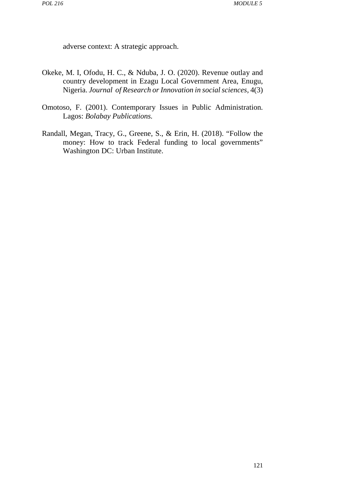adverse context: A strategic approach.

- Okeke, M. I, Ofodu, H. C., & Nduba, J. O. (2020). Revenue outlay and country development in Ezagu Local Government Area, Enugu, Nigeria. *Journal of Research or Innovation in social sciences,* 4(3)
- Omotoso, F. (2001). Contemporary Issues in Public Administration*.* Lagos: *Bolabay Publications.*
- Randall, Megan, Tracy, G., Greene, S., & Erin, H. (2018). "Follow the money: How to track Federal funding to local governments" Washington DC: Urban Institute.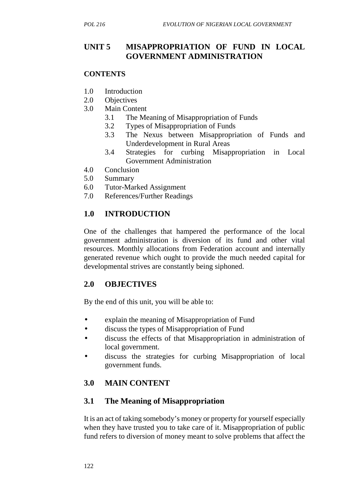## **UNIT 5 MISAPPROPRIATION OF FUND IN LOCAL GOVERNMENT ADMINISTRATION**

#### **CONTENTS**

- 1.0 Introduction
- 2.0 Objectives
- 3.0 Main Content
	- 3.1 The Meaning of Misappropriation of Funds
	- 3.2 Types of Misappropriation of Funds
	- 3.3 The Nexus between Misappropriation of Funds and Underdevelopment in Rural Areas
	- 3.4 Strategies for curbing Misappropriation in Local Government Administration
- 4.0 Conclusion
- 5.0 Summary
- 6.0 Tutor-Marked Assignment
- 7.0 References/Further Readings

# **1.0 INTRODUCTION**

One of the challenges that hampered the performance of the local government administration is diversion of its fund and other vital resources. Monthly allocations from Federation account and internally generated revenue which ought to provide the much needed capital for developmental strives are constantly being siphoned.

## **2.0 OBJECTIVES**

By the end of this unit, you will be able to:

- explain the meaning of Misappropriation of Fund
- discuss the types of Misappropriation of Fund
- discuss the effects of that Misappropriation in administration of local government.
- discuss the strategies for curbing Misappropriation of local government funds.

# **3.0 MAIN CONTENT**

## **3.1 The Meaning of Misappropriation**

It is an act of taking somebody's money or property for yourself especially when they have trusted you to take care of it. Misappropriation of public fund refers to diversion of money meant to solve problems that affect the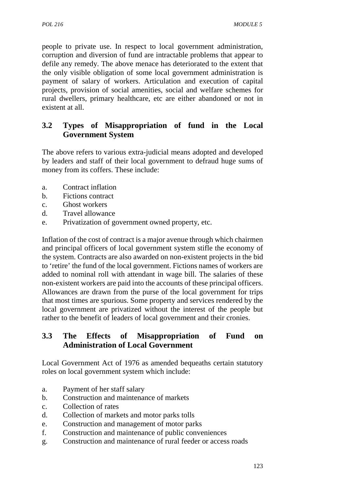people to private use. In respect to local government administration, corruption and diversion of fund are intractable problems that appear to defile any remedy. The above menace has deteriorated to the extent that the only visible obligation of some local government administration is payment of salary of workers. Articulation and execution of capital projects, provision of social amenities, social and welfare schemes for rural dwellers, primary healthcare, etc are either abandoned or not in existent at all.

# **3.2 Types of Misappropriation of fund in the Local Government System**

The above refers to various extra-judicial means adopted and developed by leaders and staff of their local government to defraud huge sums of money from its coffers. These include:

- a. Contract inflation
- b. Fictions contract
- c. Ghost workers
- d. Travel allowance
- e. Privatization of government owned property, etc.

Inflation of the cost of contract is a major avenue through which chairmen and principal officers of local government system stifle the economy of the system. Contracts are also awarded on non-existent projects in the bid to 'retire' the fund of the local government. Fictions names of workers are added to nominal roll with attendant in wage bill. The salaries of these non-existent workers are paid into the accounts of these principal officers. Allowances are drawn from the purse of the local government for trips that most times are spurious. Some property and services rendered by the local government are privatized without the interest of the people but rather to the benefit of leaders of local government and their cronies.

## **3.3 The Effects of Misappropriation of Fund on Administration of Local Government**

Local Government Act of 1976 as amended bequeaths certain statutory roles on local government system which include:

- a. Payment of her staff salary
- b. Construction and maintenance of markets
- c. Collection of rates
- d. Collection of markets and motor parks tolls
- e. Construction and management of motor parks
- f. Construction and maintenance of public conveniences
- g. Construction and maintenance of rural feeder or access roads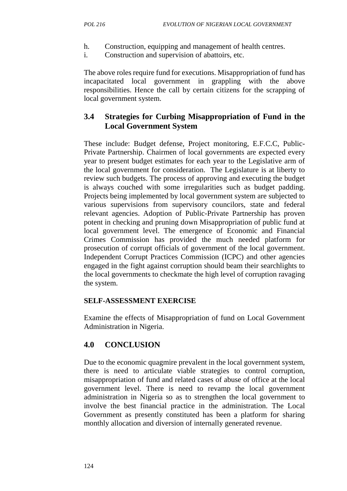- h. Construction, equipping and management of health centres.
- i. Construction and supervision of abattoirs, etc.

The above roles require fund for executions. Misappropriation of fund has incapacitated local government in grappling with the above responsibilities. Hence the call by certain citizens for the scrapping of local government system.

## **3.4 Strategies for Curbing Misappropriation of Fund in the Local Government System**

These include: Budget defense, Project monitoring, E.F.C.C, Public- Private Partnership. Chairmen of local governments are expected every year to present budget estimates for each year to the Legislative arm of the local government for consideration. The Legislature is at liberty to review such budgets. The process of approving and executing the budget is always couched with some irregularities such as budget padding. Projects being implemented by local government system are subjected to various supervisions from supervisory councilors, state and federal relevant agencies. Adoption of Public-Private Partnership has proven potent in checking and pruning down Misappropriation of public fund at local government level. The emergence of Economic and Financial Crimes Commission has provided the much needed platform for prosecution of corrupt officials of government of the local government. Independent Corrupt Practices Commission (ICPC) and other agencies engaged in the fight against corruption should beam their searchlights to the local governments to checkmate the high level of corruption ravaging the system.

### **SELF-ASSESSMENT EXERCISE**

Examine the effects of Misappropriation of fund on Local Government Administration in Nigeria.

# **4.0 CONCLUSION**

Due to the economic quagmire prevalent in the local government system, there is need to articulate viable strategies to control corruption, misappropriation of fund and related cases of abuse of office at the local government level. There is need to revamp the local government administration in Nigeria so as to strengthen the local government to involve the best financial practice in the administration. The Local Government as presently constituted has been a platform for sharing monthly allocation and diversion of internally generated revenue.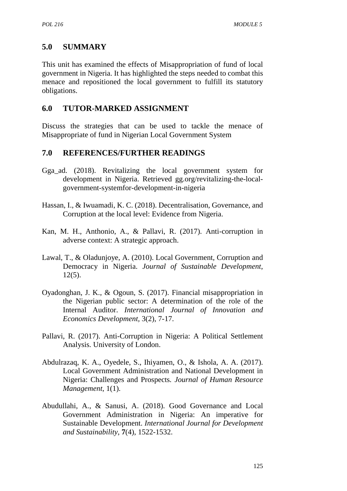## **5.0 SUMMARY**

This unit has examined the effects of Misappropriation of fund of local government in Nigeria. It has highlighted the steps needed to combat this menace and repositioned the local government to fulfill its statutory obligations.

### **6.0 TUTOR-MARKED ASSIGNMENT**

Discuss the strategies that can be used to tackle the menace of Misappropriate of fund in Nigerian Local Government System

### **7.0 REFERENCES/FURTHER READINGS**

- Gga\_ad. (2018). Revitalizing the local government system for development in Nigeria. Retrieved gg.org/revitalizing-the-local government-systemfor-development-in-nigeria
- Hassan, I., & Iwuamadi, K. C. (2018). Decentralisation, Governance, and Corruption at the local level: Evidence from Nigeria.
- Kan, M. H., Anthonio, A., & Pallavi, R. (2017). Anti-corruption in adverse context: A strategic approach.
- Lawal, T., & Oladunjoye, A. (2010). Local Government, Corruption and Democracy in Nigeria. *Journal of Sustainable Development*,  $12(5)$ .
- Oyadonghan, J. K., & Ogoun, S. (2017). Financial misappropriation in the Nigerian public sector: A determination of the role of the Internal Auditor. *International Journal of Innovation and Economics Development,* 3(2), 7-17.
- Pallavi, R. (2017). Anti-Corruption in Nigeria: A Political Settlement Analysis. University of London.
- Abdulrazaq, K. A., Oyedele, S., Ihiyamen, O., & Ishola, A. A. (2017). Local Government Administration and National Development in Nigeria: Challenges and Prospects*. Journal of Human Resource Management*, 1(1).
- Abudullahi, A., & Sanusi, A. (2018). Good Governance and Local Government Administration in Nigeria: An imperative for Sustainable Development. *International Journal for Development and Sustainability*, **7**(4), 1522-1532.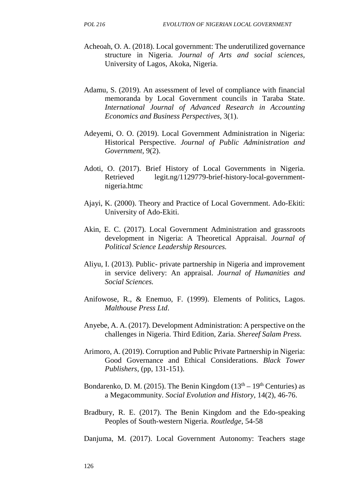- Acheoah, O. A. (2018). Local government: The underutilized governance structure in Nigeria. *Journal of Arts and social sciences,* University of Lagos, Akoka, Nigeria.
- Adamu, S. (2019). An assessment of level of compliance with financial memoranda by Local Government councils in Taraba State. *International Journal of Advanced Research in Accounting Economics and Business Perspectives*, 3(1).
- Adeyemi, O. O. (2019). Local Government Administration in Nigeria: Historical Perspective. *Journal of Public Administration and Government*, 9(2).
- Adoti, O. (2017). Brief History of Local Governments in Nigeria. Retrieved legit.ng/1129779-brief-history-local-government nigeria.htmc
- Ajayi, K. (2000). Theory and Practice of Local Government. Ado-Ekiti: University of Ado-Ekiti.
- Akin, E. C. (2017). Local Government Administration and grassroots development in Nigeria: A Theoretical Appraisal. *Journal of Political Science Leadership Resources.*
- Aliyu, I. (2013). Public- private partnership in Nigeria and improvement in service delivery: An appraisal. *Journal of Humanities and Social Sciences.*
- Anifowose, R., & Enemuo, F. (1999). Elements of Politics, Lagos. *Malthouse Press Ltd*.
- Anyebe, A. A. (2017). Development Administration: A perspective on the challenges in Nigeria. Third Edition, Zaria. *Shereef Salam Press.*
- Arimoro, A. (2019). Corruption and Public Private Partnership in Nigeria: Good Governance and Ethical Considerations. *Black Tower Publishers*, (pp, 131-151).
- Bondarenko, D. M. (2015). The Benin Kingdom ( $13<sup>th</sup> 19<sup>th</sup>$  Centuries) as a Megacommunity. *Social Evolution and History*, 14(2), 46-76.
- Bradbury, R. E. (2017). The Benin Kingdom and the Edo-speaking Peoples of South-western Nigeria. *Routledge*, 54-58
- Danjuma, M. (2017). Local Government Autonomy: Teachers stage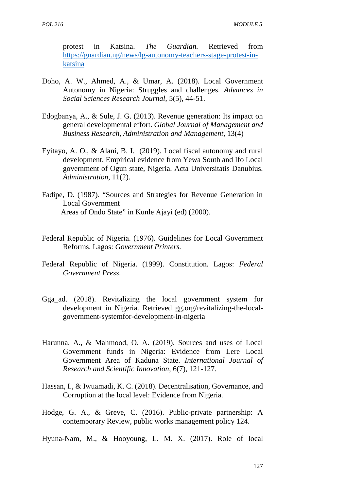protest in Katsina. *The Guardian.* Retrieved from https://guardian.ng/news/lg-autonomy-teachers-stage-protest-in katsina

- Doho, A. W., Ahmed, A., & Umar, A. (2018). Local Government Autonomy in Nigeria: Struggles and challenges. *Advances in Social Sciences Research Journal*, 5(5), 44-51.
- Edogbanya, A., & Sule, J. G. (2013). Revenue generation: Its impact on general developmental effort. *Global Journal of Management and Business Research, Administration and Management,* 13(4)
- Eyitayo, A. O., & Alani, B. I. (2019). Local fiscal autonomy and rural development, Empirical evidence from Yewa South and Ifo Local government of Ogun state, Nigeria. Acta Universitatis Danubius. *Administration,* 11(2).
- Fadipe, D. (1987). "Sources and Strategies for Revenue Generation in Local Government Areas of Ondo State" in Kunle Ajayi (ed) (2000).
- Federal Republic of Nigeria. (1976). Guidelines for Local Government Reforms. Lagos: *Government Printers.*
- Federal Republic of Nigeria. (1999). Constitution*.* Lagos: *Federal Government Press*.
- Gga\_ad. (2018). Revitalizing the local government system for development in Nigeria. Retrieved gg.org/revitalizing-the-local government-systemfor-development-in-nigeria
- Harunna, A., & Mahmood, O. A. (2019). Sources and uses of Local Government funds in Nigeria: Evidence from Lere Local Government Area of Kaduna State. *International Journal of Research and Scientific Innovation*, 6(7), 121-127.
- Hassan, I., & Iwuamadi, K. C. (2018). Decentralisation, Governance, and Corruption at the local level: Evidence from Nigeria.
- Hodge, G. A., & Greve, C. (2016). Public-private partnership: A contemporary Review, public works management policy 124.

Hyuna-Nam, M., & Hooyoung, L. M. X. (2017). Role of local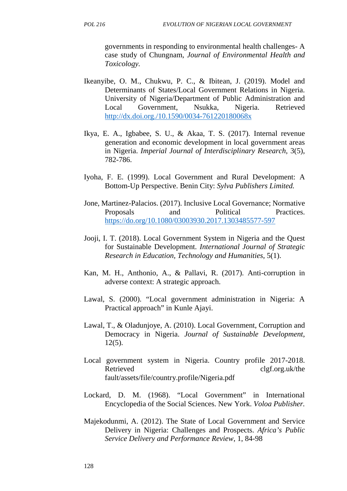governments in responding to environmental health challenges- A case study of Chungnam, *Journal of Environmental Health and Toxicology.*

- Ikeanyibe, O. M., Chukwu, P. C., & Ibitean, J. (2019). Model and Determinants of States/Local Government Relations in Nigeria. University of Nigeria/Department of Public Administration and Local Government, Nsukka, Nigeria. Retrieved http://dx.doi.org./10.1590/0034-761220180068x
- Ikya, E. A., Igbabee, S. U., & Akaa, T. S. (2017). Internal revenue generation and economic development in local government areas in Nigeria. *Imperial Journal of Interdisciplinary Research*, 3(5), 782-786.
- Iyoha, F. E. (1999). Local Government and Rural Development: A Bottom-Up Perspective. Benin City: *Sylva Publishers Limited.*
- Jone, Martinez-Palacios. (2017). Inclusive Local Governance; Normative Proposals and Political Practices. https://do.org/10.1080/03003930.2017.1303485577-597
- Jooji, I. T. (2018). Local Government System in Nigeria and the Quest for Sustainable Development. *International Journal of Strategic Research in Education, Technology and Humanities*, 5(1).
- Kan, M. H., Anthonio, A., & Pallavi, R. (2017). Anti-corruption in adverse context: A strategic approach.
- Lawal, S. (2000). "Local government administration in Nigeria: A Practical approach" in Kunle Ajayi.
- Lawal, T., & Oladunjoye, A. (2010). Local Government, Corruption and Democracy in Nigeria. *Journal of Sustainable Development*, 12(5).
- Local government system in Nigeria. Country profile 2017-2018. Retrieved clgf.org.uk/the fault/assets/file/country.profile/Nigeria.pdf
- Lockard, D. M. (1968). "Local Government" in International Encyclopedia of the Social Sciences. New York. *Voloa Publisher.*
- Majekodunmi, A. (2012). The State of Local Government and Service Delivery in Nigeria: Challenges and Prospects. *Africa's Public Service Delivery and Performance Review*, 1, 84-98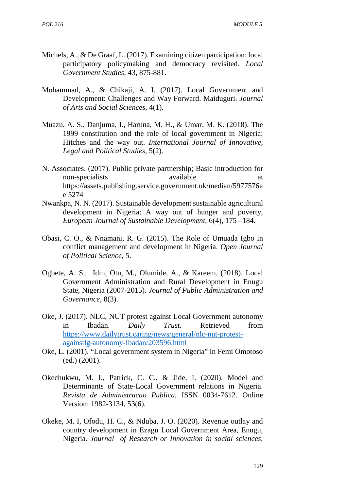- Michels, A., & De Graaf, L. (2017). Examining citizen participation: local participatory policymaking and democracy revisited. *Local Government Studies*, 43, 875-881.
- Mohammad, A., & Chikaji, A. I. (2017). Local Government and Development: Challenges and Way Forward. Maiduguri. *Journal of Arts and Social Sciences*, 4(1).
- Muazu, A. S., Danjuma, I., Haruna, M. H., & Umar, M. K. (2018). The 1999 constitution and the role of local government in Nigeria: Hitches and the way out. *International Journal of Innovative, Legal and Political Studies,* 5(2).
- N. Associates. (2017). Public private partnership; Basic introduction for non-specialists available available at https://assets.publishing.service.government.uk/median/5977576e e 5274
- Nwankpa, N. N. (2017). Sustainable development sustainable agricultural development in Nigeria: A way out of hunger and poverty, *European Journal of Sustainable Development,* 6(4), 175 –184.
- Obasi, C. O., & Nnamani, R. G. (2015). The Role of Umuada Igbo in conflict management and development in Nigeria. *Open Journal of Political Science*, 5.
- Ogbete, A. S., Idm, Otu, M., Olumide, A., & Kareem. (2018). Local Government Administration and Rural Development in Enugu State, Nigeria (2007-2015). *Journal of Public Administration and Governance*, 8(3).
- Oke, J. (2017). NLC, NUT protest against Local Government autonomy in Ibadan. *Daily Trust.* Retrieved from https://www.dailytrust.caring/news/general/nlc-nut-protest againstlg-autonomy-Ibadan/203596.html
- Oke, L. (2001). "Local government system in Nigeria" in Femi Omotoso (ed.) (2001).
- Okechukwu, M. I., Patrick, C. C., & Jide, I. (2020). Model and Determinants of State-Local Government relations in Nigeria. *Revista de Administracao Publica*, ISSN 0034-7612. Online Version: 1982-3134, 53(6).
- Okeke, M. I, Ofodu, H. C., & Nduba, J. O. (2020). Revenue outlay and country development in Ezagu Local Government Area, Enugu, Nigeria. *Journal of Research or Innovation in social sciences,*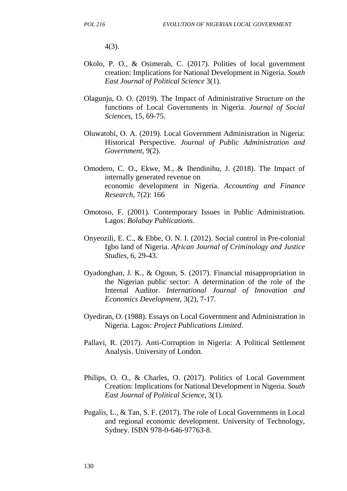4(3).

- Okolo, P. O., & Osimerah, C. (2017). Polities of local government creation: Implications for National Development in Nigeria. *South East Journal of Political Science* 3(1).
- Olagunju, O. O. (2019). The Impact of Administrative Structure on the functions of Local Governments in Nigeria. *Journal of Social Sciences*, 15, 69-75.
- Oluwatobi, O. A. (2019). Local Government Administration in Nigeria: Historical Perspective. *Journal of Public Administration and Government*, 9(2).
- Omodero, C. O., Ekwe, M., & Ihendinihu, J. (2018). The Impact of internally generated revenue on economic development in Nigeria. *Accounting and Finance Research*, 7(2): 166
- Omotoso, F. (2001). Contemporary Issues in Public Administration. Lagos: *Bolabay Publications*.
- Onyeozili, E. C., & Ebbe, O. N. I. (2012). Social control in Pre-colonial Igbo land of Nigeria. *African Journal of Criminology and Justice Studies*, 6, 29-43.
- Oyadonghan, J. K., & Ogoun, S. (2017). Financial misappropriation in the Nigerian public sector: A determination of the role of the Internal Auditor. *International Journal of Innovation and Economics Development,* 3(2), 7-17.
- Oyediran, O. (1988). Essays on Local Government and Administration in Nigeria. Lagos: *Project Publications Limited.*
- Pallavi, R. (2017). Anti-Corruption in Nigeria: A Political Settlement Analysis. University of London.
- Philips, O. O., & Charles, O. (2017). Politics of Local Government Creation: Implications for National Development in Nigeria. *South East Journal of Political Science*, 3(1).
- Pugalis, L., & Tan, S. F. (2017). The role of Local Governments in Local and regional economic development. University of Technology, Sydney. ISBN 978-0-646-97763-8.